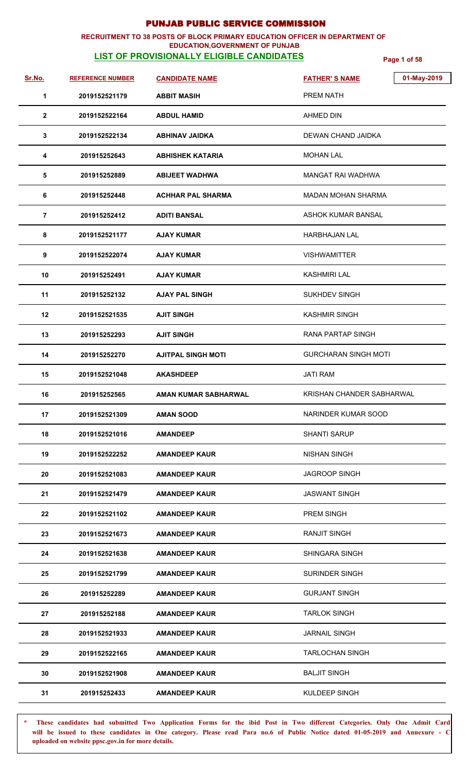### **RECRUITMENT TO 38 POSTS OF BLOCK PRIMARY EDUCATION OFFICER IN DEPARTMENT OF EDUCATION,GOVERNMENT OF PUNJAB**

# **LIST OF PROVISIONALLY ELIGIBLE CANDIDATES Page 1 of 58**

| <u>Sr.No.</u>  | <b>REFERENCE NUMBER</b> | <b>CANDIDATE NAME</b>     | <b>FATHER'S NAME</b>        | 01-May-2019 |
|----------------|-------------------------|---------------------------|-----------------------------|-------------|
| 1              | 2019152521179           | <b>ABBIT MASIH</b>        | PREM NATH                   |             |
| $\mathbf{2}$   | 2019152522164           | <b>ABDUL HAMID</b>        | <b>AHMED DIN</b>            |             |
| 3              | 2019152522134           | <b>ABHINAV JAIDKA</b>     | DEWAN CHAND JAIDKA          |             |
| 4              | 201915252643            | ABHISHEK KATARIA          | <b>MOHAN LAL</b>            |             |
| 5              | 201915252889            | <b>ABIJEET WADHWA</b>     | MANGAT RAI WADHWA           |             |
| 6              | 201915252448            | <b>ACHHAR PAL SHARMA</b>  | MADAN MOHAN SHARMA          |             |
| $\overline{7}$ | 201915252412            | <b>ADITI BANSAL</b>       | ASHOK KUMAR BANSAL          |             |
| 8              | 2019152521177           | <b>AJAY KUMAR</b>         | <b>HARBHAJAN LAL</b>        |             |
| 9              | 2019152522074           | <b>AJAY KUMAR</b>         | <b>VISHWAMITTER</b>         |             |
| 10             | 201915252491            | AJAY KUMAR                | KASHMIRI LAL                |             |
| 11             | 201915252132            | <b>AJAY PAL SINGH</b>     | <b>SUKHDEV SINGH</b>        |             |
| 12             | 2019152521535           | <b>AJIT SINGH</b>         | <b>KASHMIR SINGH</b>        |             |
| 13             | 201915252293            | <b>AJIT SINGH</b>         | <b>RANA PARTAP SINGH</b>    |             |
| 14             | 201915252270            | <b>AJITPAL SINGH MOTI</b> | <b>GURCHARAN SINGH MOTI</b> |             |
| 15             | 2019152521048           | <b>AKASHDEEP</b>          | <b>JATI RAM</b>             |             |
| 16             | 201915252565            | AMAN KUMAR SABHARWAL      | KRISHAN CHANDER SABHARWAL   |             |
| 17             | 2019152521309           | <b>AMAN SOOD</b>          | NARINDER KUMAR SOOD         |             |
| 18             | 2019152521016           | <b>AMANDEEP</b>           | <b>SHANTI SARUP</b>         |             |
| 19             | 2019152522252           | <b>AMANDEEP KAUR</b>      | <b>NISHAN SINGH</b>         |             |
| 20             | 2019152521083           | <b>AMANDEEP KAUR</b>      | <b>JAGROOP SINGH</b>        |             |
| 21             | 2019152521479           | <b>AMANDEEP KAUR</b>      | <b>JASWANT SINGH</b>        |             |
| 22             | 2019152521102           | <b>AMANDEEP KAUR</b>      | <b>PREM SINGH</b>           |             |
| 23             | 2019152521673           | <b>AMANDEEP KAUR</b>      | RANJIT SINGH                |             |
| 24             | 2019152521638           | <b>AMANDEEP KAUR</b>      | SHINGARA SINGH              |             |
| 25             | 2019152521799           | <b>AMANDEEP KAUR</b>      | <b>SURINDER SINGH</b>       |             |
| 26             | 201915252289            | <b>AMANDEEP KAUR</b>      | <b>GURJANT SINGH</b>        |             |
| 27             | 201915252188            | <b>AMANDEEP KAUR</b>      | <b>TARLOK SINGH</b>         |             |
| 28             | 2019152521933           | <b>AMANDEEP KAUR</b>      | <b>JARNAIL SINGH</b>        |             |
| 29             | 2019152522165           | <b>AMANDEEP KAUR</b>      | <b>TARLOCHAN SINGH</b>      |             |
| 30             | 2019152521908           | <b>AMANDEEP KAUR</b>      | <b>BALJIT SINGH</b>         |             |
| 31             | 201915252433            | <b>AMANDEEP KAUR</b>      | KULDEEP SINGH               |             |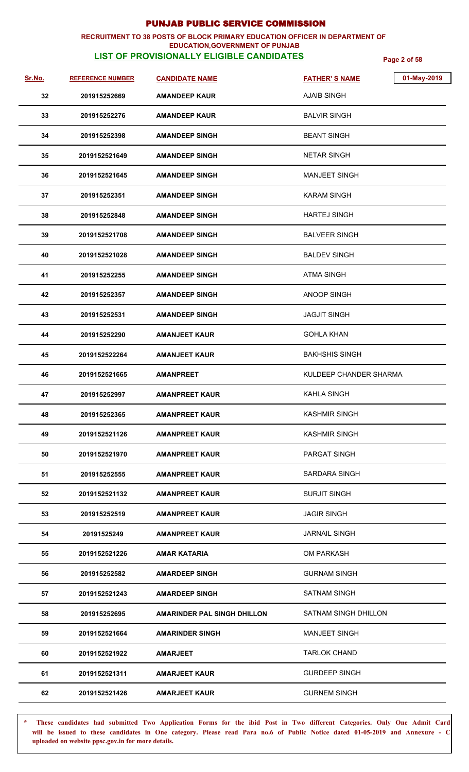### **RECRUITMENT TO 38 POSTS OF BLOCK PRIMARY EDUCATION OFFICER IN DEPARTMENT OF EDUCATION,GOVERNMENT OF PUNJAB**

# **LIST OF PROVISIONALLY ELIGIBLE CANDIDATES Page 2 of 58**

| Sr.No. | <b>REFERENCE NUMBER</b> | <b>CANDIDATE NAME</b>              | <b>FATHER'S NAME</b>   | 01-May-2019 |
|--------|-------------------------|------------------------------------|------------------------|-------------|
| 32     | 201915252669            | <b>AMANDEEP KAUR</b>               | <b>AJAIB SINGH</b>     |             |
| 33     | 201915252276            | <b>AMANDEEP KAUR</b>               | <b>BALVIR SINGH</b>    |             |
| 34     | 201915252398            | <b>AMANDEEP SINGH</b>              | <b>BEANT SINGH</b>     |             |
| 35     | 2019152521649           | <b>AMANDEEP SINGH</b>              | <b>NETAR SINGH</b>     |             |
| 36     | 2019152521645           | <b>AMANDEEP SINGH</b>              | <b>MANJEET SINGH</b>   |             |
| 37     | 201915252351            | <b>AMANDEEP SINGH</b>              | <b>KARAM SINGH</b>     |             |
| 38     | 201915252848            | <b>AMANDEEP SINGH</b>              | <b>HARTEJ SINGH</b>    |             |
| 39     | 2019152521708           | <b>AMANDEEP SINGH</b>              | <b>BALVEER SINGH</b>   |             |
| 40     | 2019152521028           | <b>AMANDEEP SINGH</b>              | <b>BALDEV SINGH</b>    |             |
| 41     | 201915252255            | <b>AMANDEEP SINGH</b>              | <b>ATMA SINGH</b>      |             |
| 42     | 201915252357            | <b>AMANDEEP SINGH</b>              | ANOOP SINGH            |             |
| 43     | 201915252531            | <b>AMANDEEP SINGH</b>              | <b>JAGJIT SINGH</b>    |             |
| 44     | 201915252290            | <b>AMANJEET KAUR</b>               | <b>GOHLA KHAN</b>      |             |
| 45     | 2019152522264           | <b>AMANJEET KAUR</b>               | <b>BAKHSHIS SINGH</b>  |             |
| 46     | 2019152521665           | <b>AMANPREET</b>                   | KULDEEP CHANDER SHARMA |             |
| 47     | 201915252997            | <b>AMANPREET KAUR</b>              | <b>KAHLA SINGH</b>     |             |
| 48     | 201915252365            | <b>AMANPREET KAUR</b>              | <b>KASHMIR SINGH</b>   |             |
| 49     | 2019152521126           | <b>AMANPREET KAUR</b>              | <b>KASHMIR SINGH</b>   |             |
| 50     | 2019152521970           | <b>AMANPREET KAUR</b>              | <b>PARGAT SINGH</b>    |             |
| 51     | 201915252555            | <b>AMANPREET KAUR</b>              | <b>SARDARA SINGH</b>   |             |
| 52     | 2019152521132           | <b>AMANPREET KAUR</b>              | <b>SURJIT SINGH</b>    |             |
| 53     | 201915252519            | <b>AMANPREET KAUR</b>              | <b>JAGIR SINGH</b>     |             |
| 54     | 20191525249             | <b>AMANPREET KAUR</b>              | <b>JARNAIL SINGH</b>   |             |
| 55     | 2019152521226           | <b>AMAR KATARIA</b>                | <b>OM PARKASH</b>      |             |
| 56     | 201915252582            | <b>AMARDEEP SINGH</b>              | <b>GURNAM SINGH</b>    |             |
| 57     | 2019152521243           | <b>AMARDEEP SINGH</b>              | <b>SATNAM SINGH</b>    |             |
| 58     | 201915252695            | <b>AMARINDER PAL SINGH DHILLON</b> | SATNAM SINGH DHILLON   |             |
| 59     | 2019152521664           | <b>AMARINDER SINGH</b>             | <b>MANJEET SINGH</b>   |             |
| 60     | 2019152521922           | <b>AMARJEET</b>                    | <b>TARLOK CHAND</b>    |             |
| 61     | 2019152521311           | <b>AMARJEET KAUR</b>               | <b>GURDEEP SINGH</b>   |             |
| 62     | 2019152521426           | <b>AMARJEET KAUR</b>               | <b>GURNEM SINGH</b>    |             |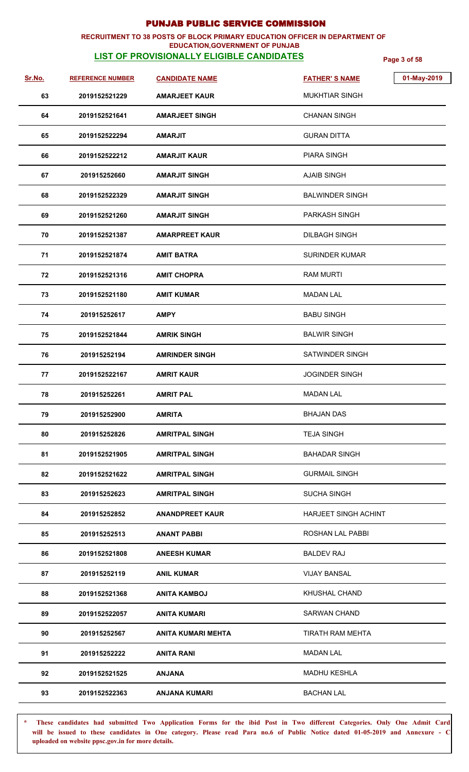### **RECRUITMENT TO 38 POSTS OF BLOCK PRIMARY EDUCATION OFFICER IN DEPARTMENT OF EDUCATION,GOVERNMENT OF PUNJAB**

# **LIST OF PROVISIONALLY ELIGIBLE CANDIDATES Page 3 of 58**

| Sr.No. | <b>REFERENCE NUMBER</b> | <b>CANDIDATE NAME</b>     | 01-May-2019<br><b>FATHER'S NAME</b> |
|--------|-------------------------|---------------------------|-------------------------------------|
| 63     | 2019152521229           | <b>AMARJEET KAUR</b>      | <b>MUKHTIAR SINGH</b>               |
| 64     | 2019152521641           | <b>AMARJEET SINGH</b>     | <b>CHANAN SINGH</b>                 |
| 65     | 2019152522294           | <b>AMARJIT</b>            | <b>GURAN DITTA</b>                  |
| 66     | 2019152522212           | <b>AMARJIT KAUR</b>       | <b>PIARA SINGH</b>                  |
| 67     | 201915252660            | <b>AMARJIT SINGH</b>      | <b>AJAIB SINGH</b>                  |
| 68     | 2019152522329           | <b>AMARJIT SINGH</b>      | <b>BALWINDER SINGH</b>              |
| 69     | 2019152521260           | <b>AMARJIT SINGH</b>      | <b>PARKASH SINGH</b>                |
| 70     | 2019152521387           | <b>AMARPREET KAUR</b>     | <b>DILBAGH SINGH</b>                |
| 71     | 2019152521874           | <b>AMIT BATRA</b>         | <b>SURINDER KUMAR</b>               |
| 72     | 2019152521316           | <b>AMIT CHOPRA</b>        | <b>RAM MURTI</b>                    |
| 73     | 2019152521180           | <b>AMIT KUMAR</b>         | <b>MADAN LAL</b>                    |
| 74     | 201915252617            | <b>AMPY</b>               | <b>BABU SINGH</b>                   |
| 75     | 2019152521844           | <b>AMRIK SINGH</b>        | <b>BALWIR SINGH</b>                 |
| 76     | 201915252194            | <b>AMRINDER SINGH</b>     | <b>SATWINDER SINGH</b>              |
| 77     | 2019152522167           | <b>AMRIT KAUR</b>         | <b>JOGINDER SINGH</b>               |
| 78     | 201915252261            | <b>AMRIT PAL</b>          | <b>MADAN LAL</b>                    |
| 79     | 201915252900            | <b>AMRITA</b>             | <b>BHAJAN DAS</b>                   |
| 80     | 201915252826            | <b>AMRITPAL SINGH</b>     | <b>TEJA SINGH</b>                   |
| 81     | 2019152521905           | <b>AMRITPAL SINGH</b>     | <b>BAHADAR SINGH</b>                |
| 82     | 2019152521622           | <b>AMRITPAL SINGH</b>     | <b>GURMAIL SINGH</b>                |
| 83     | 201915252623            | <b>AMRITPAL SINGH</b>     | <b>SUCHA SINGH</b>                  |
| 84     | 201915252852            | <b>ANANDPREET KAUR</b>    | HARJEET SINGH ACHINT                |
| 85     | 201915252513            | <b>ANANT PABBI</b>        | ROSHAN LAL PABBI                    |
| 86     | 2019152521808           | <b>ANEESH KUMAR</b>       | <b>BALDEV RAJ</b>                   |
| 87     | 201915252119            | <b>ANIL KUMAR</b>         | <b>VIJAY BANSAL</b>                 |
| 88     | 2019152521368           | <b>ANITA KAMBOJ</b>       | <b>KHUSHAL CHAND</b>                |
| 89     | 2019152522057           | <b>ANITA KUMARI</b>       | <b>SARWAN CHAND</b>                 |
| 90     | 201915252567            | <b>ANITA KUMARI MEHTA</b> | TIRATH RAM MEHTA                    |
| 91     | 201915252222            | <b>ANITA RANI</b>         | <b>MADAN LAL</b>                    |
| 92     | 2019152521525           | <b>ANJANA</b>             | <b>MADHU KESHLA</b>                 |
| 93     | 2019152522363           | <b>ANJANA KUMARI</b>      | <b>BACHAN LAL</b>                   |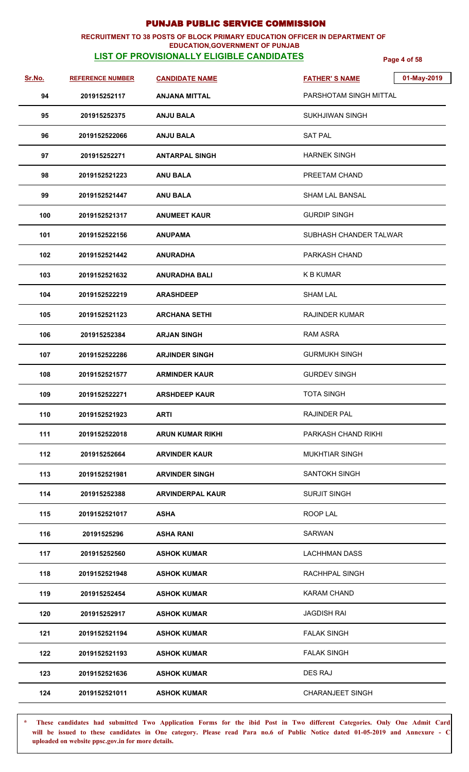### **RECRUITMENT TO 38 POSTS OF BLOCK PRIMARY EDUCATION OFFICER IN DEPARTMENT OF EDUCATION,GOVERNMENT OF PUNJAB**

# **LIST OF PROVISIONALLY ELIGIBLE CANDIDATES Page 4 of 58**

| Sr.No. | <b>REFERENCE NUMBER</b> | <b>CANDIDATE NAME</b>   | 01-May-2019<br><b>FATHER'S NAME</b> |
|--------|-------------------------|-------------------------|-------------------------------------|
| 94     | 201915252117            | <b>ANJANA MITTAL</b>    | PARSHOTAM SINGH MITTAL              |
| 95     | 201915252375            | <b>ANJU BALA</b>        | <b>SUKHJIWAN SINGH</b>              |
| 96     | 2019152522066           | <b>ANJU BALA</b>        | <b>SAT PAL</b>                      |
| 97     | 201915252271            | <b>ANTARPAL SINGH</b>   | <b>HARNEK SINGH</b>                 |
| 98     | 2019152521223           | <b>ANU BALA</b>         | PREETAM CHAND                       |
| 99     | 2019152521447           | <b>ANU BALA</b>         | SHAM LAL BANSAL                     |
| 100    | 2019152521317           | <b>ANUMEET KAUR</b>     | <b>GURDIP SINGH</b>                 |
| 101    | 2019152522156           | <b>ANUPAMA</b>          | SUBHASH CHANDER TALWAR              |
| 102    | 2019152521442           | <b>ANURADHA</b>         | PARKASH CHAND                       |
| 103    | 2019152521632           | <b>ANURADHA BALI</b>    | K B KUMAR                           |
| 104    | 2019152522219           | <b>ARASHDEEP</b>        | <b>SHAM LAL</b>                     |
| 105    | 2019152521123           | <b>ARCHANA SETHI</b>    | <b>RAJINDER KUMAR</b>               |
| 106    | 201915252384            | <b>ARJAN SINGH</b>      | <b>RAM ASRA</b>                     |
| 107    | 2019152522286           | <b>ARJINDER SINGH</b>   | <b>GURMUKH SINGH</b>                |
| 108    | 2019152521577           | <b>ARMINDER KAUR</b>    | <b>GURDEV SINGH</b>                 |
| 109    | 2019152522271           | <b>ARSHDEEP KAUR</b>    | <b>TOTA SINGH</b>                   |
| 110    | 2019152521923           | <b>ARTI</b>             | RAJINDER PAL                        |
| 111    | 2019152522018           | <b>ARUN KUMAR RIKHI</b> | PARKASH CHAND RIKHI                 |
| 112    | 201915252664            | <b>ARVINDER KAUR</b>    | <b>MUKHTIAR SINGH</b>               |
| 113    | 2019152521981           | <b>ARVINDER SINGH</b>   | SANTOKH SINGH                       |
| 114    | 201915252388            | <b>ARVINDERPAL KAUR</b> | <b>SURJIT SINGH</b>                 |
| 115    | 2019152521017           | <b>ASHA</b>             | ROOP LAL                            |
| 116    | 20191525296             | <b>ASHA RANI</b>        | <b>SARWAN</b>                       |
| 117    | 201915252560            | <b>ASHOK KUMAR</b>      | <b>LACHHMAN DASS</b>                |
| 118    | 2019152521948           | <b>ASHOK KUMAR</b>      | RACHHPAL SINGH                      |
| 119    | 201915252454            | <b>ASHOK KUMAR</b>      | <b>KARAM CHAND</b>                  |
| 120    | 201915252917            | <b>ASHOK KUMAR</b>      | <b>JAGDISH RAI</b>                  |
| 121    | 2019152521194           | <b>ASHOK KUMAR</b>      | <b>FALAK SINGH</b>                  |
| 122    | 2019152521193           | <b>ASHOK KUMAR</b>      | <b>FALAK SINGH</b>                  |
| 123    | 2019152521636           | <b>ASHOK KUMAR</b>      | <b>DES RAJ</b>                      |
| 124    | 2019152521011           | <b>ASHOK KUMAR</b>      | <b>CHARANJEET SINGH</b>             |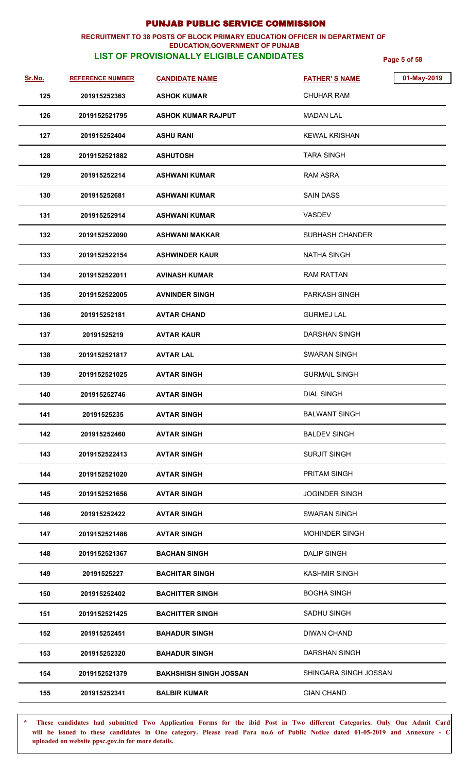### **RECRUITMENT TO 38 POSTS OF BLOCK PRIMARY EDUCATION OFFICER IN DEPARTMENT OF EDUCATION,GOVERNMENT OF PUNJAB**

## **LIST OF PROVISIONALLY ELIGIBLE CANDIDATES Page 5 of 58**

| Sr.No. | <b>REFERENCE NUMBER</b> | <b>CANDIDATE NAME</b>         | <b>FATHER'S NAME</b>   | 01-May-2019 |
|--------|-------------------------|-------------------------------|------------------------|-------------|
| 125    | 201915252363            | <b>ASHOK KUMAR</b>            | <b>CHUHAR RAM</b>      |             |
| 126    | 2019152521795           | <b>ASHOK KUMAR RAJPUT</b>     | MADAN LAL              |             |
| 127    | 201915252404            | <b>ASHU RANI</b>              | <b>KEWAL KRISHAN</b>   |             |
| 128    | 2019152521882           | <b>ASHUTOSH</b>               | <b>TARA SINGH</b>      |             |
| 129    | 201915252214            | <b>ASHWANI KUMAR</b>          | RAM ASRA               |             |
| 130    | 201915252681            | <b>ASHWANI KUMAR</b>          | <b>SAIN DASS</b>       |             |
| 131    | 201915252914            | <b>ASHWANI KUMAR</b>          | VASDEV                 |             |
| 132    | 2019152522090           | ASHWANI MAKKAR                | <b>SUBHASH CHANDER</b> |             |
| 133    | 2019152522154           | <b>ASHWINDER KAUR</b>         | <b>NATHA SINGH</b>     |             |
| 134    | 2019152522011           | AVINASH KUMAR                 | <b>RAM RATTAN</b>      |             |
| 135    | 2019152522005           | <b>AVNINDER SINGH</b>         | <b>PARKASH SINGH</b>   |             |
| 136    | 201915252181            | <b>AVTAR CHAND</b>            | <b>GURMEJ LAL</b>      |             |
| 137    | 20191525219             | <b>AVTAR KAUR</b>             | <b>DARSHAN SINGH</b>   |             |
| 138    | 2019152521817           | <b>AVTAR LAL</b>              | SWARAN SINGH           |             |
| 139    | 2019152521025           | <b>AVTAR SINGH</b>            | <b>GURMAIL SINGH</b>   |             |
| 140    | 201915252746            | <b>AVTAR SINGH</b>            | <b>DIAL SINGH</b>      |             |
| 141    | 20191525235             | <b>AVTAR SINGH</b>            | <b>BALWANT SINGH</b>   |             |
| 142    | 201915252460            | <b>AVTAR SINGH</b>            | <b>BALDEV SINGH</b>    |             |
| 143    | 2019152522413           | <b>AVTAR SINGH</b>            | <b>SURJIT SINGH</b>    |             |
| 144    | 2019152521020           | <b>AVTAR SINGH</b>            | <b>PRITAM SINGH</b>    |             |
| 145    | 2019152521656           | <b>AVTAR SINGH</b>            | <b>JOGINDER SINGH</b>  |             |
| 146    | 201915252422            | <b>AVTAR SINGH</b>            | <b>SWARAN SINGH</b>    |             |
| 147    | 2019152521486           | <b>AVTAR SINGH</b>            | <b>MOHINDER SINGH</b>  |             |
| 148    | 2019152521367           | <b>BACHAN SINGH</b>           | <b>DALIP SINGH</b>     |             |
| 149    | 20191525227             | <b>BACHITAR SINGH</b>         | <b>KASHMIR SINGH</b>   |             |
| 150    | 201915252402            | <b>BACHITTER SINGH</b>        | <b>BOGHA SINGH</b>     |             |
| 151    | 2019152521425           | <b>BACHITTER SINGH</b>        | SADHU SINGH            |             |
| 152    | 201915252451            | <b>BAHADUR SINGH</b>          | <b>DIWAN CHAND</b>     |             |
| 153    | 201915252320            | <b>BAHADUR SINGH</b>          | <b>DARSHAN SINGH</b>   |             |
| 154    | 2019152521379           | <b>BAKHSHISH SINGH JOSSAN</b> | SHINGARA SINGH JOSSAN  |             |
| 155    | 201915252341            | <b>BALBIR KUMAR</b>           | <b>GIAN CHAND</b>      |             |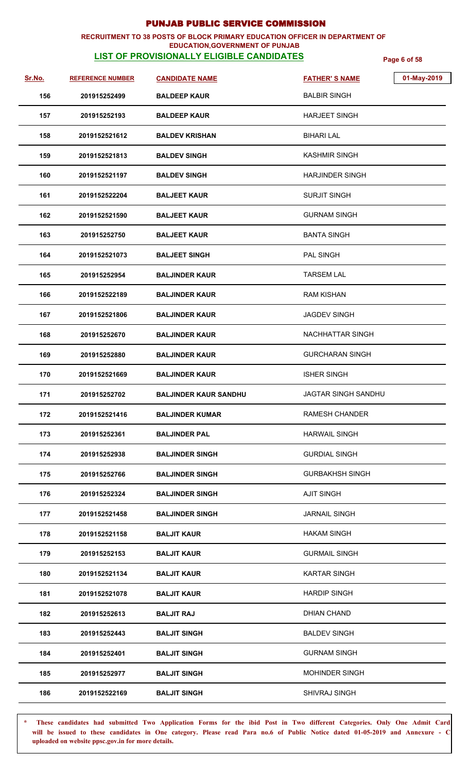### **RECRUITMENT TO 38 POSTS OF BLOCK PRIMARY EDUCATION OFFICER IN DEPARTMENT OF EDUCATION,GOVERNMENT OF PUNJAB**

# **LIST OF PROVISIONALLY ELIGIBLE CANDIDATES Page 6 of 58**

| <u>Sr.No.</u> | <b>REFERENCE NUMBER</b> | <b>CANDIDATE NAME</b>        | <b>FATHER'S NAME</b>       | 01-May-2019 |
|---------------|-------------------------|------------------------------|----------------------------|-------------|
| 156           | 201915252499            | <b>BALDEEP KAUR</b>          | <b>BALBIR SINGH</b>        |             |
| 157           | 201915252193            | <b>BALDEEP KAUR</b>          | <b>HARJEET SINGH</b>       |             |
| 158           | 2019152521612           | <b>BALDEV KRISHAN</b>        | <b>BIHARI LAL</b>          |             |
| 159           | 2019152521813           | <b>BALDEV SINGH</b>          | <b>KASHMIR SINGH</b>       |             |
| 160           | 2019152521197           | <b>BALDEV SINGH</b>          | <b>HARJINDER SINGH</b>     |             |
| 161           | 2019152522204           | <b>BALJEET KAUR</b>          | <b>SURJIT SINGH</b>        |             |
| 162           | 2019152521590           | <b>BALJEET KAUR</b>          | <b>GURNAM SINGH</b>        |             |
| 163           | 201915252750            | <b>BALJEET KAUR</b>          | <b>BANTA SINGH</b>         |             |
| 164           | 2019152521073           | <b>BALJEET SINGH</b>         | <b>PAL SINGH</b>           |             |
| 165           | 201915252954            | <b>BALJINDER KAUR</b>        | <b>TARSEM LAL</b>          |             |
| 166           | 2019152522189           | <b>BALJINDER KAUR</b>        | <b>RAM KISHAN</b>          |             |
| 167           | 2019152521806           | <b>BALJINDER KAUR</b>        | <b>JAGDEV SINGH</b>        |             |
| 168           | 201915252670            | <b>BALJINDER KAUR</b>        | <b>NACHHATTAR SINGH</b>    |             |
| 169           | 201915252880            | <b>BALJINDER KAUR</b>        | <b>GURCHARAN SINGH</b>     |             |
| 170           | 2019152521669           | <b>BALJINDER KAUR</b>        | <b>ISHER SINGH</b>         |             |
| 171           | 201915252702            | <b>BALJINDER KAUR SANDHU</b> | <b>JAGTAR SINGH SANDHU</b> |             |
| 172           | 2019152521416           | <b>BALJINDER KUMAR</b>       | RAMESH CHANDER             |             |
| 173           | 201915252361            | <b>BALJINDER PAL</b>         | <b>HARWAIL SINGH</b>       |             |
| 174           | 201915252938            | <b>BALJINDER SINGH</b>       | <b>GURDIAL SINGH</b>       |             |
| 175           | 201915252766            | <b>BALJINDER SINGH</b>       | <b>GURBAKHSH SINGH</b>     |             |
| 176           | 201915252324            | <b>BALJINDER SINGH</b>       | <b>AJIT SINGH</b>          |             |
| 177           | 2019152521458           | <b>BALJINDER SINGH</b>       | <b>JARNAIL SINGH</b>       |             |
| 178           | 2019152521158           | <b>BALJIT KAUR</b>           | <b>HAKAM SINGH</b>         |             |
| 179           | 201915252153            | <b>BALJIT KAUR</b>           | <b>GURMAIL SINGH</b>       |             |
| 180           | 2019152521134           | <b>BALJIT KAUR</b>           | <b>KARTAR SINGH</b>        |             |
| 181           | 2019152521078           | <b>BALJIT KAUR</b>           | <b>HARDIP SINGH</b>        |             |
| 182           | 201915252613            | <b>BALJIT RAJ</b>            | <b>DHIAN CHAND</b>         |             |
| 183           | 201915252443            | <b>BALJIT SINGH</b>          | <b>BALDEV SINGH</b>        |             |
| 184           | 201915252401            | <b>BALJIT SINGH</b>          | <b>GURNAM SINGH</b>        |             |
| 185           | 201915252977            | <b>BALJIT SINGH</b>          | <b>MOHINDER SINGH</b>      |             |
| 186           | 2019152522169           | <b>BALJIT SINGH</b>          | SHIVRAJ SINGH              |             |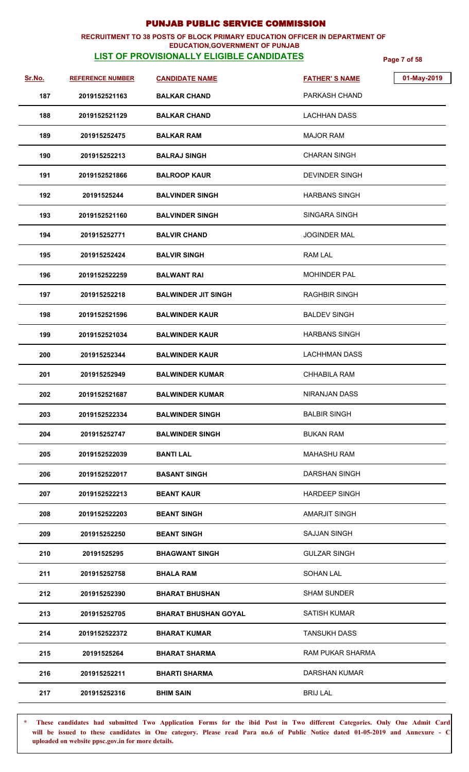### **RECRUITMENT TO 38 POSTS OF BLOCK PRIMARY EDUCATION OFFICER IN DEPARTMENT OF EDUCATION,GOVERNMENT OF PUNJAB**

# **LIST OF PROVISIONALLY ELIGIBLE CANDIDATES Page 7 of 58**

| Sr.No. | <b>REFERENCE NUMBER</b> | <b>CANDIDATE NAME</b>       | 01-May-2019<br><b>FATHER'S NAME</b> |
|--------|-------------------------|-----------------------------|-------------------------------------|
| 187    | 2019152521163           | <b>BALKAR CHAND</b>         | PARKASH CHAND                       |
| 188    | 2019152521129           | <b>BALKAR CHAND</b>         | <b>LACHHAN DASS</b>                 |
| 189    | 201915252475            | <b>BALKAR RAM</b>           | <b>MAJOR RAM</b>                    |
| 190    | 201915252213            | <b>BALRAJ SINGH</b>         | <b>CHARAN SINGH</b>                 |
| 191    | 2019152521866           | <b>BALROOP KAUR</b>         | <b>DEVINDER SINGH</b>               |
| 192    | 20191525244             | <b>BALVINDER SINGH</b>      | <b>HARBANS SINGH</b>                |
| 193    | 2019152521160           | <b>BALVINDER SINGH</b>      | SINGARA SINGH                       |
| 194    | 201915252771            | <b>BALVIR CHAND</b>         | <b>JOGINDER MAL</b>                 |
| 195    | 201915252424            | <b>BALVIR SINGH</b>         | <b>RAM LAL</b>                      |
| 196    | 2019152522259           | <b>BALWANT RAI</b>          | <b>MOHINDER PAL</b>                 |
| 197    | 201915252218            | <b>BALWINDER JIT SINGH</b>  | <b>RAGHBIR SINGH</b>                |
| 198    | 2019152521596           | <b>BALWINDER KAUR</b>       | <b>BALDEV SINGH</b>                 |
| 199    | 2019152521034           | <b>BALWINDER KAUR</b>       | <b>HARBANS SINGH</b>                |
| 200    | 201915252344            | <b>BALWINDER KAUR</b>       | <b>LACHHMAN DASS</b>                |
| 201    | 201915252949            | <b>BALWINDER KUMAR</b>      | CHHABILA RAM                        |
| 202    | 2019152521687           | <b>BALWINDER KUMAR</b>      | <b>NIRANJAN DASS</b>                |
| 203    | 2019152522334           | <b>BALWINDER SINGH</b>      | <b>BALBIR SINGH</b>                 |
| 204    | 201915252747            | <b>BALWINDER SINGH</b>      | <b>BUKAN RAM</b>                    |
| 205    | 2019152522039           | <b>BANTI LAL</b>            | <b>MAHASHU RAM</b>                  |
| 206    | 2019152522017           | <b>BASANT SINGH</b>         | <b>DARSHAN SINGH</b>                |
| 207    | 2019152522213           | <b>BEANT KAUR</b>           | <b>HARDEEP SINGH</b>                |
| 208    | 2019152522203           | <b>BEANT SINGH</b>          | <b>AMARJIT SINGH</b>                |
| 209    | 201915252250            | <b>BEANT SINGH</b>          | <b>SAJJAN SINGH</b>                 |
| 210    | 20191525295             | <b>BHAGWANT SINGH</b>       | <b>GULZAR SINGH</b>                 |
| 211    | 201915252758            | <b>BHALA RAM</b>            | <b>SOHAN LAL</b>                    |
| 212    | 201915252390            | <b>BHARAT BHUSHAN</b>       | <b>SHAM SUNDER</b>                  |
| 213    | 201915252705            | <b>BHARAT BHUSHAN GOYAL</b> | <b>SATISH KUMAR</b>                 |
| 214    | 2019152522372           | <b>BHARAT KUMAR</b>         | <b>TANSUKH DASS</b>                 |
| 215    | 20191525264             | <b>BHARAT SHARMA</b>        | RAM PUKAR SHARMA                    |
| 216    | 201915252211            | <b>BHARTI SHARMA</b>        | <b>DARSHAN KUMAR</b>                |
| 217    | 201915252316            | <b>BHIM SAIN</b>            | <b>BRIJ LAL</b>                     |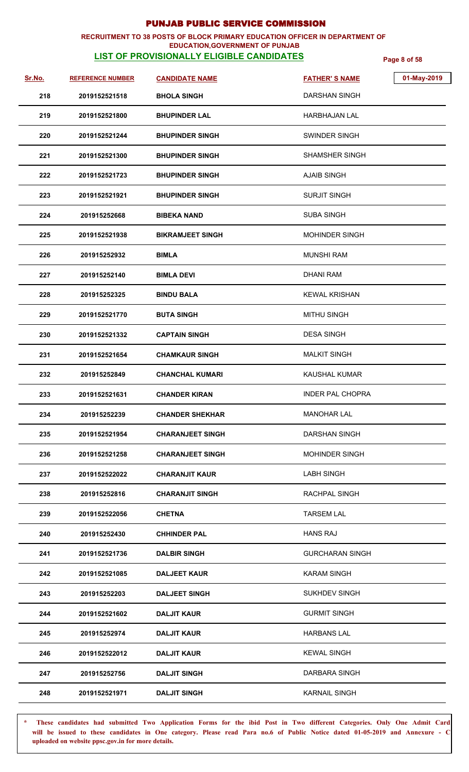### **RECRUITMENT TO 38 POSTS OF BLOCK PRIMARY EDUCATION OFFICER IN DEPARTMENT OF EDUCATION,GOVERNMENT OF PUNJAB**

# **LIST OF PROVISIONALLY ELIGIBLE CANDIDATES Page 8 of 58**

| Sr.No. | <b>REFERENCE NUMBER</b> | <b>CANDIDATE NAME</b>   | 01-May-2019<br><b>FATHER'S NAME</b> |
|--------|-------------------------|-------------------------|-------------------------------------|
| 218    | 2019152521518           | <b>BHOLA SINGH</b>      | <b>DARSHAN SINGH</b>                |
| 219    | 2019152521800           | <b>BHUPINDER LAL</b>    | <b>HARBHAJAN LAL</b>                |
| 220    | 2019152521244           | <b>BHUPINDER SINGH</b>  | <b>SWINDER SINGH</b>                |
| 221    | 2019152521300           | <b>BHUPINDER SINGH</b>  | <b>SHAMSHER SINGH</b>               |
| 222    | 2019152521723           | <b>BHUPINDER SINGH</b>  | <b>AJAIB SINGH</b>                  |
| 223    | 2019152521921           | <b>BHUPINDER SINGH</b>  | <b>SURJIT SINGH</b>                 |
| 224    | 201915252668            | <b>BIBEKA NAND</b>      | <b>SUBA SINGH</b>                   |
| 225    | 2019152521938           | <b>BIKRAMJEET SINGH</b> | <b>MOHINDER SINGH</b>               |
| 226    | 201915252932            | <b>BIMLA</b>            | MUNSHI RAM                          |
| 227    | 201915252140            | <b>BIMLA DEVI</b>       | <b>DHANI RAM</b>                    |
| 228    | 201915252325            | <b>BINDU BALA</b>       | <b>KEWAL KRISHAN</b>                |
| 229    | 2019152521770           | <b>BUTA SINGH</b>       | <b>MITHU SINGH</b>                  |
| 230    | 2019152521332           | <b>CAPTAIN SINGH</b>    | <b>DESA SINGH</b>                   |
| 231    | 2019152521654           | <b>CHAMKAUR SINGH</b>   | <b>MALKIT SINGH</b>                 |
| 232    | 201915252849            | <b>CHANCHAL KUMARI</b>  | <b>KAUSHAL KUMAR</b>                |
| 233    | 2019152521631           | <b>CHANDER KIRAN</b>    | <b>INDER PAL CHOPRA</b>             |
| 234    | 201915252239            | <b>CHANDER SHEKHAR</b>  | <b>MANOHAR LAL</b>                  |
| 235    | 2019152521954           | <b>CHARANJEET SINGH</b> | <b>DARSHAN SINGH</b>                |
| 236    | 2019152521258           | <b>CHARANJEET SINGH</b> | <b>MOHINDER SINGH</b>               |
| 237    | 2019152522022           | <b>CHARANJIT KAUR</b>   | <b>LABH SINGH</b>                   |
| 238    | 201915252816            | <b>CHARANJIT SINGH</b>  | RACHPAL SINGH                       |
| 239    | 2019152522056           | <b>CHETNA</b>           | <b>TARSEM LAL</b>                   |
| 240    | 201915252430            | <b>CHHINDER PAL</b>     | <b>HANS RAJ</b>                     |
| 241    | 2019152521736           | <b>DALBIR SINGH</b>     | <b>GURCHARAN SINGH</b>              |
| 242    | 2019152521085           | <b>DALJEET KAUR</b>     | <b>KARAM SINGH</b>                  |
| 243    | 201915252203            | <b>DALJEET SINGH</b>    | SUKHDEV SINGH                       |
| 244    | 2019152521602           | <b>DALJIT KAUR</b>      | <b>GURMIT SINGH</b>                 |
| 245    | 201915252974            | <b>DALJIT KAUR</b>      | <b>HARBANS LAL</b>                  |
| 246    | 2019152522012           | <b>DALJIT KAUR</b>      | <b>KEWAL SINGH</b>                  |
| 247    | 201915252756            | <b>DALJIT SINGH</b>     | DARBARA SINGH                       |
| 248    | 2019152521971           | <b>DALJIT SINGH</b>     | <b>KARNAIL SINGH</b>                |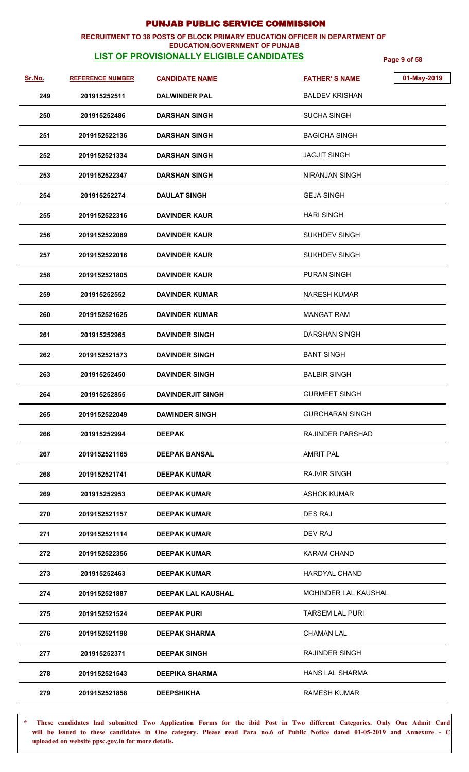### **RECRUITMENT TO 38 POSTS OF BLOCK PRIMARY EDUCATION OFFICER IN DEPARTMENT OF EDUCATION,GOVERNMENT OF PUNJAB**

# **LIST OF PROVISIONALLY ELIGIBLE CANDIDATES Page 9 of 58**

| <u>Sr.No.</u> | <b>REFERENCE NUMBER</b> | <b>CANDIDATE NAME</b>     | 01-May-2019<br><b>FATHER'S NAME</b> |
|---------------|-------------------------|---------------------------|-------------------------------------|
| 249           | 201915252511            | <b>DALWINDER PAL</b>      | <b>BALDEV KRISHAN</b>               |
| 250           | 201915252486            | <b>DARSHAN SINGH</b>      | <b>SUCHA SINGH</b>                  |
| 251           | 2019152522136           | DARSHAN SINGH             | <b>BAGICHA SINGH</b>                |
| 252           | 2019152521334           | <b>DARSHAN SINGH</b>      | <b>JAGJIT SINGH</b>                 |
| 253           | 2019152522347           | <b>DARSHAN SINGH</b>      | NIRANJAN SINGH                      |
| 254           | 201915252274            | <b>DAULAT SINGH</b>       | <b>GEJA SINGH</b>                   |
| 255           | 2019152522316           | <b>DAVINDER KAUR</b>      | <b>HARI SINGH</b>                   |
| 256           | 2019152522089           | <b>DAVINDER KAUR</b>      | <b>SUKHDEV SINGH</b>                |
| 257           | 2019152522016           | <b>DAVINDER KAUR</b>      | <b>SUKHDEV SINGH</b>                |
| 258           | 2019152521805           | <b>DAVINDER KAUR</b>      | PURAN SINGH                         |
| 259           | 201915252552            | <b>DAVINDER KUMAR</b>     | <b>NARESH KUMAR</b>                 |
| 260           | 2019152521625           | <b>DAVINDER KUMAR</b>     | <b>MANGAT RAM</b>                   |
| 261           | 201915252965            | <b>DAVINDER SINGH</b>     | <b>DARSHAN SINGH</b>                |
| 262           | 2019152521573           | <b>DAVINDER SINGH</b>     | <b>BANT SINGH</b>                   |
| 263           | 201915252450            | <b>DAVINDER SINGH</b>     | <b>BALBIR SINGH</b>                 |
| 264           | 201915252855            | <b>DAVINDERJIT SINGH</b>  | <b>GURMEET SINGH</b>                |
| 265           | 2019152522049           | <b>DAWINDER SINGH</b>     | <b>GURCHARAN SINGH</b>              |
| 266           | 201915252994            | <b>DEEPAK</b>             | RAJINDER PARSHAD                    |
| 267           | 2019152521165           | <b>DEEPAK BANSAL</b>      | <b>AMRIT PAL</b>                    |
| 268           | 2019152521741           | <b>DEEPAK KUMAR</b>       | <b>RAJVIR SINGH</b>                 |
| 269           | 201915252953            | <b>DEEPAK KUMAR</b>       | <b>ASHOK KUMAR</b>                  |
| 270           | 2019152521157           | <b>DEEPAK KUMAR</b>       | DES RAJ                             |
| 271           | 2019152521114           | <b>DEEPAK KUMAR</b>       | DEV RAJ                             |
| 272           | 2019152522356           | <b>DEEPAK KUMAR</b>       | KARAM CHAND                         |
| 273           | 201915252463            | <b>DEEPAK KUMAR</b>       | <b>HARDYAL CHAND</b>                |
| 274           | 2019152521887           | <b>DEEPAK LAL KAUSHAL</b> | MOHINDER LAL KAUSHAL                |
| 275           | 2019152521524           | <b>DEEPAK PURI</b>        | <b>TARSEM LAL PURI</b>              |
| 276           | 2019152521198           | <b>DEEPAK SHARMA</b>      | <b>CHAMAN LAL</b>                   |
| 277           | 201915252371            | <b>DEEPAK SINGH</b>       | RAJINDER SINGH                      |
| 278           | 2019152521543           | <b>DEEPIKA SHARMA</b>     | <b>HANS LAL SHARMA</b>              |
| 279           | 2019152521858           | <b>DEEPSHIKHA</b>         | <b>RAMESH KUMAR</b>                 |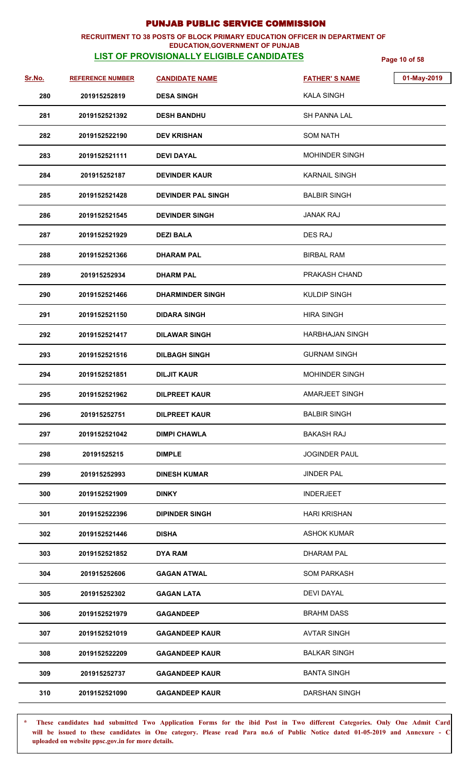### **RECRUITMENT TO 38 POSTS OF BLOCK PRIMARY EDUCATION OFFICER IN DEPARTMENT OF EDUCATION,GOVERNMENT OF PUNJAB**

# **LIST OF PROVISIONALLY ELIGIBLE CANDIDATES Page 10 of 58**

| Sr.No. | <b>REFERENCE NUMBER</b> | <b>CANDIDATE NAME</b>     | 01-May-2019<br><b>FATHER'S NAME</b> |  |
|--------|-------------------------|---------------------------|-------------------------------------|--|
| 280    | 201915252819            | <b>DESA SINGH</b>         | <b>KALA SINGH</b>                   |  |
| 281    | 2019152521392           | <b>DESH BANDHU</b>        | SH PANNA LAL                        |  |
| 282    | 2019152522190           | <b>DEV KRISHAN</b>        | <b>SOM NATH</b>                     |  |
| 283    | 2019152521111           | <b>DEVI DAYAL</b>         | <b>MOHINDER SINGH</b>               |  |
| 284    | 201915252187            | <b>DEVINDER KAUR</b>      | <b>KARNAIL SINGH</b>                |  |
| 285    | 2019152521428           | <b>DEVINDER PAL SINGH</b> | <b>BALBIR SINGH</b>                 |  |
| 286    | 2019152521545           | <b>DEVINDER SINGH</b>     | JANAK RAJ                           |  |
| 287    | 2019152521929           | <b>DEZI BALA</b>          | <b>DES RAJ</b>                      |  |
| 288    | 2019152521366           | <b>DHARAM PAL</b>         | <b>BIRBAL RAM</b>                   |  |
| 289    | 201915252934            | <b>DHARM PAL</b>          | PRAKASH CHAND                       |  |
| 290    | 2019152521466           | <b>DHARMINDER SINGH</b>   | <b>KULDIP SINGH</b>                 |  |
| 291    | 2019152521150           | <b>DIDARA SINGH</b>       | <b>HIRA SINGH</b>                   |  |
| 292    | 2019152521417           | <b>DILAWAR SINGH</b>      | <b>HARBHAJAN SINGH</b>              |  |
| 293    | 2019152521516           | <b>DILBAGH SINGH</b>      | <b>GURNAM SINGH</b>                 |  |
| 294    | 2019152521851           | DILJIT KAUR               | <b>MOHINDER SINGH</b>               |  |
| 295    | 2019152521962           | <b>DILPREET KAUR</b>      | <b>AMARJEET SINGH</b>               |  |
| 296    | 201915252751            | <b>DILPREET KAUR</b>      | <b>BALBIR SINGH</b>                 |  |
| 297    | 2019152521042           | <b>DIMPI CHAWLA</b>       | <b>BAKASH RAJ</b>                   |  |
| 298    | 20191525215             | <b>DIMPLE</b>             | <b>JOGINDER PAUL</b>                |  |
| 299    | 201915252993            | <b>DINESH KUMAR</b>       | <b>JINDER PAL</b>                   |  |
| 300    | 2019152521909           | <b>DINKY</b>              | <b>INDERJEET</b>                    |  |
| 301    | 2019152522396           | <b>DIPINDER SINGH</b>     | <b>HARI KRISHAN</b>                 |  |
| 302    | 2019152521446           | <b>DISHA</b>              | <b>ASHOK KUMAR</b>                  |  |
| 303    | 2019152521852           | DYA RAM                   | <b>DHARAM PAL</b>                   |  |
| 304    | 201915252606            | <b>GAGAN ATWAL</b>        | <b>SOM PARKASH</b>                  |  |
| 305    | 201915252302            | <b>GAGAN LATA</b>         | DEVI DAYAL                          |  |
| 306    | 2019152521979           | <b>GAGANDEEP</b>          | <b>BRAHM DASS</b>                   |  |
| 307    | 2019152521019           | <b>GAGANDEEP KAUR</b>     | <b>AVTAR SINGH</b>                  |  |
| 308    | 2019152522209           | <b>GAGANDEEP KAUR</b>     | <b>BALKAR SINGH</b>                 |  |
| 309    | 201915252737            | <b>GAGANDEEP KAUR</b>     | <b>BANTA SINGH</b>                  |  |
| 310    | 2019152521090           | <b>GAGANDEEP KAUR</b>     | <b>DARSHAN SINGH</b>                |  |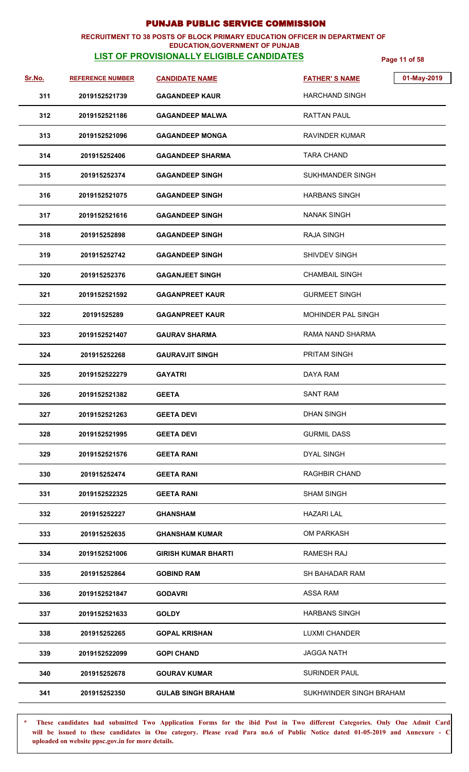### **RECRUITMENT TO 38 POSTS OF BLOCK PRIMARY EDUCATION OFFICER IN DEPARTMENT OF EDUCATION,GOVERNMENT OF PUNJAB**

## **LIST OF PROVISIONALLY ELIGIBLE CANDIDATES Page 11 of 58**

| Sr.No. | <b>REFERENCE NUMBER</b> | <b>CANDIDATE NAME</b>      | 01-May-2019<br><b>FATHER'S NAME</b> |
|--------|-------------------------|----------------------------|-------------------------------------|
| 311    | 2019152521739           | <b>GAGANDEEP KAUR</b>      | <b>HARCHAND SINGH</b>               |
| 312    | 2019152521186           | <b>GAGANDEEP MALWA</b>     | <b>RATTAN PAUL</b>                  |
| 313    | 2019152521096           | <b>GAGANDEEP MONGA</b>     | RAVINDER KUMAR                      |
| 314    | 201915252406            | <b>GAGANDEEP SHARMA</b>    | <b>TARA CHAND</b>                   |
| 315    | 201915252374            | <b>GAGANDEEP SINGH</b>     | <b>SUKHMANDER SINGH</b>             |
| 316    | 2019152521075           | <b>GAGANDEEP SINGH</b>     | <b>HARBANS SINGH</b>                |
| 317    | 2019152521616           | <b>GAGANDEEP SINGH</b>     | <b>NANAK SINGH</b>                  |
| 318    | 201915252898            | <b>GAGANDEEP SINGH</b>     | <b>RAJA SINGH</b>                   |
| 319    | 201915252742            | <b>GAGANDEEP SINGH</b>     | <b>SHIVDEV SINGH</b>                |
| 320    | 201915252376            | <b>GAGANJEET SINGH</b>     | <b>CHAMBAIL SINGH</b>               |
| 321    | 2019152521592           | <b>GAGANPREET KAUR</b>     | <b>GURMEET SINGH</b>                |
| 322    | 20191525289             | <b>GAGANPREET KAUR</b>     | <b>MOHINDER PAL SINGH</b>           |
| 323    | 2019152521407           | <b>GAURAV SHARMA</b>       | RAMA NAND SHARMA                    |
| 324    | 201915252268            | <b>GAURAVJIT SINGH</b>     | PRITAM SINGH                        |
| 325    | 2019152522279           | <b>GAYATRI</b>             | DAYA RAM                            |
| 326    | 2019152521382           | <b>GEETA</b>               | <b>SANT RAM</b>                     |
| 327    | 2019152521263           | <b>GEETA DEVI</b>          | <b>DHAN SINGH</b>                   |
| 328    | 2019152521995           | <b>GEETA DEVI</b>          | <b>GURMIL DASS</b>                  |
| 329    | 2019152521576           | <b>GEETA RANI</b>          | <b>DYAL SINGH</b>                   |
| 330    | 201915252474            | <b>GEETA RANI</b>          | RAGHBIR CHAND                       |
| 331    | 2019152522325           | <b>GEETA RANI</b>          | <b>SHAM SINGH</b>                   |
| 332    | 201915252227            | <b>GHANSHAM</b>            | <b>HAZARI LAL</b>                   |
| 333    | 201915252635            | <b>GHANSHAM KUMAR</b>      | <b>OM PARKASH</b>                   |
| 334    | 2019152521006           | <b>GIRISH KUMAR BHARTI</b> | RAMESH RAJ                          |
| 335    | 201915252864            | <b>GOBIND RAM</b>          | SH BAHADAR RAM                      |
| 336    | 2019152521847           | <b>GODAVRI</b>             | <b>ASSA RAM</b>                     |
| 337    | 2019152521633           | <b>GOLDY</b>               | <b>HARBANS SINGH</b>                |
| 338    | 201915252265            | <b>GOPAL KRISHAN</b>       | <b>LUXMI CHANDER</b>                |
| 339    | 2019152522099           | <b>GOPI CHAND</b>          | <b>JAGGA NATH</b>                   |
| 340    | 201915252678            | <b>GOURAV KUMAR</b>        | <b>SURINDER PAUL</b>                |
| 341    | 201915252350            | <b>GULAB SINGH BRAHAM</b>  | SUKHWINDER SINGH BRAHAM             |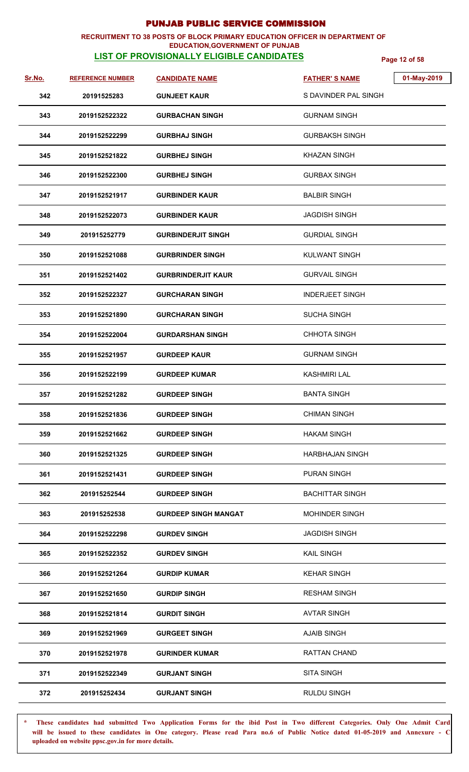### **RECRUITMENT TO 38 POSTS OF BLOCK PRIMARY EDUCATION OFFICER IN DEPARTMENT OF EDUCATION,GOVERNMENT OF PUNJAB**

# **LIST OF PROVISIONALLY ELIGIBLE CANDIDATES Page 12 of 58**

| <u>Sr.No.</u> | <b>REFERENCE NUMBER</b> | <b>CANDIDATE NAME</b>       | 01-May-2019<br><b>FATHER'S NAME</b> |
|---------------|-------------------------|-----------------------------|-------------------------------------|
| 342           | 20191525283             | <b>GUNJEET KAUR</b>         | S DAVINDER PAL SINGH                |
| 343           | 2019152522322           | <b>GURBACHAN SINGH</b>      | <b>GURNAM SINGH</b>                 |
| 344           | 2019152522299           | <b>GURBHAJ SINGH</b>        | <b>GURBAKSH SINGH</b>               |
| 345           | 2019152521822           | <b>GURBHEJ SINGH</b>        | <b>KHAZAN SINGH</b>                 |
| 346           | 2019152522300           | <b>GURBHEJ SINGH</b>        | <b>GURBAX SINGH</b>                 |
| 347           | 2019152521917           | <b>GURBINDER KAUR</b>       | <b>BALBIR SINGH</b>                 |
| 348           | 2019152522073           | <b>GURBINDER KAUR</b>       | <b>JAGDISH SINGH</b>                |
| 349           | 201915252779            | <b>GURBINDERJIT SINGH</b>   | <b>GURDIAL SINGH</b>                |
| 350           | 2019152521088           | <b>GURBRINDER SINGH</b>     | <b>KULWANT SINGH</b>                |
| 351           | 2019152521402           | <b>GURBRINDERJIT KAUR</b>   | <b>GURVAIL SINGH</b>                |
| 352           | 2019152522327           | <b>GURCHARAN SINGH</b>      | <b>INDERJEET SINGH</b>              |
| 353           | 2019152521890           | <b>GURCHARAN SINGH</b>      | <b>SUCHA SINGH</b>                  |
| 354           | 2019152522004           | <b>GURDARSHAN SINGH</b>     | <b>CHHOTA SINGH</b>                 |
| 355           | 2019152521957           | <b>GURDEEP KAUR</b>         | <b>GURNAM SINGH</b>                 |
| 356           | 2019152522199           | <b>GURDEEP KUMAR</b>        | <b>KASHMIRI LAL</b>                 |
| 357           | 2019152521282           | <b>GURDEEP SINGH</b>        | <b>BANTA SINGH</b>                  |
| 358           | 2019152521836           | <b>GURDEEP SINGH</b>        | <b>CHIMAN SINGH</b>                 |
| 359           | 2019152521662           | <b>GURDEEP SINGH</b>        | <b>HAKAM SINGH</b>                  |
| 360           | 2019152521325           | <b>GURDEEP SINGH</b>        | <b>HARBHAJAN SINGH</b>              |
| 361           | 2019152521431           | <b>GURDEEP SINGH</b>        | <b>PURAN SINGH</b>                  |
| 362           | 201915252544            | <b>GURDEEP SINGH</b>        | <b>BACHITTAR SINGH</b>              |
| 363           | 201915252538            | <b>GURDEEP SINGH MANGAT</b> | <b>MOHINDER SINGH</b>               |
| 364           | 2019152522298           | <b>GURDEV SINGH</b>         | <b>JAGDISH SINGH</b>                |
| 365           | 2019152522352           | <b>GURDEV SINGH</b>         | <b>KAIL SINGH</b>                   |
| 366           | 2019152521264           | <b>GURDIP KUMAR</b>         | <b>KEHAR SINGH</b>                  |
| 367           | 2019152521650           | <b>GURDIP SINGH</b>         | <b>RESHAM SINGH</b>                 |
| 368           | 2019152521814           | <b>GURDIT SINGH</b>         | <b>AVTAR SINGH</b>                  |
| 369           | 2019152521969           | <b>GURGEET SINGH</b>        | <b>AJAIB SINGH</b>                  |
| 370           | 2019152521978           | <b>GURINDER KUMAR</b>       | RATTAN CHAND                        |
| 371           | 2019152522349           | <b>GURJANT SINGH</b>        | <b>SITA SINGH</b>                   |
| 372           | 201915252434            | <b>GURJANT SINGH</b>        | <b>RULDU SINGH</b>                  |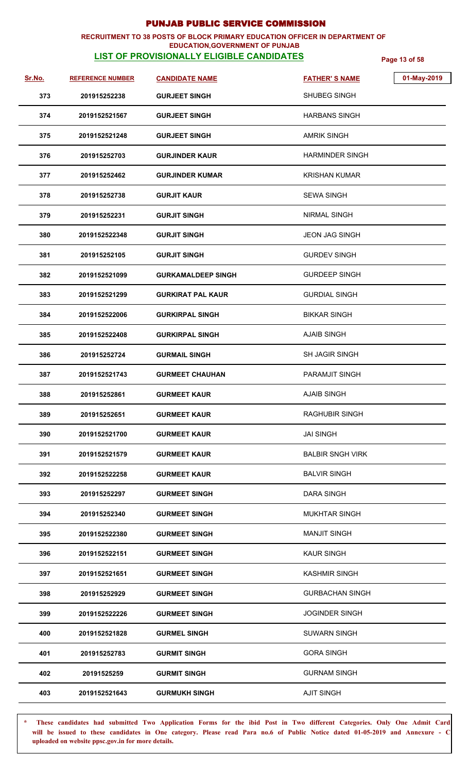### **RECRUITMENT TO 38 POSTS OF BLOCK PRIMARY EDUCATION OFFICER IN DEPARTMENT OF EDUCATION,GOVERNMENT OF PUNJAB**

# **LIST OF PROVISIONALLY ELIGIBLE CANDIDATES Page 13 of 58**

| Sr.No. | <b>REFERENCE NUMBER</b> | <b>CANDIDATE NAME</b>     | 01-May-2019<br><b>FATHER'S NAME</b> |  |
|--------|-------------------------|---------------------------|-------------------------------------|--|
| 373    | 201915252238            | <b>GURJEET SINGH</b>      | SHUBEG SINGH                        |  |
| 374    | 2019152521567           | <b>GURJEET SINGH</b>      | <b>HARBANS SINGH</b>                |  |
| 375    | 2019152521248           | <b>GURJEET SINGH</b>      | AMRIK SINGH                         |  |
| 376    | 201915252703            | <b>GURJINDER KAUR</b>     | <b>HARMINDER SINGH</b>              |  |
| 377    | 201915252462            | <b>GURJINDER KUMAR</b>    | <b>KRISHAN KUMAR</b>                |  |
| 378    | 201915252738            | <b>GURJIT KAUR</b>        | <b>SEWA SINGH</b>                   |  |
| 379    | 201915252231            | <b>GURJIT SINGH</b>       | <b>NIRMAL SINGH</b>                 |  |
| 380    | 2019152522348           | <b>GURJIT SINGH</b>       | <b>JEON JAG SINGH</b>               |  |
| 381    | 201915252105            | <b>GURJIT SINGH</b>       | <b>GURDEV SINGH</b>                 |  |
| 382    | 2019152521099           | <b>GURKAMALDEEP SINGH</b> | <b>GURDEEP SINGH</b>                |  |
| 383    | 2019152521299           | <b>GURKIRAT PAL KAUR</b>  | <b>GURDIAL SINGH</b>                |  |
| 384    | 2019152522006           | <b>GURKIRPAL SINGH</b>    | <b>BIKKAR SINGH</b>                 |  |
| 385    | 2019152522408           | <b>GURKIRPAL SINGH</b>    | <b>AJAIB SINGH</b>                  |  |
| 386    | 201915252724            | <b>GURMAIL SINGH</b>      | <b>SH JAGIR SINGH</b>               |  |
| 387    | 2019152521743           | <b>GURMEET CHAUHAN</b>    | <b>PARAMJIT SINGH</b>               |  |
| 388    | 201915252861            | <b>GURMEET KAUR</b>       | <b>AJAIB SINGH</b>                  |  |
| 389    | 201915252651            | <b>GURMEET KAUR</b>       | <b>RAGHUBIR SINGH</b>               |  |
| 390    | 2019152521700           | <b>GURMEET KAUR</b>       | <b>JAI SINGH</b>                    |  |
| 391    | 2019152521579           | <b>GURMEET KAUR</b>       | <b>BALBIR SNGH VIRK</b>             |  |
| 392    | 2019152522258           | <b>GURMEET KAUR</b>       | <b>BALVIR SINGH</b>                 |  |
| 393    | 201915252297            | <b>GURMEET SINGH</b>      | <b>DARA SINGH</b>                   |  |
| 394    | 201915252340            | <b>GURMEET SINGH</b>      | <b>MUKHTAR SINGH</b>                |  |
| 395    | 2019152522380           | <b>GURMEET SINGH</b>      | <b>MANJIT SINGH</b>                 |  |
| 396    | 2019152522151           | <b>GURMEET SINGH</b>      | <b>KAUR SINGH</b>                   |  |
| 397    | 2019152521651           | <b>GURMEET SINGH</b>      | <b>KASHMIR SINGH</b>                |  |
| 398    | 201915252929            | <b>GURMEET SINGH</b>      | <b>GURBACHAN SINGH</b>              |  |
| 399    | 2019152522226           | <b>GURMEET SINGH</b>      | <b>JOGINDER SINGH</b>               |  |
| 400    | 2019152521828           | <b>GURMEL SINGH</b>       | <b>SUWARN SINGH</b>                 |  |
| 401    | 201915252783            | <b>GURMIT SINGH</b>       | <b>GORA SINGH</b>                   |  |
| 402    | 20191525259             | <b>GURMIT SINGH</b>       | <b>GURNAM SINGH</b>                 |  |
| 403    | 2019152521643           | <b>GURMUKH SINGH</b>      | <b>AJIT SINGH</b>                   |  |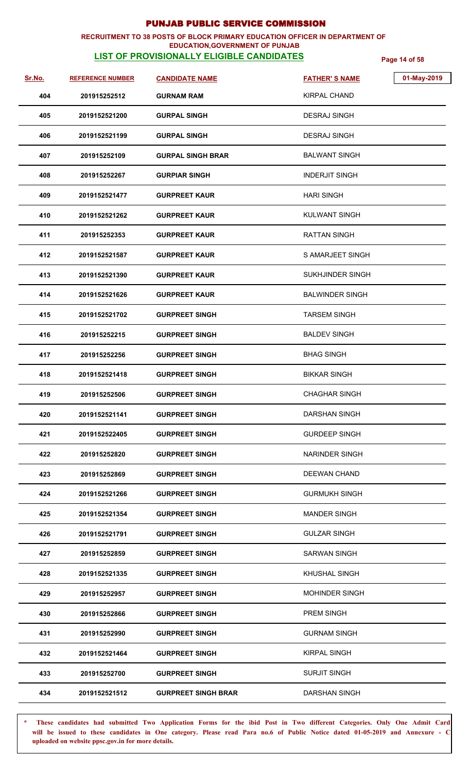### **RECRUITMENT TO 38 POSTS OF BLOCK PRIMARY EDUCATION OFFICER IN DEPARTMENT OF EDUCATION,GOVERNMENT OF PUNJAB**

## **LIST OF PROVISIONALLY ELIGIBLE CANDIDATES Page 14 of 58**

| <u>Sr.No.</u> | <b>REFERENCE NUMBER</b> | <b>CANDIDATE NAME</b>      | 01-May-2019<br><b>FATHER'S NAME</b> |
|---------------|-------------------------|----------------------------|-------------------------------------|
| 404           | 201915252512            | <b>GURNAM RAM</b>          | <b>KIRPAL CHAND</b>                 |
| 405           | 2019152521200           | <b>GURPAL SINGH</b>        | <b>DESRAJ SINGH</b>                 |
| 406           | 2019152521199           | <b>GURPAL SINGH</b>        | <b>DESRAJ SINGH</b>                 |
| 407           | 201915252109            | <b>GURPAL SINGH BRAR</b>   | <b>BALWANT SINGH</b>                |
| 408           | 201915252267            | <b>GURPIAR SINGH</b>       | <b>INDERJIT SINGH</b>               |
| 409           | 2019152521477           | <b>GURPREET KAUR</b>       | <b>HARI SINGH</b>                   |
| 410           | 2019152521262           | <b>GURPREET KAUR</b>       | <b>KULWANT SINGH</b>                |
| 411           | 201915252353            | <b>GURPREET KAUR</b>       | RATTAN SINGH                        |
| 412           | 2019152521587           | <b>GURPREET KAUR</b>       | S AMARJEET SINGH                    |
| 413           | 2019152521390           | <b>GURPREET KAUR</b>       | <b>SUKHJINDER SINGH</b>             |
| 414           | 2019152521626           | <b>GURPREET KAUR</b>       | <b>BALWINDER SINGH</b>              |
| 415           | 2019152521702           | <b>GURPREET SINGH</b>      | <b>TARSEM SINGH</b>                 |
| 416           | 201915252215            | <b>GURPREET SINGH</b>      | <b>BALDEV SINGH</b>                 |
| 417           | 201915252256            | <b>GURPREET SINGH</b>      | <b>BHAG SINGH</b>                   |
| 418           | 2019152521418           | <b>GURPREET SINGH</b>      | <b>BIKKAR SINGH</b>                 |
| 419           | 201915252506            | <b>GURPREET SINGH</b>      | <b>CHAGHAR SINGH</b>                |
| 420           | 2019152521141           | <b>GURPREET SINGH</b>      | <b>DARSHAN SINGH</b>                |
| 421           | 2019152522405           | <b>GURPREET SINGH</b>      | <b>GURDEEP SINGH</b>                |
| 422           | 201915252820            | <b>GURPREET SINGH</b>      | <b>NARINDER SINGH</b>               |
| 423           | 201915252869            | <b>GURPREET SINGH</b>      | <b>DEEWAN CHAND</b>                 |
| 424           | 2019152521266           | <b>GURPREET SINGH</b>      | <b>GURMUKH SINGH</b>                |
| 425           | 2019152521354           | <b>GURPREET SINGH</b>      | <b>MANDER SINGH</b>                 |
| 426           | 2019152521791           | <b>GURPREET SINGH</b>      | <b>GULZAR SINGH</b>                 |
| 427           | 201915252859            | <b>GURPREET SINGH</b>      | <b>SARWAN SINGH</b>                 |
| 428           | 2019152521335           | <b>GURPREET SINGH</b>      | KHUSHAL SINGH                       |
| 429           | 201915252957            | <b>GURPREET SINGH</b>      | <b>MOHINDER SINGH</b>               |
| 430           | 201915252866            | <b>GURPREET SINGH</b>      | PREM SINGH                          |
| 431           | 201915252990            | <b>GURPREET SINGH</b>      | <b>GURNAM SINGH</b>                 |
| 432           | 2019152521464           | <b>GURPREET SINGH</b>      | <b>KIRPAL SINGH</b>                 |
| 433           | 201915252700            | <b>GURPREET SINGH</b>      | <b>SURJIT SINGH</b>                 |
| 434           | 2019152521512           | <b>GURPREET SINGH BRAR</b> | <b>DARSHAN SINGH</b>                |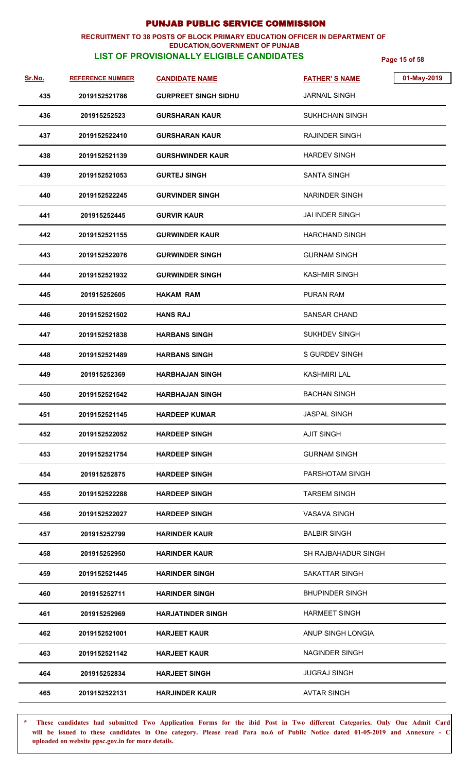### **RECRUITMENT TO 38 POSTS OF BLOCK PRIMARY EDUCATION OFFICER IN DEPARTMENT OF EDUCATION,GOVERNMENT OF PUNJAB**

# **LIST OF PROVISIONALLY ELIGIBLE CANDIDATES Page 15 of 58**

| Sr.No. | <b>REFERENCE NUMBER</b> | <b>CANDIDATE NAME</b>       | 01-May-2019<br><b>FATHER'S NAME</b> |
|--------|-------------------------|-----------------------------|-------------------------------------|
| 435    | 2019152521786           | <b>GURPREET SINGH SIDHU</b> | <b>JARNAIL SINGH</b>                |
| 436    | 201915252523            | <b>GURSHARAN KAUR</b>       | <b>SUKHCHAIN SINGH</b>              |
| 437    | 2019152522410           | <b>GURSHARAN KAUR</b>       | RAJINDER SINGH                      |
| 438    | 2019152521139           | <b>GURSHWINDER KAUR</b>     | <b>HARDEV SINGH</b>                 |
| 439    | 2019152521053           | <b>GURTEJ SINGH</b>         | <b>SANTA SINGH</b>                  |
| 440    | 2019152522245           | <b>GURVINDER SINGH</b>      | NARINDER SINGH                      |
| 441    | 201915252445            | <b>GURVIR KAUR</b>          | <b>JAI INDER SINGH</b>              |
| 442    | 2019152521155           | <b>GURWINDER KAUR</b>       | <b>HARCHAND SINGH</b>               |
| 443    | 2019152522076           | <b>GURWINDER SINGH</b>      | <b>GURNAM SINGH</b>                 |
| 444    | 2019152521932           | <b>GURWINDER SINGH</b>      | <b>KASHMIR SINGH</b>                |
| 445    | 201915252605            | <b>HAKAM RAM</b>            | <b>PURAN RAM</b>                    |
| 446    | 2019152521502           | <b>HANS RAJ</b>             | SANSAR CHAND                        |
| 447    | 2019152521838           | <b>HARBANS SINGH</b>        | <b>SUKHDEV SINGH</b>                |
| 448    | 2019152521489           | <b>HARBANS SINGH</b>        | <b>S GURDEV SINGH</b>               |
| 449    | 201915252369            | <b>HARBHAJAN SINGH</b>      | KASHMIRI LAL                        |
| 450    | 2019152521542           | <b>HARBHAJAN SINGH</b>      | <b>BACHAN SINGH</b>                 |
| 451    | 2019152521145           | <b>HARDEEP KUMAR</b>        | <b>JASPAL SINGH</b>                 |
| 452    | 2019152522052           | <b>HARDEEP SINGH</b>        | <b>AJIT SINGH</b>                   |
| 453    | 2019152521754           | <b>HARDEEP SINGH</b>        | <b>GURNAM SINGH</b>                 |
| 454    | 201915252875            | <b>HARDEEP SINGH</b>        | PARSHOTAM SINGH                     |
| 455    | 2019152522288           | <b>HARDEEP SINGH</b>        | <b>TARSEM SINGH</b>                 |
| 456    | 2019152522027           | <b>HARDEEP SINGH</b>        | <b>VASAVA SINGH</b>                 |
| 457    | 201915252799            | <b>HARINDER KAUR</b>        | <b>BALBIR SINGH</b>                 |
| 458    | 201915252950            | <b>HARINDER KAUR</b>        | SH RAJBAHADUR SINGH                 |
| 459    | 2019152521445           | <b>HARINDER SINGH</b>       | SAKATTAR SINGH                      |
| 460    | 201915252711            | <b>HARINDER SINGH</b>       | <b>BHUPINDER SINGH</b>              |
| 461    | 201915252969            | <b>HARJATINDER SINGH</b>    | <b>HARMEET SINGH</b>                |
| 462    | 2019152521001           | <b>HARJEET KAUR</b>         | ANUP SINGH LONGIA                   |
| 463    | 2019152521142           | <b>HARJEET KAUR</b>         | <b>NAGINDER SINGH</b>               |
| 464    | 201915252834            | <b>HARJEET SINGH</b>        | <b>JUGRAJ SINGH</b>                 |
| 465    | 2019152522131           | <b>HARJINDER KAUR</b>       | <b>AVTAR SINGH</b>                  |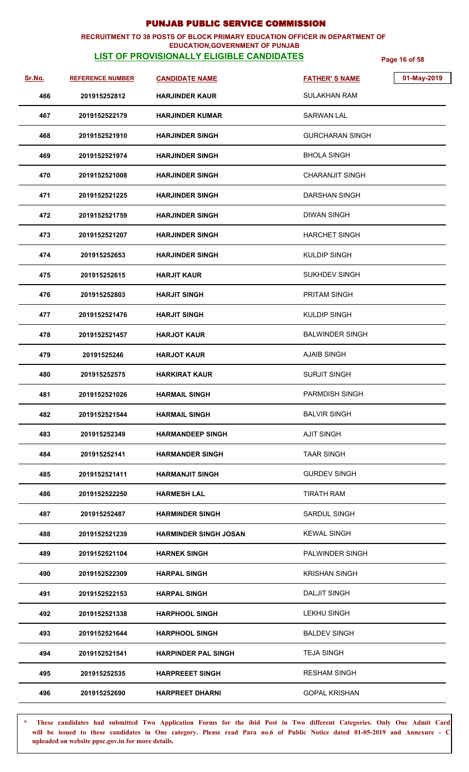### **RECRUITMENT TO 38 POSTS OF BLOCK PRIMARY EDUCATION OFFICER IN DEPARTMENT OF EDUCATION,GOVERNMENT OF PUNJAB**

# **LIST OF PROVISIONALLY ELIGIBLE CANDIDATES Page 16 of 58**

| Sr.No. | <b>REFERENCE NUMBER</b> | <b>CANDIDATE NAME</b>        | <b>FATHER'S NAME</b>   | 01-May-2019 |
|--------|-------------------------|------------------------------|------------------------|-------------|
| 466    | 201915252812            | <b>HARJINDER KAUR</b>        | SULAKHAN RAM           |             |
| 467    | 2019152522179           | HARJINDER KUMAR              | SARWAN LAL             |             |
| 468    | 2019152521910           | <b>HARJINDER SINGH</b>       | <b>GURCHARAN SINGH</b> |             |
| 469    | 2019152521974           | <b>HARJINDER SINGH</b>       | <b>BHOLA SINGH</b>     |             |
| 470    | 2019152521008           | <b>HARJINDER SINGH</b>       | <b>CHARANJIT SINGH</b> |             |
| 471    | 2019152521225           | <b>HARJINDER SINGH</b>       | DARSHAN SINGH          |             |
| 472    | 2019152521759           | <b>HARJINDER SINGH</b>       | <b>DIWAN SINGH</b>     |             |
| 473    | 2019152521207           | <b>HARJINDER SINGH</b>       | <b>HARCHET SINGH</b>   |             |
| 474    | 201915252653            | <b>HARJINDER SINGH</b>       | <b>KULDIP SINGH</b>    |             |
| 475    | 201915252615            | <b>HARJIT KAUR</b>           | <b>SUKHDEV SINGH</b>   |             |
| 476    | 201915252803            | <b>HARJIT SINGH</b>          | PRITAM SINGH           |             |
| 477    | 2019152521476           | <b>HARJIT SINGH</b>          | <b>KULDIP SINGH</b>    |             |
| 478    | 2019152521457           | <b>HARJOT KAUR</b>           | <b>BALWINDER SINGH</b> |             |
| 479    | 20191525246             | <b>HARJOT KAUR</b>           | <b>AJAIB SINGH</b>     |             |
| 480    | 201915252575            | <b>HARKIRAT KAUR</b>         | <b>SURJIT SINGH</b>    |             |
| 481    | 2019152521026           | <b>HARMAIL SINGH</b>         | <b>PARMDISH SINGH</b>  |             |
| 482    | 2019152521544           | <b>HARMAIL SINGH</b>         | <b>BALVIR SINGH</b>    |             |
| 483    | 201915252349            | <b>HARMANDEEP SINGH</b>      | <b>AJIT SINGH</b>      |             |
| 484    | 201915252141            | HARMANDER SINGH              | <b>TAAR SINGH</b>      |             |
| 485    | 2019152521411           | <b>HARMANJIT SINGH</b>       | <b>GURDEV SINGH</b>    |             |
| 486    | 2019152522250           | <b>HARMESH LAL</b>           | <b>TIRATH RAM</b>      |             |
| 487    | 201915252487            | <b>HARMINDER SINGH</b>       | SARDUL SINGH           |             |
| 488    | 2019152521239           | <b>HARMINDER SINGH JOSAN</b> | <b>KEWAL SINGH</b>     |             |
| 489    | 2019152521104           | <b>HARNEK SINGH</b>          | PALWINDER SINGH        |             |
| 490    | 2019152522309           | <b>HARPAL SINGH</b>          | <b>KRISHAN SINGH</b>   |             |
| 491    | 2019152522153           | <b>HARPAL SINGH</b>          | <b>DALJIT SINGH</b>    |             |
| 492    | 2019152521338           | <b>HARPHOOL SINGH</b>        | <b>LEKHU SINGH</b>     |             |
| 493    | 2019152521644           | <b>HARPHOOL SINGH</b>        | <b>BALDEV SINGH</b>    |             |
| 494    | 2019152521541           | <b>HARPINDER PAL SINGH</b>   | <b>TEJA SINGH</b>      |             |
| 495    | 201915252535            | <b>HARPREEET SINGH</b>       | <b>RESHAM SINGH</b>    |             |
| 496    | 201915252690            | <b>HARPREET DHARNI</b>       | <b>GOPAL KRISHAN</b>   |             |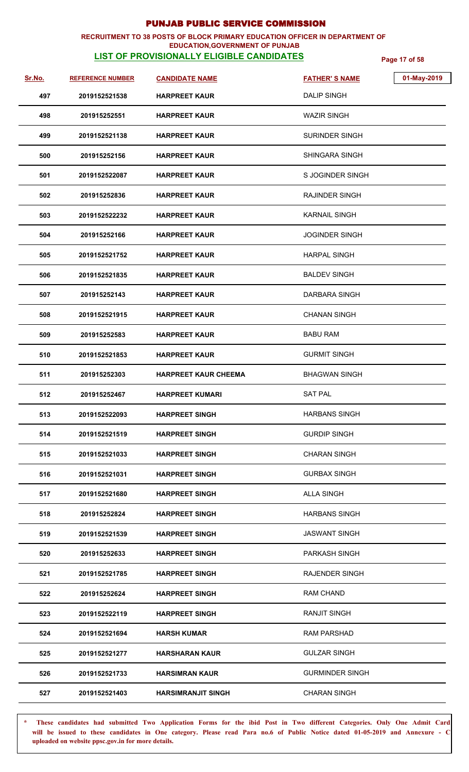### **RECRUITMENT TO 38 POSTS OF BLOCK PRIMARY EDUCATION OFFICER IN DEPARTMENT OF EDUCATION,GOVERNMENT OF PUNJAB**

# **LIST OF PROVISIONALLY ELIGIBLE CANDIDATES Page 17 of 58**

| <u>Sr.No.</u> | <b>REFERENCE NUMBER</b> | <b>CANDIDATE NAME</b>       | 01-May-2019<br><b>FATHER'S NAME</b> |
|---------------|-------------------------|-----------------------------|-------------------------------------|
| 497           | 2019152521538           | <b>HARPREET KAUR</b>        | <b>DALIP SINGH</b>                  |
| 498           | 201915252551            | <b>HARPREET KAUR</b>        | <b>WAZIR SINGH</b>                  |
| 499           | 2019152521138           | <b>HARPREET KAUR</b>        | SURINDER SINGH                      |
| 500           | 201915252156            | <b>HARPREET KAUR</b>        | SHINGARA SINGH                      |
|               |                         |                             |                                     |
| 501           | 2019152522087           | <b>HARPREET KAUR</b>        | S JOGINDER SINGH                    |
| 502           | 201915252836            | <b>HARPREET KAUR</b>        | RAJINDER SINGH                      |
| 503           | 2019152522232           | <b>HARPREET KAUR</b>        | <b>KARNAIL SINGH</b>                |
| 504           | 201915252166            | <b>HARPREET KAUR</b>        | <b>JOGINDER SINGH</b>               |
| 505           | 2019152521752           | <b>HARPREET KAUR</b>        | <b>HARPAL SINGH</b>                 |
| 506           | 2019152521835           | <b>HARPREET KAUR</b>        | <b>BALDEV SINGH</b>                 |
| 507           | 201915252143            | <b>HARPREET KAUR</b>        | <b>DARBARA SINGH</b>                |
| 508           | 2019152521915           | <b>HARPREET KAUR</b>        | <b>CHANAN SINGH</b>                 |
| 509           | 201915252583            | <b>HARPREET KAUR</b>        | <b>BABU RAM</b>                     |
| 510           | 2019152521853           | <b>HARPREET KAUR</b>        | <b>GURMIT SINGH</b>                 |
| 511           | 201915252303            | <b>HARPREET KAUR CHEEMA</b> | <b>BHAGWAN SINGH</b>                |
| 512           | 201915252467            | <b>HARPREET KUMARI</b>      | <b>SAT PAL</b>                      |
| 513           | 2019152522093           | <b>HARPREET SINGH</b>       | <b>HARBANS SINGH</b>                |
| 514           | 2019152521519           | <b>HARPREET SINGH</b>       | <b>GURDIP SINGH</b>                 |
| 515           | 2019152521033           | <b>HARPREET SINGH</b>       | <b>CHARAN SINGH</b>                 |
| 516           | 2019152521031           | <b>HARPREET SINGH</b>       | <b>GURBAX SINGH</b>                 |
| 517           | 2019152521680           | <b>HARPREET SINGH</b>       | <b>ALLA SINGH</b>                   |
| 518           | 201915252824            | <b>HARPREET SINGH</b>       | <b>HARBANS SINGH</b>                |
| 519           | 2019152521539           | <b>HARPREET SINGH</b>       | <b>JASWANT SINGH</b>                |
| 520           | 201915252633            | <b>HARPREET SINGH</b>       | <b>PARKASH SINGH</b>                |
| 521           | 2019152521785           | <b>HARPREET SINGH</b>       | <b>RAJENDER SINGH</b>               |
| 522           | 201915252624            | <b>HARPREET SINGH</b>       | RAM CHAND                           |
| 523           | 2019152522119           | <b>HARPREET SINGH</b>       | <b>RANJIT SINGH</b>                 |
| 524           | 2019152521694           | <b>HARSH KUMAR</b>          | <b>RAM PARSHAD</b>                  |
| 525           | 2019152521277           | <b>HARSHARAN KAUR</b>       | <b>GULZAR SINGH</b>                 |
| 526           | 2019152521733           | <b>HARSIMRAN KAUR</b>       | <b>GURMINDER SINGH</b>              |
| 527           | 2019152521403           | <b>HARSIMRANJIT SINGH</b>   | <b>CHARAN SINGH</b>                 |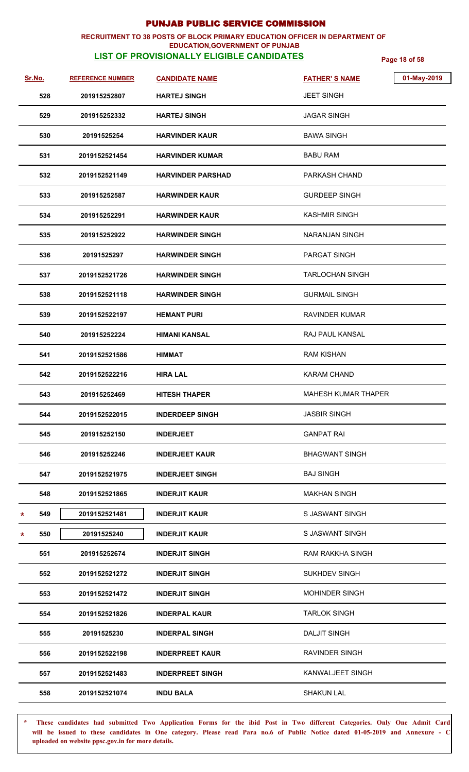### **RECRUITMENT TO 38 POSTS OF BLOCK PRIMARY EDUCATION OFFICER IN DEPARTMENT OF EDUCATION,GOVERNMENT OF PUNJAB**

# **LIST OF PROVISIONALLY ELIGIBLE CANDIDATES Page 18 of 58**

| <u>Sr.No.</u> | <b>REFERENCE NUMBER</b> | <b>CANDIDATE NAME</b>    | 01-May-2019<br><b>FATHER'S NAME</b> |
|---------------|-------------------------|--------------------------|-------------------------------------|
| 528           | 201915252807            | <b>HARTEJ SINGH</b>      | <b>JEET SINGH</b>                   |
| 529           | 201915252332            | <b>HARTEJ SINGH</b>      | <b>JAGAR SINGH</b>                  |
| 530           | 20191525254             | <b>HARVINDER KAUR</b>    | <b>BAWA SINGH</b>                   |
| 531           | 2019152521454           | <b>HARVINDER KUMAR</b>   | <b>BABU RAM</b>                     |
| 532           | 2019152521149           | <b>HARVINDER PARSHAD</b> | PARKASH CHAND                       |
| 533           | 201915252587            | <b>HARWINDER KAUR</b>    | <b>GURDEEP SINGH</b>                |
| 534           | 201915252291            | <b>HARWINDER KAUR</b>    | <b>KASHMIR SINGH</b>                |
| 535           | 201915252922            | <b>HARWINDER SINGH</b>   | NARANJAN SINGH                      |
| 536           | 20191525297             | <b>HARWINDER SINGH</b>   | PARGAT SINGH                        |
| 537           | 2019152521726           | <b>HARWINDER SINGH</b>   | <b>TARLOCHAN SINGH</b>              |
| 538           | 2019152521118           | <b>HARWINDER SINGH</b>   | <b>GURMAIL SINGH</b>                |
| 539           | 2019152522197           | <b>HEMANT PURI</b>       | <b>RAVINDER KUMAR</b>               |
| 540           | 201915252224            | HIMANI KANSAL            | RAJ PAUL KANSAL                     |
| 541           | 2019152521586           | <b>HIMMAT</b>            | <b>RAM KISHAN</b>                   |
| 542           | 2019152522216           | <b>HIRA LAL</b>          | <b>KARAM CHAND</b>                  |
| 543           | 201915252469            | <b>HITESH THAPER</b>     | <b>MAHESH KUMAR THAPER</b>          |
| 544           | 2019152522015           | <b>INDERDEEP SINGH</b>   | <b>JASBIR SINGH</b>                 |
| 545           | 201915252150            | <b>INDERJEET</b>         | <b>GANPAT RAI</b>                   |
| 546           | 201915252246            | <b>INDERJEET KAUR</b>    | <b>BHAGWANT SINGH</b>               |
| 547           | 2019152521975           | <b>INDERJEET SINGH</b>   | <b>BAJ SINGH</b>                    |
| 548           | 2019152521865           | <b>INDERJIT KAUR</b>     | <b>MAKHAN SINGH</b>                 |
| 549<br>*      | 2019152521481           | <b>INDERJIT KAUR</b>     | S JASWANT SINGH                     |
| 550<br>*      | 20191525240             | <b>INDERJIT KAUR</b>     | S JASWANT SINGH                     |
| 551           | 201915252674            | <b>INDERJIT SINGH</b>    | RAM RAKKHA SINGH                    |
| 552           | 2019152521272           | <b>INDERJIT SINGH</b>    | SUKHDEV SINGH                       |
| 553           | 2019152521472           | <b>INDERJIT SINGH</b>    | <b>MOHINDER SINGH</b>               |
| 554           | 2019152521826           | <b>INDERPAL KAUR</b>     | <b>TARLOK SINGH</b>                 |
| 555           | 20191525230             | <b>INDERPAL SINGH</b>    | <b>DALJIT SINGH</b>                 |
| 556           | 2019152522198           | <b>INDERPREET KAUR</b>   | RAVINDER SINGH                      |
| 557           | 2019152521483           | <b>INDERPREET SINGH</b>  | KANWALJEET SINGH                    |
| 558           | 2019152521074           | <b>INDU BALA</b>         | <b>SHAKUN LAL</b>                   |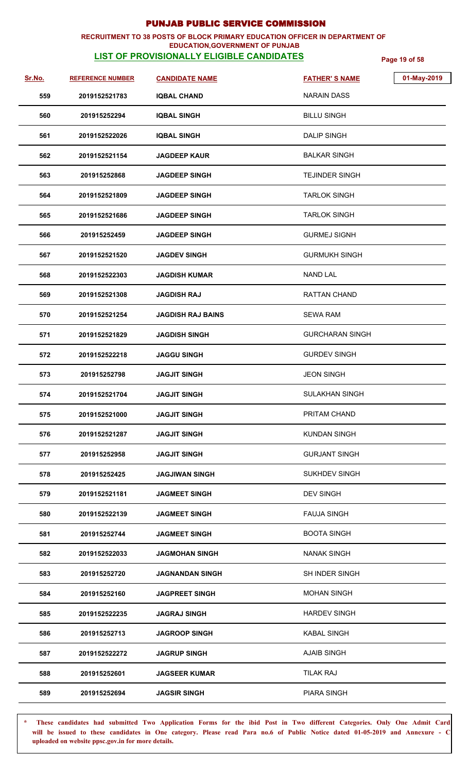### **RECRUITMENT TO 38 POSTS OF BLOCK PRIMARY EDUCATION OFFICER IN DEPARTMENT OF EDUCATION,GOVERNMENT OF PUNJAB**

# **LIST OF PROVISIONALLY ELIGIBLE CANDIDATES Page 19 of 58**

| Sr.No. | <b>REFERENCE NUMBER</b> | <b>CANDIDATE NAME</b>    | <b>FATHER'S NAME</b>   | 01-May-2019 |
|--------|-------------------------|--------------------------|------------------------|-------------|
| 559    | 2019152521783           | <b>IQBAL CHAND</b>       | <b>NARAIN DASS</b>     |             |
| 560    | 201915252294            | <b>IQBAL SINGH</b>       | <b>BILLU SINGH</b>     |             |
| 561    | 2019152522026           | <b>IQBAL SINGH</b>       | <b>DALIP SINGH</b>     |             |
| 562    | 2019152521154           | <b>JAGDEEP KAUR</b>      | BALKAR SINGH           |             |
| 563    | 201915252868            | <b>JAGDEEP SINGH</b>     | <b>TEJINDER SINGH</b>  |             |
| 564    | 2019152521809           | <b>JAGDEEP SINGH</b>     | <b>TARLOK SINGH</b>    |             |
| 565    | 2019152521686           | <b>JAGDEEP SINGH</b>     | <b>TARLOK SINGH</b>    |             |
| 566    | 201915252459            | <b>JAGDEEP SINGH</b>     | <b>GURMEJ SIGNH</b>    |             |
| 567    | 2019152521520           | <b>JAGDEV SINGH</b>      | <b>GURMUKH SINGH</b>   |             |
| 568    | 2019152522303           | <b>JAGDISH KUMAR</b>     | <b>NAND LAL</b>        |             |
| 569    | 2019152521308           | <b>JAGDISH RAJ</b>       | <b>RATTAN CHAND</b>    |             |
| 570    | 2019152521254           | <b>JAGDISH RAJ BAINS</b> | <b>SEWA RAM</b>        |             |
| 571    | 2019152521829           | <b>JAGDISH SINGH</b>     | <b>GURCHARAN SINGH</b> |             |
| 572    | 2019152522218           | <b>JAGGU SINGH</b>       | <b>GURDEV SINGH</b>    |             |
| 573    | 201915252798            | <b>JAGJIT SINGH</b>      | <b>JEON SINGH</b>      |             |
| 574    | 2019152521704           | <b>JAGJIT SINGH</b>      | <b>SULAKHAN SINGH</b>  |             |
| 575    | 2019152521000           | <b>JAGJIT SINGH</b>      | PRITAM CHAND           |             |
| 576    | 2019152521287           | <b>JAGJIT SINGH</b>      | <b>KUNDAN SINGH</b>    |             |
| 577    | 201915252958            | <b>JAGJIT SINGH</b>      | <b>GURJANT SINGH</b>   |             |
| 578    | 201915252425            | <b>JAGJIWAN SINGH</b>    | <b>SUKHDEV SINGH</b>   |             |
| 579    | 2019152521181           | <b>JAGMEET SINGH</b>     | <b>DEV SINGH</b>       |             |
| 580    | 2019152522139           | <b>JAGMEET SINGH</b>     | <b>FAUJA SINGH</b>     |             |
| 581    | 201915252744            | <b>JAGMEET SINGH</b>     | <b>BOOTA SINGH</b>     |             |
| 582    | 2019152522033           | <b>JAGMOHAN SINGH</b>    | <b>NANAK SINGH</b>     |             |
| 583    | 201915252720            | <b>JAGNANDAN SINGH</b>   | <b>SH INDER SINGH</b>  |             |
| 584    | 201915252160            | <b>JAGPREET SINGH</b>    | <b>MOHAN SINGH</b>     |             |
| 585    | 2019152522235           | <b>JAGRAJ SINGH</b>      | <b>HARDEV SINGH</b>    |             |
| 586    | 201915252713            | <b>JAGROOP SINGH</b>     | <b>KABAL SINGH</b>     |             |
| 587    | 2019152522272           | <b>JAGRUP SINGH</b>      | <b>AJAIB SINGH</b>     |             |
| 588    | 201915252601            | <b>JAGSEER KUMAR</b>     | TILAK RAJ              |             |
| 589    | 201915252694            | <b>JAGSIR SINGH</b>      | PIARA SINGH            |             |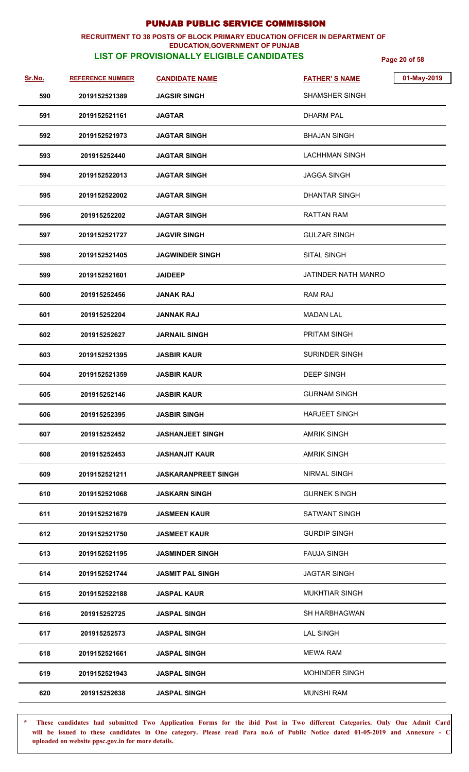### **RECRUITMENT TO 38 POSTS OF BLOCK PRIMARY EDUCATION OFFICER IN DEPARTMENT OF EDUCATION,GOVERNMENT OF PUNJAB**

# **LIST OF PROVISIONALLY ELIGIBLE CANDIDATES Page 20 of 58**

| Sr.No. | <b>REFERENCE NUMBER</b> | <b>CANDIDATE NAME</b>      | <b>FATHER'S NAME</b>  | 01-May-2019 |
|--------|-------------------------|----------------------------|-----------------------|-------------|
| 590    | 2019152521389           | <b>JAGSIR SINGH</b>        | <b>SHAMSHER SINGH</b> |             |
| 591    | 2019152521161           | <b>JAGTAR</b>              | <b>DHARM PAL</b>      |             |
| 592    | 2019152521973           | <b>JAGTAR SINGH</b>        | <b>BHAJAN SINGH</b>   |             |
| 593    | 201915252440            | <b>JAGTAR SINGH</b>        | <b>LACHHMAN SINGH</b> |             |
| 594    | 2019152522013           | <b>JAGTAR SINGH</b>        | <b>JAGGA SINGH</b>    |             |
| 595    | 2019152522002           | <b>JAGTAR SINGH</b>        | <b>DHANTAR SINGH</b>  |             |
| 596    | 201915252202            | <b>JAGTAR SINGH</b>        | RATTAN RAM            |             |
| 597    | 2019152521727           | <b>JAGVIR SINGH</b>        | <b>GULZAR SINGH</b>   |             |
| 598    | 2019152521405           | <b>JAGWINDER SINGH</b>     | SITAL SINGH           |             |
| 599    | 2019152521601           | <b>JAIDEEP</b>             | JATINDER NATH MANRO   |             |
| 600    | 201915252456            | <b>JANAK RAJ</b>           | RAM RAJ               |             |
| 601    | 201915252204            | <b>JANNAK RAJ</b>          | <b>MADAN LAL</b>      |             |
| 602    | 201915252627            | <b>JARNAIL SINGH</b>       | <b>PRITAM SINGH</b>   |             |
| 603    | 2019152521395           | <b>JASBIR KAUR</b>         | <b>SURINDER SINGH</b> |             |
| 604    | 2019152521359           | JASBIR KAUR                | <b>DEEP SINGH</b>     |             |
| 605    | 201915252146            | <b>JASBIR KAUR</b>         | <b>GURNAM SINGH</b>   |             |
| 606    | 201915252395            | <b>JASBIR SINGH</b>        | <b>HARJEET SINGH</b>  |             |
| 607    | 201915252452            | <b>JASHANJEET SINGH</b>    | <b>AMRIK SINGH</b>    |             |
| 608    | 201915252453            | <b>JASHANJIT KAUR</b>      | <b>AMRIK SINGH</b>    |             |
| 609    | 2019152521211           | <b>JASKARANPREET SINGH</b> | <b>NIRMAL SINGH</b>   |             |
| 610    | 2019152521068           | JASKARN SINGH              | <b>GURNEK SINGH</b>   |             |
| 611    | 2019152521679           | JASMEEN KAUR               | SATWANT SINGH         |             |
| 612    | 2019152521750           | <b>JASMEET KAUR</b>        | <b>GURDIP SINGH</b>   |             |
| 613    | 2019152521195           | <b>JASMINDER SINGH</b>     | <b>FAUJA SINGH</b>    |             |
| 614    | 2019152521744           | <b>JASMIT PAL SINGH</b>    | <b>JAGTAR SINGH</b>   |             |
| 615    | 2019152522188           | <b>JASPAL KAUR</b>         | <b>MUKHTIAR SINGH</b> |             |
| 616    | 201915252725            | <b>JASPAL SINGH</b>        | <b>SH HARBHAGWAN</b>  |             |
| 617    | 201915252573            | <b>JASPAL SINGH</b>        | <b>LAL SINGH</b>      |             |
| 618    | 2019152521661           | <b>JASPAL SINGH</b>        | <b>MEWA RAM</b>       |             |
| 619    | 2019152521943           | <b>JASPAL SINGH</b>        | <b>MOHINDER SINGH</b> |             |
| 620    | 201915252638            | <b>JASPAL SINGH</b>        | <b>MUNSHI RAM</b>     |             |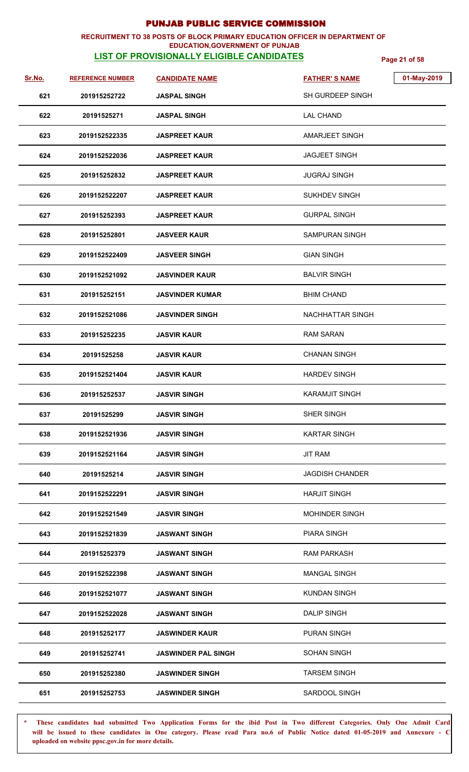### **RECRUITMENT TO 38 POSTS OF BLOCK PRIMARY EDUCATION OFFICER IN DEPARTMENT OF EDUCATION,GOVERNMENT OF PUNJAB**

## **LIST OF PROVISIONALLY ELIGIBLE CANDIDATES Page 21 of 58**

| Sr.No. | <b>REFERENCE NUMBER</b> | <b>CANDIDATE NAME</b>      | <b>FATHER'S NAME</b>    | 01-May-2019 |
|--------|-------------------------|----------------------------|-------------------------|-------------|
| 621    | 201915252722            | JASPAL SINGH               | SH GURDEEP SINGH        |             |
| 622    | 20191525271             | JASPAL SINGH               | <b>LAL CHAND</b>        |             |
| 623    | 2019152522335           | <b>JASPREET KAUR</b>       | <b>AMARJEET SINGH</b>   |             |
| 624    | 2019152522036           | <b>JASPREET KAUR</b>       | <b>JAGJEET SINGH</b>    |             |
| 625    | 201915252832            | JASPREET KAUR              | <b>JUGRAJ SINGH</b>     |             |
| 626    | 2019152522207           | <b>JASPREET KAUR</b>       | <b>SUKHDEV SINGH</b>    |             |
| 627    | 201915252393            | <b>JASPREET KAUR</b>       | <b>GURPAL SINGH</b>     |             |
| 628    | 201915252801            | <b>JASVEER KAUR</b>        | <b>SAMPURAN SINGH</b>   |             |
| 629    | 2019152522409           | <b>JASVEER SINGH</b>       | <b>GIAN SINGH</b>       |             |
| 630    | 2019152521092           | <b>JASVINDER KAUR</b>      | <b>BALVIR SINGH</b>     |             |
| 631    | 201915252151            | <b>JASVINDER KUMAR</b>     | <b>BHIM CHAND</b>       |             |
| 632    | 2019152521086           | <b>JASVINDER SINGH</b>     | <b>NACHHATTAR SINGH</b> |             |
| 633    | 201915252235            | <b>JASVIR KAUR</b>         | <b>RAM SARAN</b>        |             |
| 634    | 20191525258             | JASVIR KAUR                | <b>CHANAN SINGH</b>     |             |
| 635    | 2019152521404           | <b>JASVIR KAUR</b>         | <b>HARDEV SINGH</b>     |             |
| 636    | 201915252537            | <b>JASVIR SINGH</b>        | <b>KARAMJIT SINGH</b>   |             |
| 637    | 20191525299             | <b>JASVIR SINGH</b>        | SHER SINGH              |             |
| 638    | 2019152521936           | <b>JASVIR SINGH</b>        | <b>KARTAR SINGH</b>     |             |
| 639    | 2019152521164           | <b>JASVIR SINGH</b>        | <b>JIT RAM</b>          |             |
| 640    | 20191525214             | JASVIR SINGH               | <b>JAGDISH CHANDER</b>  |             |
| 641    | 2019152522291           | <b>JASVIR SINGH</b>        | <b>HARJIT SINGH</b>     |             |
| 642    | 2019152521549           | <b>JASVIR SINGH</b>        | <b>MOHINDER SINGH</b>   |             |
| 643    | 2019152521839           | <b>JASWANT SINGH</b>       | <b>PIARA SINGH</b>      |             |
| 644    | 201915252379            | <b>JASWANT SINGH</b>       | <b>RAM PARKASH</b>      |             |
| 645    | 2019152522398           | JASWANT SINGH              | <b>MANGAL SINGH</b>     |             |
| 646    | 2019152521077           | JASWANT SINGH              | <b>KUNDAN SINGH</b>     |             |
| 647    | 2019152522028           | <b>JASWANT SINGH</b>       | <b>DALIP SINGH</b>      |             |
| 648    | 201915252177            | <b>JASWINDER KAUR</b>      | <b>PURAN SINGH</b>      |             |
| 649    | 201915252741            | <b>JASWINDER PAL SINGH</b> | <b>SOHAN SINGH</b>      |             |
| 650    | 201915252380            | <b>JASWINDER SINGH</b>     | <b>TARSEM SINGH</b>     |             |
| 651    | 201915252753            | <b>JASWINDER SINGH</b>     | SARDOOL SINGH           |             |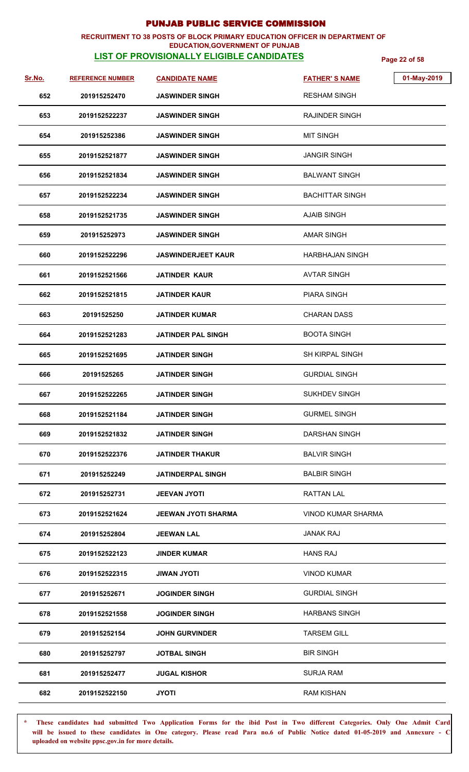### **RECRUITMENT TO 38 POSTS OF BLOCK PRIMARY EDUCATION OFFICER IN DEPARTMENT OF EDUCATION,GOVERNMENT OF PUNJAB**

# **LIST OF PROVISIONALLY ELIGIBLE CANDIDATES Page 22 of 58**

| Sr.No. | <b>REFERENCE NUMBER</b> | <b>CANDIDATE NAME</b>      | 01-May-2019<br><b>FATHER'S NAME</b> |
|--------|-------------------------|----------------------------|-------------------------------------|
| 652    | 201915252470            | <b>JASWINDER SINGH</b>     | <b>RESHAM SINGH</b>                 |
| 653    | 2019152522237           | <b>JASWINDER SINGH</b>     | <b>RAJINDER SINGH</b>               |
| 654    | 201915252386            | <b>JASWINDER SINGH</b>     | <b>MIT SINGH</b>                    |
| 655    | 2019152521877           | <b>JASWINDER SINGH</b>     | <b>JANGIR SINGH</b>                 |
| 656    | 2019152521834           | <b>JASWINDER SINGH</b>     | <b>BALWANT SINGH</b>                |
| 657    | 2019152522234           | <b>JASWINDER SINGH</b>     | <b>BACHITTAR SINGH</b>              |
| 658    | 2019152521735           | <b>JASWINDER SINGH</b>     | <b>AJAIB SINGH</b>                  |
| 659    | 201915252973            | <b>JASWINDER SINGH</b>     | <b>AMAR SINGH</b>                   |
| 660    | 2019152522296           | <b>JASWINDERJEET KAUR</b>  | <b>HARBHAJAN SINGH</b>              |
| 661    | 2019152521566           | JATINDER KAUR              | <b>AVTAR SINGH</b>                  |
| 662    | 2019152521815           | JATINDER KAUR              | <b>PIARA SINGH</b>                  |
| 663    | 20191525250             | <b>JATINDER KUMAR</b>      | <b>CHARAN DASS</b>                  |
| 664    | 2019152521283           | JATINDER PAL SINGH         | <b>BOOTA SINGH</b>                  |
| 665    | 2019152521695           | JATINDER SINGH             | SH KIRPAL SINGH                     |
| 666    | 20191525265             | <b>JATINDER SINGH</b>      | <b>GURDIAL SINGH</b>                |
| 667    | 2019152522265           | <b>JATINDER SINGH</b>      | <b>SUKHDEV SINGH</b>                |
| 668    | 2019152521184           | <b>JATINDER SINGH</b>      | <b>GURMEL SINGH</b>                 |
| 669    | 2019152521832           | <b>JATINDER SINGH</b>      | <b>DARSHAN SINGH</b>                |
| 670    | 2019152522376           | <b>JATINDER THAKUR</b>     | <b>BALVIR SINGH</b>                 |
| 671    | 201915252249            | <b>JATINDERPAL SINGH</b>   | <b>BALBIR SINGH</b>                 |
| 672    | 201915252731            | <b>JEEVAN JYOTI</b>        | RATTAN LAL                          |
| 673    | 2019152521624           | <b>JEEWAN JYOTI SHARMA</b> | VINOD KUMAR SHARMA                  |
| 674    | 201915252804            | <b>JEEWAN LAL</b>          | <b>JANAK RAJ</b>                    |
| 675    | 2019152522123           | JINDER KUMAR               | <b>HANS RAJ</b>                     |
| 676    | 2019152522315           | <b>ITOYL NAWIL</b>         | <b>VINOD KUMAR</b>                  |
| 677    | 201915252671            | <b>JOGINDER SINGH</b>      | <b>GURDIAL SINGH</b>                |
| 678    | 2019152521558           | <b>JOGINDER SINGH</b>      | <b>HARBANS SINGH</b>                |
| 679    | 201915252154            | <b>JOHN GURVINDER</b>      | <b>TARSEM GILL</b>                  |
| 680    | 201915252797            | <b>JOTBAL SINGH</b>        | <b>BIR SINGH</b>                    |
| 681    | 201915252477            | <b>JUGAL KISHOR</b>        | <b>SURJA RAM</b>                    |
| 682    | 2019152522150           | <b>JYOTI</b>               | <b>RAM KISHAN</b>                   |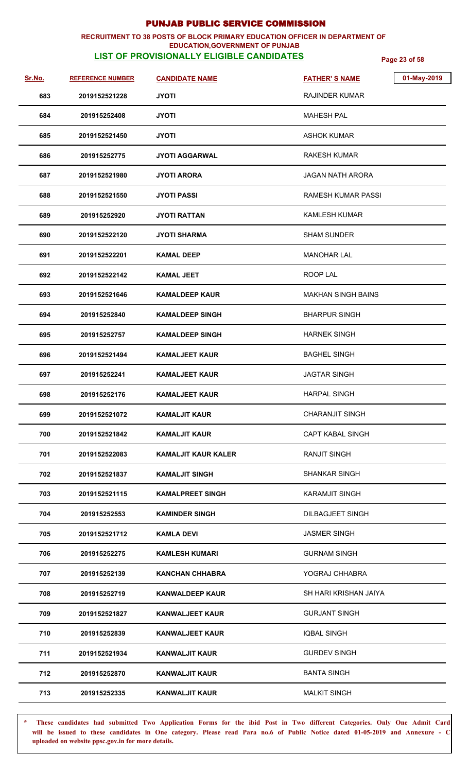### **RECRUITMENT TO 38 POSTS OF BLOCK PRIMARY EDUCATION OFFICER IN DEPARTMENT OF EDUCATION,GOVERNMENT OF PUNJAB**

**LIST OF PROVISIONALLY ELIGIBLE CANDIDATES Page 23 of 58**

| Sr.No. | <b>REFERENCE NUMBER</b> | <b>CANDIDATE NAME</b>      | 01-May-2019<br><b>FATHER'S NAME</b> |
|--------|-------------------------|----------------------------|-------------------------------------|
| 683    | 2019152521228           | JYOTI                      | RAJINDER KUMAR                      |
| 684    | 201915252408            | JYOTI                      | <b>MAHESH PAL</b>                   |
| 685    | 2019152521450           | JYOTI                      | <b>ASHOK KUMAR</b>                  |
| 686    | 201915252775            | <b>JYOTI AGGARWAL</b>      | RAKESH KUMAR                        |
| 687    | 2019152521980           | JYOTI ARORA                | JAGAN NATH ARORA                    |
| 688    | 2019152521550           | <b>JYOTI PASSI</b>         | RAMESH KUMAR PASSI                  |
| 689    | 201915252920            | JYOTI RATTAN               | <b>KAMLESH KUMAR</b>                |
| 690    | 2019152522120           | <b>JYOTI SHARMA</b>        | <b>SHAM SUNDER</b>                  |
| 691    | 2019152522201           | <b>KAMAL DEEP</b>          | <b>MANOHAR LAL</b>                  |
| 692    | 2019152522142           | <b>KAMAL JEET</b>          | ROOP LAL                            |
| 693    | 2019152521646           | <b>KAMALDEEP KAUR</b>      | <b>MAKHAN SINGH BAINS</b>           |
| 694    | 201915252840            | <b>KAMALDEEP SINGH</b>     | <b>BHARPUR SINGH</b>                |
| 695    | 201915252757            | <b>KAMALDEEP SINGH</b>     | <b>HARNEK SINGH</b>                 |
| 696    | 2019152521494           | <b>KAMALJEET KAUR</b>      | <b>BAGHEL SINGH</b>                 |
| 697    | 201915252241            | <b>KAMALJEET KAUR</b>      | <b>JAGTAR SINGH</b>                 |
| 698    | 201915252176            | <b>KAMALJEET KAUR</b>      | <b>HARPAL SINGH</b>                 |
| 699    | 2019152521072           | <b>KAMALJIT KAUR</b>       | <b>CHARANJIT SINGH</b>              |
| 700    | 2019152521842           | <b>KAMALJIT KAUR</b>       | <b>CAPT KABAL SINGH</b>             |
| 701    | 2019152522083           | <b>KAMALJIT KAUR KALER</b> | <b>RANJIT SINGH</b>                 |
| 702    | 2019152521837           | <b>KAMALJIT SINGH</b>      | <b>SHANKAR SINGH</b>                |
| 703    | 2019152521115           | <b>KAMALPREET SINGH</b>    | <b>KARAMJIT SINGH</b>               |
| 704    | 201915252553            | <b>KAMINDER SINGH</b>      | <b>DILBAGJEET SINGH</b>             |
| 705    | 2019152521712           | <b>KAMLA DEVI</b>          | <b>JASMER SINGH</b>                 |
| 706    | 201915252275            | <b>KAMLESH KUMARI</b>      | <b>GURNAM SINGH</b>                 |
| 707    | 201915252139            | <b>KANCHAN CHHABRA</b>     | YOGRAJ CHHABRA                      |
| 708    | 201915252719            | <b>KANWALDEEP KAUR</b>     | SH HARI KRISHAN JAIYA               |
| 709    | 2019152521827           | <b>KANWALJEET KAUR</b>     | <b>GURJANT SINGH</b>                |
| 710    | 201915252839            | <b>KANWALJEET KAUR</b>     | <b>IQBAL SINGH</b>                  |
| 711    | 2019152521934           | <b>KANWALJIT KAUR</b>      | <b>GURDEV SINGH</b>                 |
| 712    | 201915252870            | KANWALJIT KAUR             | <b>BANTA SINGH</b>                  |
| 713    | 201915252335            | <b>KANWALJIT KAUR</b>      | <b>MALKIT SINGH</b>                 |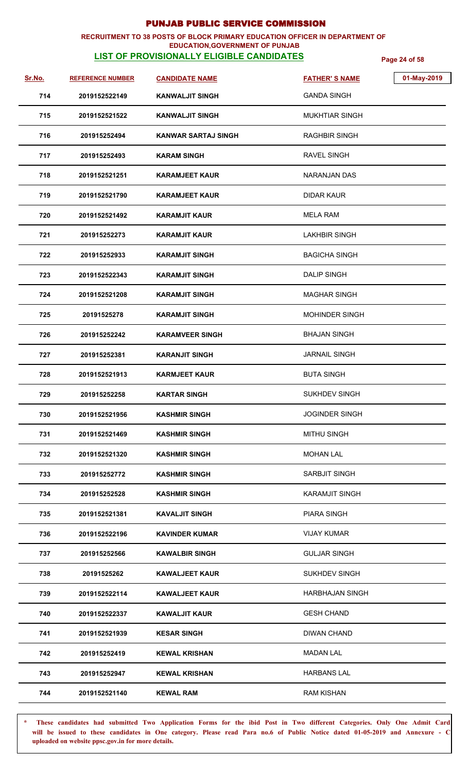### **RECRUITMENT TO 38 POSTS OF BLOCK PRIMARY EDUCATION OFFICER IN DEPARTMENT OF EDUCATION,GOVERNMENT OF PUNJAB**

# **LIST OF PROVISIONALLY ELIGIBLE CANDIDATES Page 24 of 58**

| Sr.No. | <b>REFERENCE NUMBER</b> | <b>CANDIDATE NAME</b>      | 01-May-2019<br><b>FATHER'S NAME</b> |
|--------|-------------------------|----------------------------|-------------------------------------|
| 714    | 2019152522149           | KANWALJIT SINGH            | <b>GANDA SINGH</b>                  |
| 715    | 2019152521522           | <b>KANWALJIT SINGH</b>     | <b>MUKHTIAR SINGH</b>               |
| 716    | 201915252494            | <b>KANWAR SARTAJ SINGH</b> | <b>RAGHBIR SINGH</b>                |
| 717    | 201915252493            | <b>KARAM SINGH</b>         | <b>RAVEL SINGH</b>                  |
| 718    | 2019152521251           | <b>KARAMJEET KAUR</b>      | <b>NARANJAN DAS</b>                 |
| 719    | 2019152521790           | <b>KARAMJEET KAUR</b>      | <b>DIDAR KAUR</b>                   |
| 720    | 2019152521492           | <b>KARAMJIT KAUR</b>       | <b>MELA RAM</b>                     |
| 721    | 201915252273            | <b>KARAMJIT KAUR</b>       | <b>LAKHBIR SINGH</b>                |
| 722    | 201915252933            | KARAMJIT SINGH             | <b>BAGICHA SINGH</b>                |
| 723    | 2019152522343           | <b>KARAMJIT SINGH</b>      | <b>DALIP SINGH</b>                  |
| 724    | 2019152521208           | KARAMJIT SINGH             | <b>MAGHAR SINGH</b>                 |
| 725    | 20191525278             | <b>KARAMJIT SINGH</b>      | <b>MOHINDER SINGH</b>               |
| 726    | 201915252242            | <b>KARAMVEER SINGH</b>     | <b>BHAJAN SINGH</b>                 |
| 727    | 201915252381            | <b>KARANJIT SINGH</b>      | <b>JARNAIL SINGH</b>                |
| 728    | 2019152521913           | <b>KARMJEET KAUR</b>       | <b>BUTA SINGH</b>                   |
| 729    | 201915252258            | <b>KARTAR SINGH</b>        | SUKHDEV SINGH                       |
| 730    | 2019152521956           | <b>KASHMIR SINGH</b>       | <b>JOGINDER SINGH</b>               |
| 731    | 2019152521469           | <b>KASHMIR SINGH</b>       | <b>MITHU SINGH</b>                  |
| 732    | 2019152521320           | <b>KASHMIR SINGH</b>       | <b>MOHAN LAL</b>                    |
| 733    | 201915252772            | <b>KASHMIR SINGH</b>       | SARBJIT SINGH                       |
| 734    | 201915252528            | <b>KASHMIR SINGH</b>       | <b>KARAMJIT SINGH</b>               |
| 735    | 2019152521381           | <b>KAVALJIT SINGH</b>      | <b>PIARA SINGH</b>                  |
| 736    | 2019152522196           | <b>KAVINDER KUMAR</b>      | <b>VIJAY KUMAR</b>                  |
| 737    | 201915252566            | <b>KAWALBIR SINGH</b>      | <b>GULJAR SINGH</b>                 |
| 738    | 20191525262             | KAWALJEET KAUR             | <b>SUKHDEV SINGH</b>                |
| 739    | 2019152522114           | <b>KAWALJEET KAUR</b>      | <b>HARBHAJAN SINGH</b>              |
| 740    | 2019152522337           | <b>KAWALJIT KAUR</b>       | <b>GESH CHAND</b>                   |
| 741    | 2019152521939           | <b>KESAR SINGH</b>         | <b>DIWAN CHAND</b>                  |
| 742    | 201915252419            | <b>KEWAL KRISHAN</b>       | <b>MADAN LAL</b>                    |
| 743    | 201915252947            | <b>KEWAL KRISHAN</b>       | <b>HARBANS LAL</b>                  |
| 744    | 2019152521140           | <b>KEWAL RAM</b>           | <b>RAM KISHAN</b>                   |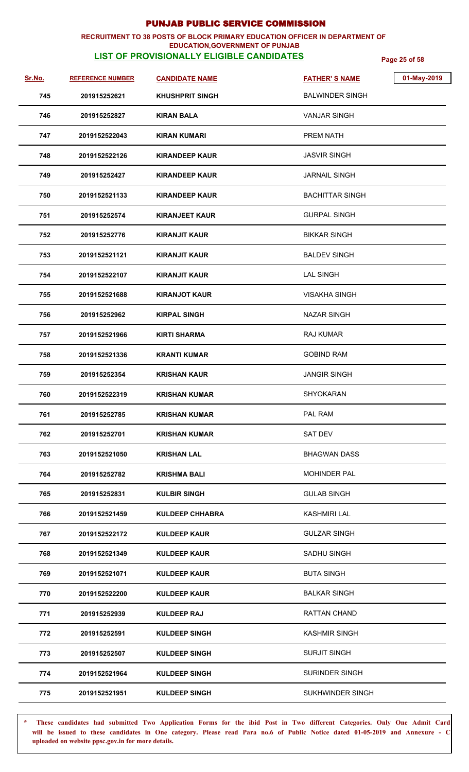### **RECRUITMENT TO 38 POSTS OF BLOCK PRIMARY EDUCATION OFFICER IN DEPARTMENT OF EDUCATION,GOVERNMENT OF PUNJAB**

# **LIST OF PROVISIONALLY ELIGIBLE CANDIDATES Page 25 of 58**

| Sr.No. | <b>REFERENCE NUMBER</b> | <b>CANDIDATE NAME</b>  | 01-May-2019<br><b>FATHER'S NAME</b> |
|--------|-------------------------|------------------------|-------------------------------------|
| 745    | 201915252621            | <b>KHUSHPRIT SINGH</b> | <b>BALWINDER SINGH</b>              |
| 746    | 201915252827            | <b>KIRAN BALA</b>      | <b>VANJAR SINGH</b>                 |
| 747    | 2019152522043           | KIRAN KUMARI           | PREM NATH                           |
| 748    | 2019152522126           | <b>KIRANDEEP KAUR</b>  | <b>JASVIR SINGH</b>                 |
| 749    | 201915252427            | <b>KIRANDEEP KAUR</b>  | <b>JARNAIL SINGH</b>                |
| 750    | 2019152521133           | <b>KIRANDEEP KAUR</b>  | <b>BACHITTAR SINGH</b>              |
| 751    | 201915252574            | <b>KIRANJEET KAUR</b>  | <b>GURPAL SINGH</b>                 |
| 752    | 201915252776            | <b>KIRANJIT KAUR</b>   | <b>BIKKAR SINGH</b>                 |
| 753    | 2019152521121           | <b>KIRANJIT KAUR</b>   | <b>BALDEV SINGH</b>                 |
| 754    | 2019152522107           | <b>KIRANJIT KAUR</b>   | <b>LAL SINGH</b>                    |
| 755    | 2019152521688           | <b>KIRANJOT KAUR</b>   | <b>VISAKHA SINGH</b>                |
| 756    | 201915252962            | <b>KIRPAL SINGH</b>    | <b>NAZAR SINGH</b>                  |
| 757    | 2019152521966           | KIRTI SHARMA           | <b>RAJ KUMAR</b>                    |
| 758    | 2019152521336           | <b>KRANTI KUMAR</b>    | <b>GOBIND RAM</b>                   |
| 759    | 201915252354            | KRISHAN KAUR           | JANGIR SINGH                        |
| 760    | 2019152522319           | <b>KRISHAN KUMAR</b>   | SHYOKARAN                           |
| 761    | 201915252785            | <b>KRISHAN KUMAR</b>   | PAL RAM                             |
| 762    | 201915252701            | <b>KRISHAN KUMAR</b>   | <b>SAT DEV</b>                      |
| 763    | 2019152521050           | <b>KRISHAN LAL</b>     | <b>BHAGWAN DASS</b>                 |
| 764    | 201915252782            | <b>KRISHMA BALI</b>    | <b>MOHINDER PAL</b>                 |
| 765    | 201915252831            | <b>KULBIR SINGH</b>    | <b>GULAB SINGH</b>                  |
| 766    | 2019152521459           | <b>KULDEEP CHHABRA</b> | <b>KASHMIRI LAL</b>                 |
| 767    | 2019152522172           | <b>KULDEEP KAUR</b>    | <b>GULZAR SINGH</b>                 |
| 768    | 2019152521349           | <b>KULDEEP KAUR</b>    | <b>SADHU SINGH</b>                  |
| 769    | 2019152521071           | <b>KULDEEP KAUR</b>    | <b>BUTA SINGH</b>                   |
| 770    | 2019152522200           | <b>KULDEEP KAUR</b>    | <b>BALKAR SINGH</b>                 |
| 771    | 201915252939            | <b>KULDEEP RAJ</b>     | RATTAN CHAND                        |
| 772    | 201915252591            | <b>KULDEEP SINGH</b>   | <b>KASHMIR SINGH</b>                |
| 773    | 201915252507            | <b>KULDEEP SINGH</b>   | <b>SURJIT SINGH</b>                 |
| 774    | 2019152521964           | <b>KULDEEP SINGH</b>   | <b>SURINDER SINGH</b>               |
| 775    | 2019152521951           | <b>KULDEEP SINGH</b>   | SUKHWINDER SINGH                    |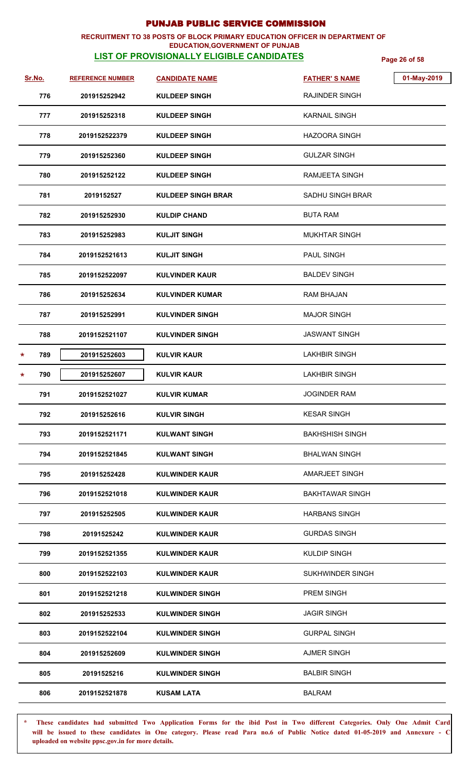### **RECRUITMENT TO 38 POSTS OF BLOCK PRIMARY EDUCATION OFFICER IN DEPARTMENT OF EDUCATION,GOVERNMENT OF PUNJAB**

# **LIST OF PROVISIONALLY ELIGIBLE CANDIDATES Page 26 of 58**

| Sr.No.         | <b>REFERENCE NUMBER</b> | <b>CANDIDATE NAME</b>     | 01-May-2019<br><b>FATHER'S NAME</b> |
|----------------|-------------------------|---------------------------|-------------------------------------|
| 776            | 201915252942            | <b>KULDEEP SINGH</b>      | <b>RAJINDER SINGH</b>               |
| 777            | 201915252318            | <b>KULDEEP SINGH</b>      | <b>KARNAIL SINGH</b>                |
| 778            | 2019152522379           | <b>KULDEEP SINGH</b>      | <b>HAZOORA SINGH</b>                |
| 779            | 201915252360            | <b>KULDEEP SINGH</b>      | <b>GULZAR SINGH</b>                 |
| 780            | 201915252122            | <b>KULDEEP SINGH</b>      | RAMJEETA SINGH                      |
| 781            | 2019152527              | <b>KULDEEP SINGH BRAR</b> | <b>SADHU SINGH BRAR</b>             |
| 782            | 201915252930            | <b>KULDIP CHAND</b>       | <b>BUTA RAM</b>                     |
| 783            | 201915252983            | <b>KULJIT SINGH</b>       | <b>MUKHTAR SINGH</b>                |
| 784            | 2019152521613           | <b>KULJIT SINGH</b>       | <b>PAUL SINGH</b>                   |
| 785            | 2019152522097           | <b>KULVINDER KAUR</b>     | <b>BALDEV SINGH</b>                 |
| 786            | 201915252634            | <b>KULVINDER KUMAR</b>    | <b>RAM BHAJAN</b>                   |
| 787            | 201915252991            | <b>KULVINDER SINGH</b>    | <b>MAJOR SINGH</b>                  |
| 788            | 2019152521107           | <b>KULVINDER SINGH</b>    | <b>JASWANT SINGH</b>                |
| 789<br>$\star$ | 201915252603            | <b>KULVIR KAUR</b>        | <b>LAKHBIR SINGH</b>                |
| 790<br>$\star$ | 201915252607            | <b>KULVIR KAUR</b>        | <b>LAKHBIR SINGH</b>                |
| 791            | 2019152521027           | <b>KULVIR KUMAR</b>       | <b>JOGINDER RAM</b>                 |
| 792            | 201915252616            | <b>KULVIR SINGH</b>       | <b>KESAR SINGH</b>                  |
| 793            | 2019152521171           | <b>KULWANT SINGH</b>      | <b>BAKHSHISH SINGH</b>              |
| 794            | 2019152521845           | <b>KULWANT SINGH</b>      | <b>BHALWAN SINGH</b>                |
| 795            | 201915252428            | <b>KULWINDER KAUR</b>     | <b>AMARJEET SINGH</b>               |
| 796            | 2019152521018           | <b>KULWINDER KAUR</b>     | <b>BAKHTAWAR SINGH</b>              |
| 797            | 201915252505            | <b>KULWINDER KAUR</b>     | <b>HARBANS SINGH</b>                |
| 798            | 20191525242             | <b>KULWINDER KAUR</b>     | <b>GURDAS SINGH</b>                 |
| 799            | 2019152521355           | <b>KULWINDER KAUR</b>     | <b>KULDIP SINGH</b>                 |
| 800            | 2019152522103           | <b>KULWINDER KAUR</b>     | SUKHWINDER SINGH                    |
| 801            | 2019152521218           | <b>KULWINDER SINGH</b>    | PREM SINGH                          |
| 802            | 201915252533            | <b>KULWINDER SINGH</b>    | <b>JAGIR SINGH</b>                  |
| 803            | 2019152522104           | <b>KULWINDER SINGH</b>    | <b>GURPAL SINGH</b>                 |
| 804            | 201915252609            | <b>KULWINDER SINGH</b>    | <b>AJMER SINGH</b>                  |
| 805            | 20191525216             | <b>KULWINDER SINGH</b>    | <b>BALBIR SINGH</b>                 |
| 806            | 2019152521878           | <b>KUSAM LATA</b>         | <b>BALRAM</b>                       |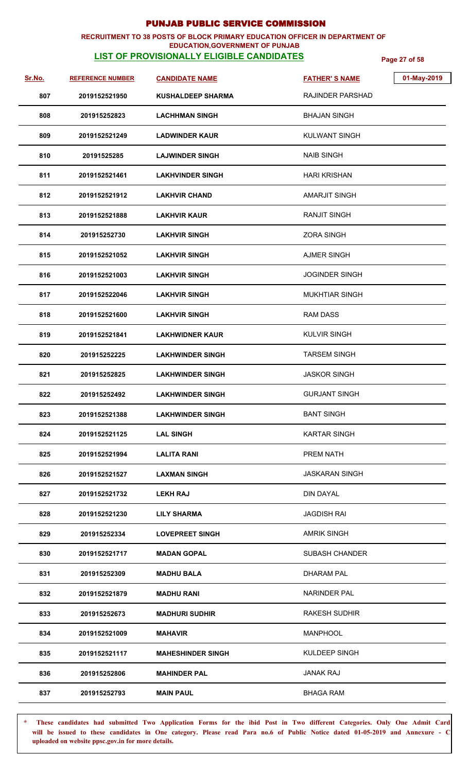## **RECRUITMENT TO 38 POSTS OF BLOCK PRIMARY EDUCATION OFFICER IN DEPARTMENT OF**

## **EDUCATION,GOVERNMENT OF PUNJAB**

**LIST OF PROVISIONALLY ELIGIBLE CANDIDATES Page 27 of 58**

| Sr.No. | <b>REFERENCE NUMBER</b> | <b>CANDIDATE NAME</b>    | 01-May-2019<br><b>FATHER'S NAME</b> |
|--------|-------------------------|--------------------------|-------------------------------------|
| 807    | 2019152521950           | <b>KUSHALDEEP SHARMA</b> | <b>RAJINDER PARSHAD</b>             |
| 808    | 201915252823            | <b>LACHHMAN SINGH</b>    | <b>BHAJAN SINGH</b>                 |
| 809    | 2019152521249           | <b>LADWINDER KAUR</b>    | <b>KULWANT SINGH</b>                |
| 810    | 20191525285             | <b>LAJWINDER SINGH</b>   | <b>NAIB SINGH</b>                   |
| 811    | 2019152521461           | <b>LAKHVINDER SINGH</b>  | <b>HARI KRISHAN</b>                 |
| 812    | 2019152521912           | <b>LAKHVIR CHAND</b>     | <b>AMARJIT SINGH</b>                |
| 813    | 2019152521888           | <b>LAKHVIR KAUR</b>      | <b>RANJIT SINGH</b>                 |
| 814    | 201915252730            | <b>LAKHVIR SINGH</b>     | <b>ZORA SINGH</b>                   |
| 815    | 2019152521052           | <b>LAKHVIR SINGH</b>     | <b>AJMER SINGH</b>                  |
| 816    | 2019152521003           | <b>LAKHVIR SINGH</b>     | <b>JOGINDER SINGH</b>               |
| 817    | 2019152522046           | <b>LAKHVIR SINGH</b>     | <b>MUKHTIAR SINGH</b>               |
| 818    | 2019152521600           | <b>LAKHVIR SINGH</b>     | <b>RAM DASS</b>                     |
| 819    | 2019152521841           | <b>LAKHWIDNER KAUR</b>   | <b>KULVIR SINGH</b>                 |
| 820    | 201915252225            | <b>LAKHWINDER SINGH</b>  | <b>TARSEM SINGH</b>                 |
| 821    | 201915252825            | <b>LAKHWINDER SINGH</b>  | <b>JASKOR SINGH</b>                 |
| 822    | 201915252492            | <b>LAKHWINDER SINGH</b>  | <b>GURJANT SINGH</b>                |
| 823    | 2019152521388           | <b>LAKHWINDER SINGH</b>  | <b>BANT SINGH</b>                   |
| 824    | 2019152521125           | <b>LAL SINGH</b>         | <b>KARTAR SINGH</b>                 |
| 825    | 2019152521994           | <b>LALITA RANI</b>       | PREM NATH                           |
| 826    | 2019152521527           | <b>LAXMAN SINGH</b>      | <b>JASKARAN SINGH</b>               |
| 827    | 2019152521732           | <b>LEKH RAJ</b>          | <b>DIN DAYAL</b>                    |
| 828    | 2019152521230           | <b>LILY SHARMA</b>       | <b>JAGDISH RAI</b>                  |
| 829    | 201915252334            | <b>LOVEPREET SINGH</b>   | <b>AMRIK SINGH</b>                  |
| 830    | 2019152521717           | <b>MADAN GOPAL</b>       | <b>SUBASH CHANDER</b>               |
| 831    | 201915252309            | MADHU BALA               | <b>DHARAM PAL</b>                   |
| 832    | 2019152521879           | <b>MADHU RANI</b>        | <b>NARINDER PAL</b>                 |
| 833    | 201915252673            | <b>MADHURI SUDHIR</b>    | RAKESH SUDHIR                       |
| 834    | 2019152521009           | <b>MAHAVIR</b>           | <b>MANPHOOL</b>                     |
| 835    | 2019152521117           | <b>MAHESHINDER SINGH</b> | KULDEEP SINGH                       |
| 836    | 201915252806            | <b>MAHINDER PAL</b>      | <b>JANAK RAJ</b>                    |
| 837    | 201915252793            | <b>MAIN PAUL</b>         | <b>BHAGA RAM</b>                    |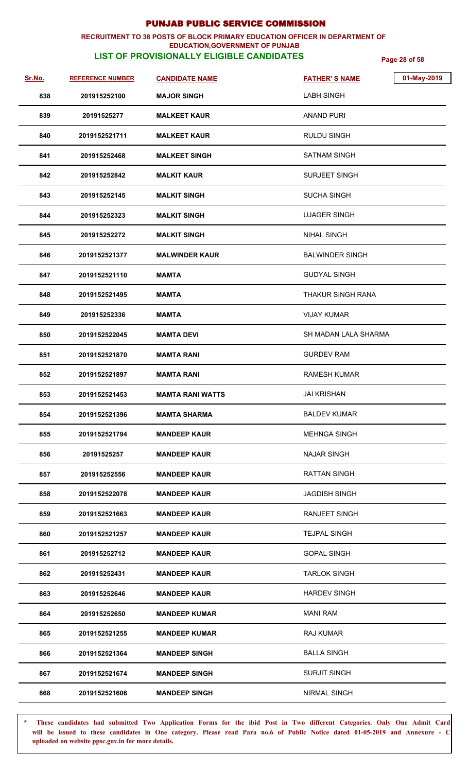### **RECRUITMENT TO 38 POSTS OF BLOCK PRIMARY EDUCATION OFFICER IN DEPARTMENT OF EDUCATION,GOVERNMENT OF PUNJAB**

# **LIST OF PROVISIONALLY ELIGIBLE CANDIDATES Page 28 of 58**

| Sr.No. | <b>REFERENCE NUMBER</b> | <b>CANDIDATE NAME</b>   | 01-May-2019<br><b>FATHER'S NAME</b> |
|--------|-------------------------|-------------------------|-------------------------------------|
| 838    | 201915252100            | <b>MAJOR SINGH</b>      | <b>LABH SINGH</b>                   |
| 839    | 20191525277             | <b>MALKEET KAUR</b>     | <b>ANAND PURI</b>                   |
| 840    | 2019152521711           | <b>MALKEET KAUR</b>     | <b>RULDU SINGH</b>                  |
| 841    | 201915252468            | <b>MALKEET SINGH</b>    | <b>SATNAM SINGH</b>                 |
| 842    | 201915252842            | <b>MALKIT KAUR</b>      | <b>SURJEET SINGH</b>                |
| 843    | 201915252145            | <b>MALKIT SINGH</b>     | <b>SUCHA SINGH</b>                  |
| 844    | 201915252323            | <b>MALKIT SINGH</b>     | <b>UJAGER SINGH</b>                 |
| 845    | 201915252272            | <b>MALKIT SINGH</b>     | <b>NIHAL SINGH</b>                  |
| 846    | 2019152521377           | <b>MALWINDER KAUR</b>   | <b>BALWINDER SINGH</b>              |
| 847    | 2019152521110           | <b>MAMTA</b>            | <b>GUDYAL SINGH</b>                 |
| 848    | 2019152521495           | <b>MAMTA</b>            | <b>THAKUR SINGH RANA</b>            |
| 849    | 201915252336            | <b>MAMTA</b>            | <b>VIJAY KUMAR</b>                  |
| 850    | 2019152522045           | <b>MAMTA DEVI</b>       | SH MADAN LALA SHARMA                |
| 851    | 2019152521870           | <b>MAMTA RANI</b>       | <b>GURDEV RAM</b>                   |
| 852    | 2019152521897           | <b>MAMTA RANI</b>       | <b>RAMESH KUMAR</b>                 |
| 853    | 2019152521453           | <b>MAMTA RANI WATTS</b> | <b>JAI KRISHAN</b>                  |
| 854    | 2019152521396           | <b>MAMTA SHARMA</b>     | <b>BALDEV KUMAR</b>                 |
| 855    | 2019152521794           | <b>MANDEEP KAUR</b>     | <b>MEHNGA SINGH</b>                 |
| 856    | 20191525257             | <b>MANDEEP KAUR</b>     | <b>NAJAR SINGH</b>                  |
| 857    | 201915252556            | <b>MANDEEP KAUR</b>     | <b>RATTAN SINGH</b>                 |
| 858    | 2019152522078           | <b>MANDEEP KAUR</b>     | <b>JAGDISH SINGH</b>                |
| 859    | 2019152521663           | <b>MANDEEP KAUR</b>     | RANJEET SINGH                       |
| 860    | 2019152521257           | <b>MANDEEP KAUR</b>     | <b>TEJPAL SINGH</b>                 |
| 861    | 201915252712            | <b>MANDEEP KAUR</b>     | <b>GOPAL SINGH</b>                  |
| 862    | 201915252431            | <b>MANDEEP KAUR</b>     | <b>TARLOK SINGH</b>                 |
| 863    | 201915252646            | <b>MANDEEP KAUR</b>     | <b>HARDEV SINGH</b>                 |
| 864    | 201915252650            | <b>MANDEEP KUMAR</b>    | <b>MANI RAM</b>                     |
| 865    | 2019152521255           | <b>MANDEEP KUMAR</b>    | RAJ KUMAR                           |
| 866    | 2019152521364           | <b>MANDEEP SINGH</b>    | <b>BALLA SINGH</b>                  |
| 867    | 2019152521674           | <b>MANDEEP SINGH</b>    | <b>SURJIT SINGH</b>                 |
| 868    | 2019152521606           | <b>MANDEEP SINGH</b>    | NIRMAL SINGH                        |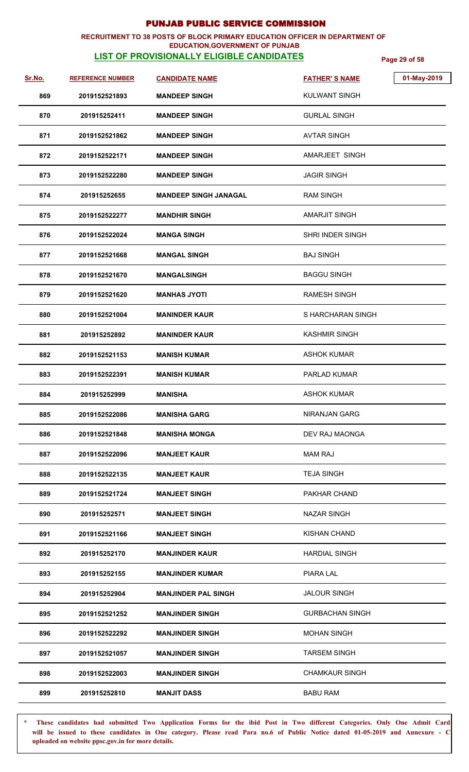### **RECRUITMENT TO 38 POSTS OF BLOCK PRIMARY EDUCATION OFFICER IN DEPARTMENT OF EDUCATION,GOVERNMENT OF PUNJAB**

# **LIST OF PROVISIONALLY ELIGIBLE CANDIDATES Page 29 of 58**

| <u>Sr.No.</u> | <b>REFERENCE NUMBER</b> | <b>CANDIDATE NAME</b>        | 01-May-2019<br><b>FATHER'S NAME</b> |
|---------------|-------------------------|------------------------------|-------------------------------------|
| 869           | 2019152521893           | <b>MANDEEP SINGH</b>         | <b>KULWANT SINGH</b>                |
| 870           | 201915252411            | <b>MANDEEP SINGH</b>         | <b>GURLAL SINGH</b>                 |
| 871           | 2019152521862           | <b>MANDEEP SINGH</b>         | <b>AVTAR SINGH</b>                  |
| 872           | 2019152522171           | <b>MANDEEP SINGH</b>         | AMARJEET SINGH                      |
| 873           | 2019152522280           | <b>MANDEEP SINGH</b>         | <b>JAGIR SINGH</b>                  |
| 874           | 201915252655            | <b>MANDEEP SINGH JANAGAL</b> | <b>RAM SINGH</b>                    |
| 875           | 2019152522277           | <b>MANDHIR SINGH</b>         | <b>AMARJIT SINGH</b>                |
| 876           | 2019152522024           | <b>MANGA SINGH</b>           | <b>SHRI INDER SINGH</b>             |
| 877           | 2019152521668           | <b>MANGAL SINGH</b>          | <b>BAJ SINGH</b>                    |
| 878           | 2019152521670           | <b>MANGALSINGH</b>           | <b>BAGGU SINGH</b>                  |
| 879           | 2019152521620           | <b>MANHAS JYOTI</b>          | <b>RAMESH SINGH</b>                 |
| 880           | 2019152521004           | <b>MANINDER KAUR</b>         | S HARCHARAN SINGH                   |
| 881           | 201915252892            | <b>MANINDER KAUR</b>         | <b>KASHMIR SINGH</b>                |
| 882           | 2019152521153           | <b>MANISH KUMAR</b>          | <b>ASHOK KUMAR</b>                  |
| 883           | 2019152522391           | <b>MANISH KUMAR</b>          | <b>PARLAD KUMAR</b>                 |
| 884           | 201915252999            | <b>MANISHA</b>               | <b>ASHOK KUMAR</b>                  |
| 885           | 2019152522086           | <b>MANISHA GARG</b>          | NIRANJAN GARG                       |
| 886           | 2019152521848           | <b>MANISHA MONGA</b>         | DEV RAJ MAONGA                      |
| 887           | 2019152522096           | <b>MANJEET KAUR</b>          | <b>MAM RAJ</b>                      |
| 888           | 2019152522135           | <b>MANJEET KAUR</b>          | <b>TEJA SINGH</b>                   |
| 889           | 2019152521724           | <b>MANJEET SINGH</b>         | PAKHAR CHAND                        |
| 890           | 201915252571            | <b>MANJEET SINGH</b>         | <b>NAZAR SINGH</b>                  |
| 891           | 2019152521166           | <b>MANJEET SINGH</b>         | <b>KISHAN CHAND</b>                 |
| 892           | 201915252170            | <b>MANJINDER KAUR</b>        | <b>HARDIAL SINGH</b>                |
| 893           | 201915252155            | MANJINDER KUMAR              | PIARA LAL                           |
| 894           | 201915252904            | <b>MANJINDER PAL SINGH</b>   | <b>JALOUR SINGH</b>                 |
| 895           | 2019152521252           | <b>MANJINDER SINGH</b>       | <b>GURBACHAN SINGH</b>              |
| 896           | 2019152522292           | <b>MANJINDER SINGH</b>       | <b>MOHAN SINGH</b>                  |
| 897           | 2019152521057           | <b>MANJINDER SINGH</b>       | <b>TARSEM SINGH</b>                 |
| 898           | 2019152522003           | <b>MANJINDER SINGH</b>       | <b>CHAMKAUR SINGH</b>               |
| 899           | 201915252810            | <b>MANJIT DASS</b>           | <b>BABU RAM</b>                     |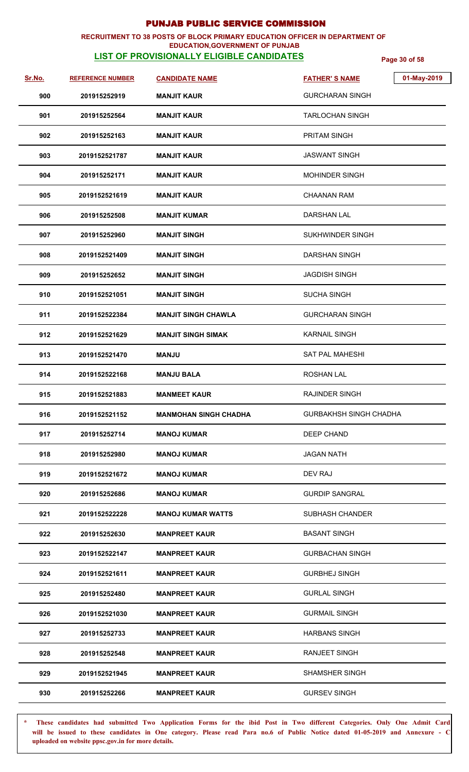### **RECRUITMENT TO 38 POSTS OF BLOCK PRIMARY EDUCATION OFFICER IN DEPARTMENT OF EDUCATION,GOVERNMENT OF PUNJAB**

# **LIST OF PROVISIONALLY ELIGIBLE CANDIDATES Page 30 of 58**

| <u>Sr.No.</u> | <b>REFERENCE NUMBER</b> | <b>CANDIDATE NAME</b>        | 01-May-2019<br><b>FATHER'S NAME</b> |
|---------------|-------------------------|------------------------------|-------------------------------------|
| 900           | 201915252919            | <b>MANJIT KAUR</b>           | <b>GURCHARAN SINGH</b>              |
| 901           | 201915252564            | <b>MANJIT KAUR</b>           | <b>TARLOCHAN SINGH</b>              |
| 902           | 201915252163            | <b>MANJIT KAUR</b>           | <b>PRITAM SINGH</b>                 |
| 903           | 2019152521787           | <b>MANJIT KAUR</b>           | <b>JASWANT SINGH</b>                |
| 904           | 201915252171            | <b>MANJIT KAUR</b>           | <b>MOHINDER SINGH</b>               |
| 905           | 2019152521619           | <b>MANJIT KAUR</b>           | <b>CHAANAN RAM</b>                  |
| 906           | 201915252508            | <b>MANJIT KUMAR</b>          | <b>DARSHAN LAL</b>                  |
| 907           | 201915252960            | <b>MANJIT SINGH</b>          | SUKHWINDER SINGH                    |
| 908           | 2019152521409           | <b>MANJIT SINGH</b>          | DARSHAN SINGH                       |
| 909           | 201915252652            | <b>MANJIT SINGH</b>          | <b>JAGDISH SINGH</b>                |
| 910           | 2019152521051           | <b>MANJIT SINGH</b>          | <b>SUCHA SINGH</b>                  |
| 911           | 2019152522384           | <b>MANJIT SINGH CHAWLA</b>   | <b>GURCHARAN SINGH</b>              |
| 912           | 2019152521629           | <b>MANJIT SINGH SIMAK</b>    | <b>KARNAIL SINGH</b>                |
| 913           | 2019152521470           | <b>ULAAM</b>                 | <b>SAT PAL MAHESHI</b>              |
| 914           | 2019152522168           | <b>MANJU BALA</b>            | <b>ROSHAN LAL</b>                   |
| 915           | 2019152521883           | <b>MANMEET KAUR</b>          | <b>RAJINDER SINGH</b>               |
| 916           | 2019152521152           | <b>MANMOHAN SINGH CHADHA</b> | <b>GURBAKHSH SINGH CHADHA</b>       |
| 917           | 201915252714            | <b>MANOJ KUMAR</b>           | DEEP CHAND                          |
| 918           | 201915252980            | <b>MANOJ KUMAR</b>           | <b>JAGAN NATH</b>                   |
| 919           | 2019152521672           | <b>MANOJ KUMAR</b>           | DEV RAJ                             |
| 920           | 201915252686            | <b>MANOJ KUMAR</b>           | <b>GURDIP SANGRAL</b>               |
| 921           | 2019152522228           | <b>MANOJ KUMAR WATTS</b>     | <b>SUBHASH CHANDER</b>              |
| 922           | 201915252630            | <b>MANPREET KAUR</b>         | <b>BASANT SINGH</b>                 |
| 923           | 2019152522147           | <b>MANPREET KAUR</b>         | <b>GURBACHAN SINGH</b>              |
| 924           | 2019152521611           | <b>MANPREET KAUR</b>         | <b>GURBHEJ SINGH</b>                |
| 925           | 201915252480            | <b>MANPREET KAUR</b>         | <b>GURLAL SINGH</b>                 |
| 926           | 2019152521030           | <b>MANPREET KAUR</b>         | <b>GURMAIL SINGH</b>                |
| 927           | 201915252733            | <b>MANPREET KAUR</b>         | <b>HARBANS SINGH</b>                |
| 928           | 201915252548            | <b>MANPREET KAUR</b>         | <b>RANJEET SINGH</b>                |
| 929           | 2019152521945           | <b>MANPREET KAUR</b>         | SHAMSHER SINGH                      |
| 930           | 201915252266            | <b>MANPREET KAUR</b>         | <b>GURSEV SINGH</b>                 |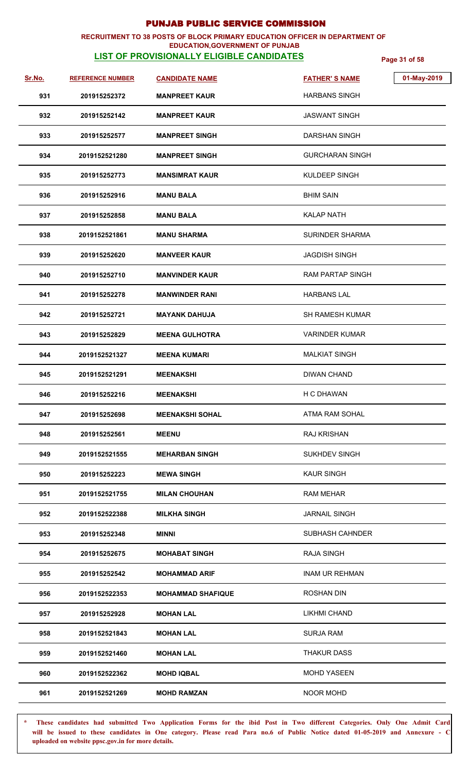### **RECRUITMENT TO 38 POSTS OF BLOCK PRIMARY EDUCATION OFFICER IN DEPARTMENT OF EDUCATION,GOVERNMENT OF PUNJAB**

# **LIST OF PROVISIONALLY ELIGIBLE CANDIDATES Page 31 of 58**

| Sr.No. | <b>REFERENCE NUMBER</b> | <b>CANDIDATE NAME</b>    | <b>FATHER'S NAME</b>   | 01-May-2019 |
|--------|-------------------------|--------------------------|------------------------|-------------|
| 931    | 201915252372            | <b>MANPREET KAUR</b>     | <b>HARBANS SINGH</b>   |             |
| 932    | 201915252142            | <b>MANPREET KAUR</b>     | <b>JASWANT SINGH</b>   |             |
| 933    | 201915252577            | <b>MANPREET SINGH</b>    | <b>DARSHAN SINGH</b>   |             |
| 934    | 2019152521280           | <b>MANPREET SINGH</b>    | <b>GURCHARAN SINGH</b> |             |
| 935    | 201915252773            | <b>MANSIMRAT KAUR</b>    | <b>KULDEEP SINGH</b>   |             |
| 936    | 201915252916            | <b>MANU BALA</b>         | <b>BHIM SAIN</b>       |             |
| 937    | 201915252858            | <b>MANU BALA</b>         | <b>KALAP NATH</b>      |             |
| 938    | 2019152521861           | <b>MANU SHARMA</b>       | <b>SURINDER SHARMA</b> |             |
| 939    | 201915252620            | <b>MANVEER KAUR</b>      | <b>JAGDISH SINGH</b>   |             |
| 940    | 201915252710            | <b>MANVINDER KAUR</b>    | RAM PARTAP SINGH       |             |
| 941    | 201915252278            | <b>MANWINDER RANI</b>    | <b>HARBANS LAL</b>     |             |
| 942    | 201915252721            | <b>MAYANK DAHUJA</b>     | SH RAMESH KUMAR        |             |
| 943    | 201915252829            | <b>MEENA GULHOTRA</b>    | <b>VARINDER KUMAR</b>  |             |
| 944    | 2019152521327           | <b>MEENA KUMARI</b>      | <b>MALKIAT SINGH</b>   |             |
| 945    | 2019152521291           | <b>MEENAKSHI</b>         | <b>DIWAN CHAND</b>     |             |
| 946    | 201915252216            | <b>MEENAKSHI</b>         | H C DHAWAN             |             |
| 947    | 201915252698            | <b>MEENAKSHI SOHAL</b>   | ATMA RAM SOHAL         |             |
| 948    | 201915252561            | <b>MEENU</b>             | <b>RAJ KRISHAN</b>     |             |
| 949    | 2019152521555           | <b>MEHARBAN SINGH</b>    | <b>SUKHDEV SINGH</b>   |             |
| 950    | 201915252223            | <b>MEWA SINGH</b>        | <b>KAUR SINGH</b>      |             |
| 951    | 2019152521755           | <b>MILAN CHOUHAN</b>     | <b>RAM MEHAR</b>       |             |
| 952    | 2019152522388           | <b>MILKHA SINGH</b>      | <b>JARNAIL SINGH</b>   |             |
| 953    | 201915252348            | <b>MINNI</b>             | SUBHASH CAHNDER        |             |
| 954    | 201915252675            | <b>MOHABAT SINGH</b>     | <b>RAJA SINGH</b>      |             |
| 955    | 201915252542            | <b>MOHAMMAD ARIF</b>     | <b>INAM UR REHMAN</b>  |             |
| 956    | 2019152522353           | <b>MOHAMMAD SHAFIQUE</b> | <b>ROSHAN DIN</b>      |             |
| 957    | 201915252928            | <b>MOHAN LAL</b>         | <b>LIKHMI CHAND</b>    |             |
| 958    | 2019152521843           | <b>MOHAN LAL</b>         | <b>SURJA RAM</b>       |             |
| 959    | 2019152521460           | <b>MOHAN LAL</b>         | <b>THAKUR DASS</b>     |             |
| 960    | 2019152522362           | <b>MOHD IQBAL</b>        | <b>MOHD YASEEN</b>     |             |
| 961    | 2019152521269           | <b>MOHD RAMZAN</b>       | NOOR MOHD              |             |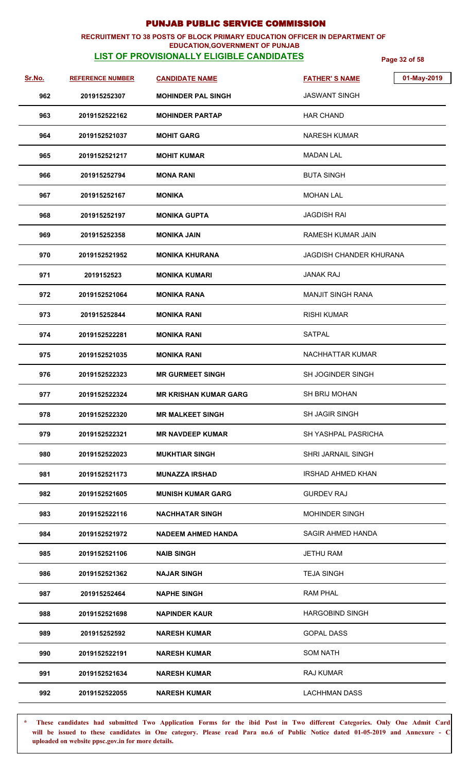### **RECRUITMENT TO 38 POSTS OF BLOCK PRIMARY EDUCATION OFFICER IN DEPARTMENT OF EDUCATION,GOVERNMENT OF PUNJAB**

# **LIST OF PROVISIONALLY ELIGIBLE CANDIDATES Page 32 of 58**

| <u>Sr.No.</u> | <b>REFERENCE NUMBER</b> | <b>CANDIDATE NAME</b>     | 01-May-2019<br><b>FATHER'S NAME</b> |
|---------------|-------------------------|---------------------------|-------------------------------------|
| 962           | 201915252307            | <b>MOHINDER PAL SINGH</b> | <b>JASWANT SINGH</b>                |
| 963           | 2019152522162           | <b>MOHINDER PARTAP</b>    | <b>HAR CHAND</b>                    |
| 964           | 2019152521037           | <b>MOHIT GARG</b>         | NARESH KUMAR                        |
| 965           | 2019152521217           | <b>MOHIT KUMAR</b>        | <b>MADAN LAL</b>                    |
| 966           | 201915252794            | <b>MONA RANI</b>          | <b>BUTA SINGH</b>                   |
| 967           | 201915252167            | <b>MONIKA</b>             | <b>MOHAN LAL</b>                    |
| 968           | 201915252197            | <b>MONIKA GUPTA</b>       | <b>JAGDISH RAI</b>                  |
| 969           | 201915252358            | <b>MONIKA JAIN</b>        | RAMESH KUMAR JAIN                   |
| 970           | 2019152521952           | MONIKA KHURANA            | JAGDISH CHANDER KHURANA             |
| 971           | 2019152523              | MONIKA KUMARI             | <b>JANAK RAJ</b>                    |
| 972           | 2019152521064           | <b>MONIKA RANA</b>        | <b>MANJIT SINGH RANA</b>            |
| 973           | 201915252844            | <b>MONIKA RANI</b>        | <b>RISHI KUMAR</b>                  |
| 974           | 2019152522281           | MONIKA RANI               | <b>SATPAL</b>                       |
| 975           | 2019152521035           | MONIKA RANI               | NACHHATTAR KUMAR                    |
| 976           | 2019152522323           | <b>MR GURMEET SINGH</b>   | SH JOGINDER SINGH                   |
| 977           | 2019152522324           | MR KRISHAN KUMAR GARG     | SH BRIJ MOHAN                       |
| 978           | 2019152522320           | <b>MR MALKEET SINGH</b>   | SH JAGIR SINGH                      |
| 979           | 2019152522321           | <b>MR NAVDEEP KUMAR</b>   | <b>SH YASHPAL PASRICHA</b>          |
| 980           | 2019152522023           | <b>MUKHTIAR SINGH</b>     | SHRI JARNAIL SINGH                  |
| 981           | 2019152521173           | MUNAZZA IRSHAD            | <b>IRSHAD AHMED KHAN</b>            |
| 982           | 2019152521605           | <b>MUNISH KUMAR GARG</b>  | <b>GURDEV RAJ</b>                   |
| 983           | 2019152522116           | NACHHATAR SINGH           | <b>MOHINDER SINGH</b>               |
| 984           | 2019152521972           | <b>NADEEM AHMED HANDA</b> | SAGIR AHMED HANDA                   |
| 985           | 2019152521106           | <b>NAIB SINGH</b>         | <b>JETHU RAM</b>                    |
| 986           | 2019152521362           | <b>NAJAR SINGH</b>        | <b>TEJA SINGH</b>                   |
| 987           | 201915252464            | <b>NAPHE SINGH</b>        | <b>RAM PHAL</b>                     |
| 988           | 2019152521698           | <b>NAPINDER KAUR</b>      | <b>HARGOBIND SINGH</b>              |
| 989           | 201915252592            | <b>NARESH KUMAR</b>       | <b>GOPAL DASS</b>                   |
| 990           | 2019152522191           | <b>NARESH KUMAR</b>       | <b>SOM NATH</b>                     |
| 991           | 2019152521634           | <b>NARESH KUMAR</b>       | <b>RAJ KUMAR</b>                    |
| 992           | 2019152522055           | <b>NARESH KUMAR</b>       | <b>LACHHMAN DASS</b>                |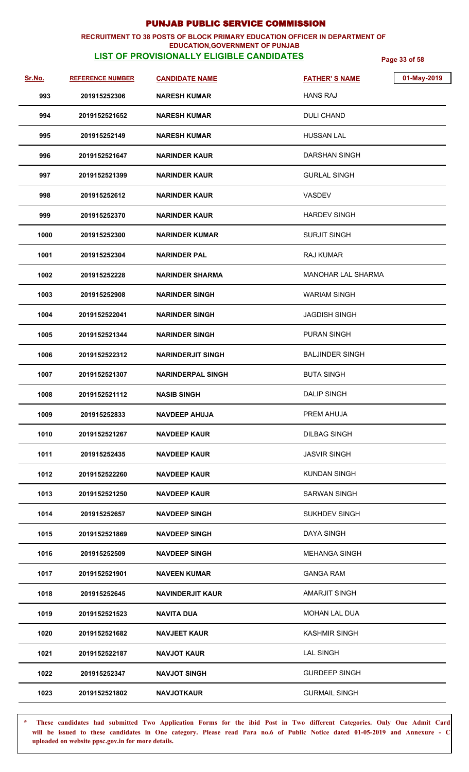### **RECRUITMENT TO 38 POSTS OF BLOCK PRIMARY EDUCATION OFFICER IN DEPARTMENT OF EDUCATION,GOVERNMENT OF PUNJAB**

# **LIST OF PROVISIONALLY ELIGIBLE CANDIDATES Page 33 of 58**

| Sr.No. | <b>REFERENCE NUMBER</b> | <b>CANDIDATE NAME</b>    | <b>FATHER'S NAME</b>      | 01-May-2019 |
|--------|-------------------------|--------------------------|---------------------------|-------------|
| 993    | 201915252306            | <b>NARESH KUMAR</b>      | <b>HANS RAJ</b>           |             |
| 994    | 2019152521652           | <b>NARESH KUMAR</b>      | <b>DULI CHAND</b>         |             |
| 995    | 201915252149            | <b>NARESH KUMAR</b>      | <b>HUSSAN LAL</b>         |             |
| 996    | 2019152521647           | <b>NARINDER KAUR</b>     | <b>DARSHAN SINGH</b>      |             |
| 997    | 2019152521399           | <b>NARINDER KAUR</b>     | <b>GURLAL SINGH</b>       |             |
| 998    | 201915252612            | <b>NARINDER KAUR</b>     | <b>VASDEV</b>             |             |
| 999    | 201915252370            | <b>NARINDER KAUR</b>     | <b>HARDEV SINGH</b>       |             |
| 1000   | 201915252300            | <b>NARINDER KUMAR</b>    | <b>SURJIT SINGH</b>       |             |
| 1001   | 201915252304            | <b>NARINDER PAL</b>      | <b>RAJ KUMAR</b>          |             |
| 1002   | 201915252228            | <b>NARINDER SHARMA</b>   | <b>MANOHAR LAL SHARMA</b> |             |
| 1003   | 201915252908            | <b>NARINDER SINGH</b>    | <b>WARIAM SINGH</b>       |             |
| 1004   | 2019152522041           | <b>NARINDER SINGH</b>    | <b>JAGDISH SINGH</b>      |             |
| 1005   | 2019152521344           | <b>NARINDER SINGH</b>    | <b>PURAN SINGH</b>        |             |
| 1006   | 2019152522312           | <b>NARINDERJIT SINGH</b> | <b>BALJINDER SINGH</b>    |             |
| 1007   | 2019152521307           | <b>NARINDERPAL SINGH</b> | <b>BUTA SINGH</b>         |             |
| 1008   | 2019152521112           | <b>NASIB SINGH</b>       | <b>DALIP SINGH</b>        |             |
| 1009   | 201915252833            | <b>NAVDEEP AHUJA</b>     | PREM AHUJA                |             |
| 1010   | 2019152521267           | <b>NAVDEEP KAUR</b>      | <b>DILBAG SINGH</b>       |             |
| 1011   | 201915252435            | <b>NAVDEEP KAUR</b>      | <b>JASVIR SINGH</b>       |             |
| 1012   | 2019152522260           | <b>NAVDEEP KAUR</b>      | <b>KUNDAN SINGH</b>       |             |
| 1013   | 2019152521250           | <b>NAVDEEP KAUR</b>      | <b>SARWAN SINGH</b>       |             |
| 1014   | 201915252657            | <b>NAVDEEP SINGH</b>     | <b>SUKHDEV SINGH</b>      |             |
| 1015   | 2019152521869           | <b>NAVDEEP SINGH</b>     | <b>DAYA SINGH</b>         |             |
| 1016   | 201915252509            | <b>NAVDEEP SINGH</b>     | <b>MEHANGA SINGH</b>      |             |
| 1017   | 2019152521901           | <b>NAVEEN KUMAR</b>      | <b>GANGA RAM</b>          |             |
| 1018   | 201915252645            | <b>NAVINDERJIT KAUR</b>  | <b>AMARJIT SINGH</b>      |             |
| 1019   | 2019152521523           | <b>NAVITA DUA</b>        | <b>MOHAN LAL DUA</b>      |             |
| 1020   | 2019152521682           | <b>NAVJEET KAUR</b>      | <b>KASHMIR SINGH</b>      |             |
| 1021   | 2019152522187           | <b>NAVJOT KAUR</b>       | <b>LAL SINGH</b>          |             |
| 1022   | 201915252347            | <b>NAVJOT SINGH</b>      | <b>GURDEEP SINGH</b>      |             |
| 1023   | 2019152521802           | <b>NAVJOTKAUR</b>        | <b>GURMAIL SINGH</b>      |             |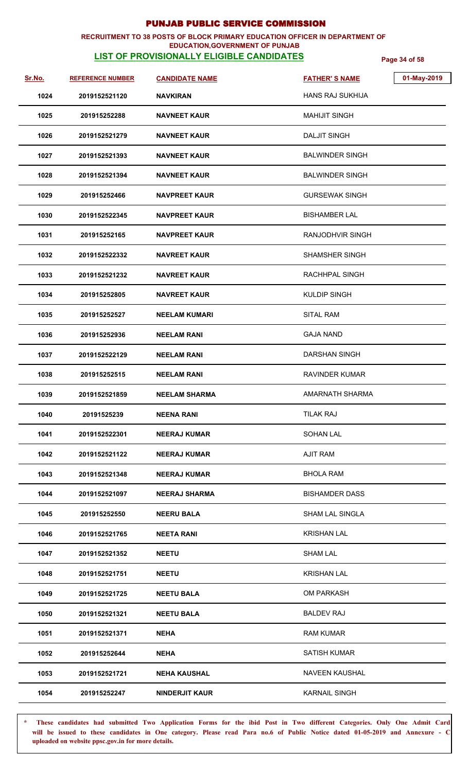### **RECRUITMENT TO 38 POSTS OF BLOCK PRIMARY EDUCATION OFFICER IN DEPARTMENT OF EDUCATION,GOVERNMENT OF PUNJAB**

# **LIST OF PROVISIONALLY ELIGIBLE CANDIDATES Page 34 of 58**

| Sr.No. | <b>REFERENCE NUMBER</b> | <b>CANDIDATE NAME</b> | <b>FATHER'S NAME</b>    | 01-May-2019 |
|--------|-------------------------|-----------------------|-------------------------|-------------|
| 1024   | 2019152521120           | <b>NAVKIRAN</b>       | <b>HANS RAJ SUKHIJA</b> |             |
| 1025   | 201915252288            | <b>NAVNEET KAUR</b>   | <b>MAHIJIT SINGH</b>    |             |
| 1026   | 2019152521279           | <b>NAVNEET KAUR</b>   | <b>DALJIT SINGH</b>     |             |
| 1027   | 2019152521393           | <b>NAVNEET KAUR</b>   | <b>BALWINDER SINGH</b>  |             |
| 1028   | 2019152521394           | <b>NAVNEET KAUR</b>   | <b>BALWINDER SINGH</b>  |             |
| 1029   | 201915252466            | <b>NAVPREET KAUR</b>  | <b>GURSEWAK SINGH</b>   |             |
| 1030   | 2019152522345           | <b>NAVPREET KAUR</b>  | <b>BISHAMBER LAL</b>    |             |
| 1031   | 201915252165            | <b>NAVPREET KAUR</b>  | RANJODHVIR SINGH        |             |
| 1032   | 2019152522332           | <b>NAVREET KAUR</b>   | <b>SHAMSHER SINGH</b>   |             |
| 1033   | 2019152521232           | <b>NAVREET KAUR</b>   | RACHHPAL SINGH          |             |
| 1034   | 201915252805            | <b>NAVREET KAUR</b>   | <b>KULDIP SINGH</b>     |             |
| 1035   | 201915252527            | <b>NEELAM KUMARI</b>  | <b>SITAL RAM</b>        |             |
| 1036   | 201915252936            | <b>NEELAM RANI</b>    | <b>GAJA NAND</b>        |             |
| 1037   | 2019152522129           | <b>NEELAM RANI</b>    | <b>DARSHAN SINGH</b>    |             |
| 1038   | 201915252515            | <b>NEELAM RANI</b>    | <b>RAVINDER KUMAR</b>   |             |
| 1039   | 2019152521859           | <b>NEELAM SHARMA</b>  | AMARNATH SHARMA         |             |
| 1040   | 20191525239             | <b>NEENA RANI</b>     | <b>TILAK RAJ</b>        |             |
| 1041   | 2019152522301           | <b>NEERAJ KUMAR</b>   | <b>SOHAN LAL</b>        |             |
| 1042   | 2019152521122           | <b>NEERAJ KUMAR</b>   | <b>AJIT RAM</b>         |             |
| 1043   | 2019152521348           | <b>NEERAJ KUMAR</b>   | <b>BHOLA RAM</b>        |             |
| 1044   | 2019152521097           | <b>NEERAJ SHARMA</b>  | <b>BISHAMDER DASS</b>   |             |
| 1045   | 201915252550            | <b>NEERU BALA</b>     | <b>SHAM LAL SINGLA</b>  |             |
| 1046   | 2019152521765           | <b>NEETA RANI</b>     | <b>KRISHAN LAL</b>      |             |
| 1047   | 2019152521352           | <b>NEETU</b>          | <b>SHAM LAL</b>         |             |
| 1048   | 2019152521751           | <b>NEETU</b>          | <b>KRISHAN LAL</b>      |             |
| 1049   | 2019152521725           | <b>NEETU BALA</b>     | <b>OM PARKASH</b>       |             |
| 1050   | 2019152521321           | <b>NEETU BALA</b>     | <b>BALDEV RAJ</b>       |             |
| 1051   | 2019152521371           | <b>NEHA</b>           | <b>RAM KUMAR</b>        |             |
| 1052   | 201915252644            | <b>NEHA</b>           | <b>SATISH KUMAR</b>     |             |
| 1053   | 2019152521721           | <b>NEHA KAUSHAL</b>   | <b>NAVEEN KAUSHAL</b>   |             |
| 1054   | 201915252247            | <b>NINDERJIT KAUR</b> | <b>KARNAIL SINGH</b>    |             |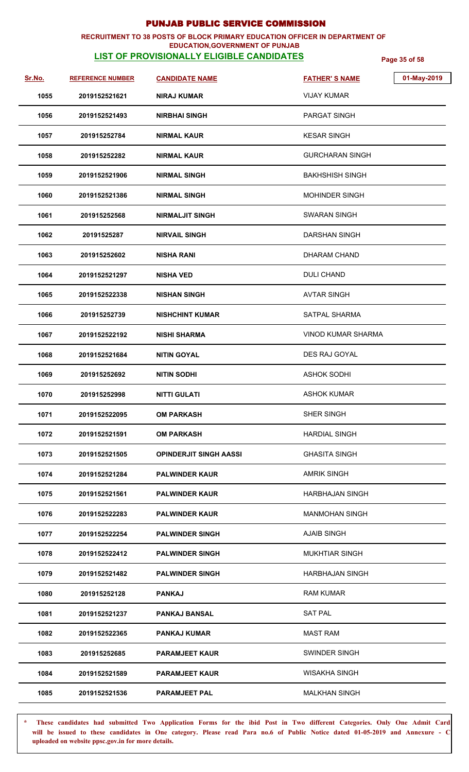### **RECRUITMENT TO 38 POSTS OF BLOCK PRIMARY EDUCATION OFFICER IN DEPARTMENT OF EDUCATION,GOVERNMENT OF PUNJAB**

# **LIST OF PROVISIONALLY ELIGIBLE CANDIDATES Page 35 of 58**

| Sr.No. | <b>REFERENCE NUMBER</b> | <b>CANDIDATE NAME</b>         | <b>FATHER'S NAME</b>      | 01-May-2019 |
|--------|-------------------------|-------------------------------|---------------------------|-------------|
| 1055   | 2019152521621           | NIRAJ KUMAR                   | <b>VIJAY KUMAR</b>        |             |
| 1056   | 2019152521493           | <b>NIRBHAI SINGH</b>          | PARGAT SINGH              |             |
| 1057   | 201915252784            | <b>NIRMAL KAUR</b>            | <b>KESAR SINGH</b>        |             |
| 1058   | 201915252282            | NIRMAL KAUR                   | <b>GURCHARAN SINGH</b>    |             |
| 1059   | 2019152521906           | <b>NIRMAL SINGH</b>           | <b>BAKHSHISH SINGH</b>    |             |
| 1060   | 2019152521386           | <b>NIRMAL SINGH</b>           | <b>MOHINDER SINGH</b>     |             |
| 1061   | 201915252568            | <b>NIRMALJIT SINGH</b>        | <b>SWARAN SINGH</b>       |             |
| 1062   | 20191525287             | <b>NIRVAIL SINGH</b>          | <b>DARSHAN SINGH</b>      |             |
| 1063   | 201915252602            | <b>NISHA RANI</b>             | DHARAM CHAND              |             |
| 1064   | 2019152521297           | <b>NISHA VED</b>              | <b>DULI CHAND</b>         |             |
| 1065   | 2019152522338           | <b>NISHAN SINGH</b>           | <b>AVTAR SINGH</b>        |             |
| 1066   | 201915252739            | <b>NISHCHINT KUMAR</b>        | <b>SATPAL SHARMA</b>      |             |
| 1067   | 2019152522192           | <b>NISHI SHARMA</b>           | <b>VINOD KUMAR SHARMA</b> |             |
| 1068   | 2019152521684           | NITIN GOYAL                   | DES RAJ GOYAL             |             |
| 1069   | 201915252692            | <b>NITIN SODHI</b>            | <b>ASHOK SODHI</b>        |             |
| 1070   | 201915252998            | <b>NITTI GULATI</b>           | <b>ASHOK KUMAR</b>        |             |
| 1071   | 2019152522095           | <b>OM PARKASH</b>             | SHER SINGH                |             |
| 1072   | 2019152521591           | <b>OM PARKASH</b>             | <b>HARDIAL SINGH</b>      |             |
| 1073   | 2019152521505           | <b>OPINDERJIT SINGH AASSI</b> | <b>GHASITA SINGH</b>      |             |
| 1074   | 2019152521284           | <b>PALWINDER KAUR</b>         | <b>AMRIK SINGH</b>        |             |
| 1075   | 2019152521561           | <b>PALWINDER KAUR</b>         | <b>HARBHAJAN SINGH</b>    |             |
| 1076   | 2019152522283           | <b>PALWINDER KAUR</b>         | <b>MANMOHAN SINGH</b>     |             |
| 1077   | 2019152522254           | <b>PALWINDER SINGH</b>        | <b>AJAIB SINGH</b>        |             |
| 1078   | 2019152522412           | <b>PALWINDER SINGH</b>        | <b>MUKHTIAR SINGH</b>     |             |
| 1079   | 2019152521482           | <b>PALWINDER SINGH</b>        | <b>HARBHAJAN SINGH</b>    |             |
| 1080   | 201915252128            | <b>PANKAJ</b>                 | <b>RAM KUMAR</b>          |             |
| 1081   | 2019152521237           | <b>PANKAJ BANSAL</b>          | <b>SAT PAL</b>            |             |
| 1082   | 2019152522365           | <b>PANKAJ KUMAR</b>           | <b>MAST RAM</b>           |             |
| 1083   | 201915252685            | <b>PARAMJEET KAUR</b>         | SWINDER SINGH             |             |
| 1084   | 2019152521589           | <b>PARAMJEET KAUR</b>         | <b>WISAKHA SINGH</b>      |             |
| 1085   | 2019152521536           | <b>PARAMJEET PAL</b>          | <b>MALKHAN SINGH</b>      |             |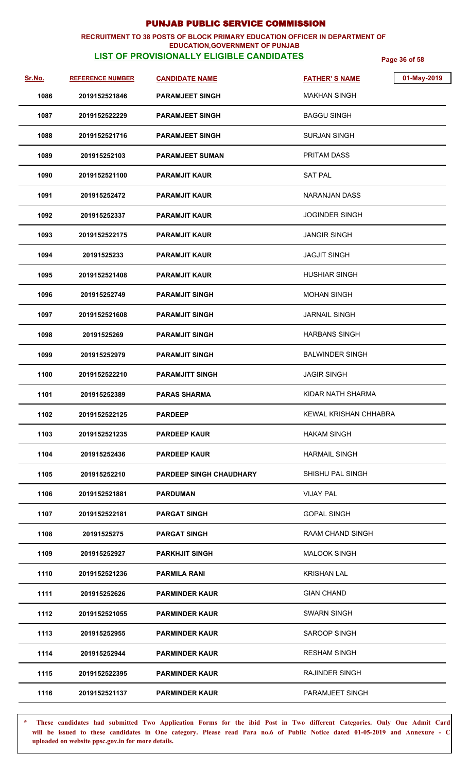### **RECRUITMENT TO 38 POSTS OF BLOCK PRIMARY EDUCATION OFFICER IN DEPARTMENT OF EDUCATION,GOVERNMENT OF PUNJAB**

# **LIST OF PROVISIONALLY ELIGIBLE CANDIDATES Page 36 of 58**

| <u>Sr.No.</u> | <b>REFERENCE NUMBER</b> | <b>CANDIDATE NAME</b>          | 01-May-2019<br><b>FATHER'S NAME</b> |
|---------------|-------------------------|--------------------------------|-------------------------------------|
| 1086          | 2019152521846           | <b>PARAMJEET SINGH</b>         | <b>MAKHAN SINGH</b>                 |
| 1087          | 2019152522229           | <b>PARAMJEET SINGH</b>         | <b>BAGGU SINGH</b>                  |
| 1088          | 2019152521716           | <b>PARAMJEET SINGH</b>         | SURJAN SINGH                        |
| 1089          | 201915252103            | <b>PARAMJEET SUMAN</b>         | <b>PRITAM DASS</b>                  |
| 1090          | 2019152521100           | <b>PARAMJIT KAUR</b>           | <b>SAT PAL</b>                      |
| 1091          | 201915252472            | <b>PARAMJIT KAUR</b>           | NARANJAN DASS                       |
| 1092          | 201915252337            | <b>PARAMJIT KAUR</b>           | <b>JOGINDER SINGH</b>               |
| 1093          | 2019152522175           | <b>PARAMJIT KAUR</b>           | <b>JANGIR SINGH</b>                 |
| 1094          | 20191525233             | <b>PARAMJIT KAUR</b>           | JAGJIT SINGH                        |
| 1095          | 2019152521408           | <b>PARAMJIT KAUR</b>           | <b>HUSHIAR SINGH</b>                |
| 1096          | 201915252749            | <b>PARAMJIT SINGH</b>          | <b>MOHAN SINGH</b>                  |
| 1097          | 2019152521608           | <b>PARAMJIT SINGH</b>          | <b>JARNAIL SINGH</b>                |
| 1098          | 20191525269             | <b>PARAMJIT SINGH</b>          | <b>HARBANS SINGH</b>                |
| 1099          | 201915252979            | <b>PARAMJIT SINGH</b>          | <b>BALWINDER SINGH</b>              |
| 1100          | 2019152522210           | <b>PARAMJITT SINGH</b>         | <b>JAGIR SINGH</b>                  |
| 1101          | 201915252389            | <b>PARAS SHARMA</b>            | KIDAR NATH SHARMA                   |
| 1102          | 2019152522125           | <b>PARDEEP</b>                 | KEWAL KRISHAN CHHABRA               |
| 1103          | 2019152521235           | <b>PARDEEP KAUR</b>            | <b>HAKAM SINGH</b>                  |
| 1104          | 201915252436            | <b>PARDEEP KAUR</b>            | <b>HARMAIL SINGH</b>                |
| 1105          | 201915252210            | <b>PARDEEP SINGH CHAUDHARY</b> | SHISHU PAL SINGH                    |
| 1106          | 2019152521881           | <b>PARDUMAN</b>                | <b>VIJAY PAL</b>                    |
| 1107          | 2019152522181           | <b>PARGAT SINGH</b>            | <b>GOPAL SINGH</b>                  |
| 1108          | 20191525275             | <b>PARGAT SINGH</b>            | RAAM CHAND SINGH                    |
| 1109          | 201915252927            | <b>PARKHJIT SINGH</b>          | <b>MALOOK SINGH</b>                 |
| 1110          | 2019152521236           | <b>PARMILA RANI</b>            | <b>KRISHAN LAL</b>                  |
| 1111          | 201915252626            | <b>PARMINDER KAUR</b>          | <b>GIAN CHAND</b>                   |
| 1112          | 2019152521055           | <b>PARMINDER KAUR</b>          | <b>SWARN SINGH</b>                  |
| 1113          | 201915252955            | <b>PARMINDER KAUR</b>          | SAROOP SINGH                        |
| 1114          | 201915252944            | <b>PARMINDER KAUR</b>          | <b>RESHAM SINGH</b>                 |
| 1115          | 2019152522395           | <b>PARMINDER KAUR</b>          | <b>RAJINDER SINGH</b>               |
| 1116          | 2019152521137           | <b>PARMINDER KAUR</b>          | PARAMJEET SINGH                     |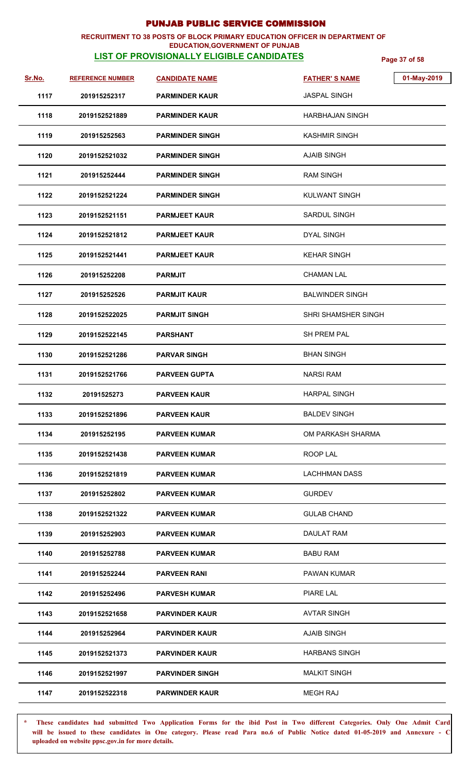## **RECRUITMENT TO 38 POSTS OF BLOCK PRIMARY EDUCATION OFFICER IN DEPARTMENT OF**

## **LIST OF PROVISIONALLY ELIGIBLE CANDIDATES Page 37 of 58 EDUCATION,GOVERNMENT OF PUNJAB**

| <u>Sr.No.</u> | <b>REFERENCE NUMBER</b> | <b>CANDIDATE NAME</b>  | 01-May-2019<br><b>FATHER'S NAME</b> |
|---------------|-------------------------|------------------------|-------------------------------------|
| 1117          | 201915252317            | <b>PARMINDER KAUR</b>  | <b>JASPAL SINGH</b>                 |
| 1118          | 2019152521889           | <b>PARMINDER KAUR</b>  | <b>HARBHAJAN SINGH</b>              |
| 1119          | 201915252563            | <b>PARMINDER SINGH</b> | <b>KASHMIR SINGH</b>                |
| 1120          | 2019152521032           | <b>PARMINDER SINGH</b> | AJAIB SINGH                         |
| 1121          | 201915252444            | <b>PARMINDER SINGH</b> | <b>RAM SINGH</b>                    |
| 1122          | 2019152521224           | <b>PARMINDER SINGH</b> | <b>KULWANT SINGH</b>                |
| 1123          | 2019152521151           | <b>PARMJEET KAUR</b>   | <b>SARDUL SINGH</b>                 |
| 1124          | 2019152521812           | <b>PARMJEET KAUR</b>   | <b>DYAL SINGH</b>                   |
| 1125          | 2019152521441           | <b>PARMJEET KAUR</b>   | <b>KEHAR SINGH</b>                  |
| 1126          | 201915252208            | <b>PARMJIT</b>         | <b>CHAMAN LAL</b>                   |
| 1127          | 201915252526            | <b>PARMJIT KAUR</b>    | <b>BALWINDER SINGH</b>              |
| 1128          | 2019152522025           | <b>PARMJIT SINGH</b>   | <b>SHRI SHAMSHER SINGH</b>          |
| 1129          | 2019152522145           | <b>PARSHANT</b>        | <b>SH PREM PAL</b>                  |
| 1130          | 2019152521286           | <b>PARVAR SINGH</b>    | <b>BHAN SINGH</b>                   |
| 1131          | 2019152521766           | <b>PARVEEN GUPTA</b>   | <b>NARSI RAM</b>                    |
| 1132          | 20191525273             | <b>PARVEEN KAUR</b>    | <b>HARPAL SINGH</b>                 |
| 1133          | 2019152521896           | <b>PARVEEN KAUR</b>    | <b>BALDEV SINGH</b>                 |
| 1134          | 201915252195            | <b>PARVEEN KUMAR</b>   | OM PARKASH SHARMA                   |
| 1135          | 2019152521438           | <b>PARVEEN KUMAR</b>   | ROOP LAL                            |
| 1136          | 2019152521819           | <b>PARVEEN KUMAR</b>   | <b>LACHHMAN DASS</b>                |
| 1137          | 201915252802            | <b>PARVEEN KUMAR</b>   | <b>GURDEV</b>                       |
| 1138          | 2019152521322           | <b>PARVEEN KUMAR</b>   | <b>GULAB CHAND</b>                  |
| 1139          | 201915252903            | <b>PARVEEN KUMAR</b>   | DAULAT RAM                          |
| 1140          | 201915252788            | <b>PARVEEN KUMAR</b>   | <b>BABU RAM</b>                     |
| 1141          | 201915252244            | <b>PARVEEN RANI</b>    | <b>PAWAN KUMAR</b>                  |
| 1142          | 201915252496            | <b>PARVESH KUMAR</b>   | PIARE LAL                           |
| 1143          | 2019152521658           | <b>PARVINDER KAUR</b>  | <b>AVTAR SINGH</b>                  |
| 1144          | 201915252964            | <b>PARVINDER KAUR</b>  | <b>AJAIB SINGH</b>                  |
| 1145          | 2019152521373           | <b>PARVINDER KAUR</b>  | <b>HARBANS SINGH</b>                |
| 1146          | 2019152521997           | <b>PARVINDER SINGH</b> | <b>MALKIT SINGH</b>                 |
| 1147          | 2019152522318           | <b>PARWINDER KAUR</b>  | <b>MEGH RAJ</b>                     |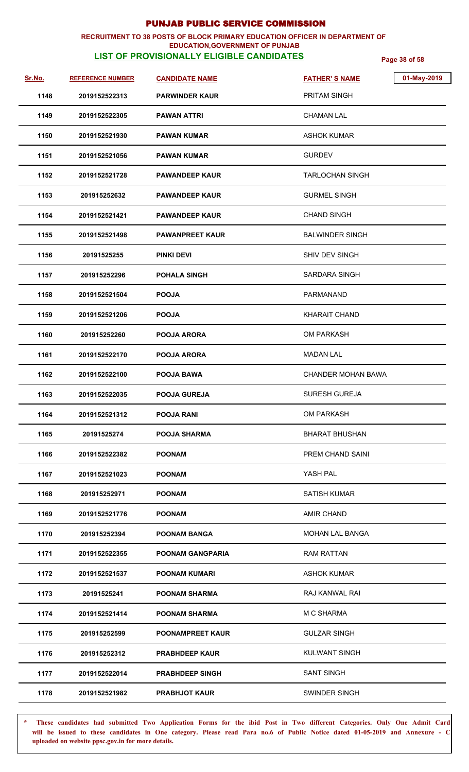### **RECRUITMENT TO 38 POSTS OF BLOCK PRIMARY EDUCATION OFFICER IN DEPARTMENT OF EDUCATION,GOVERNMENT OF PUNJAB**

# **LIST OF PROVISIONALLY ELIGIBLE CANDIDATES Page 38 of 58**

| <u>Sr.No.</u> | <b>REFERENCE NUMBER</b> | <b>CANDIDATE NAME</b>   | 01-May-2019<br><b>FATHER'S NAME</b> |
|---------------|-------------------------|-------------------------|-------------------------------------|
| 1148          | 2019152522313           | <b>PARWINDER KAUR</b>   | <b>PRITAM SINGH</b>                 |
| 1149          | 2019152522305           | <b>PAWAN ATTRI</b>      | <b>CHAMAN LAL</b>                   |
| 1150          | 2019152521930           | <b>PAWAN KUMAR</b>      | <b>ASHOK KUMAR</b>                  |
| 1151          | 2019152521056           | <b>PAWAN KUMAR</b>      | <b>GURDEV</b>                       |
| 1152          | 2019152521728           | <b>PAWANDEEP KAUR</b>   | <b>TARLOCHAN SINGH</b>              |
| 1153          | 201915252632            | <b>PAWANDEEP KAUR</b>   | <b>GURMEL SINGH</b>                 |
| 1154          | 2019152521421           | <b>PAWANDEEP KAUR</b>   | <b>CHAND SINGH</b>                  |
| 1155          | 2019152521498           | <b>PAWANPREET KAUR</b>  | <b>BALWINDER SINGH</b>              |
| 1156          | 20191525255             | PINKI DEVI              | SHIV DEV SINGH                      |
| 1157          | 201915252296            | <b>POHALA SINGH</b>     | <b>SARDARA SINGH</b>                |
| 1158          | 2019152521504           | <b>POOJA</b>            | <b>PARMANAND</b>                    |
| 1159          | 2019152521206           | <b>POOJA</b>            | <b>KHARAIT CHAND</b>                |
| 1160          | 201915252260            | <b>POOJA ARORA</b>      | <b>OM PARKASH</b>                   |
| 1161          | 2019152522170           | <b>POOJA ARORA</b>      | <b>MADAN LAL</b>                    |
| 1162          | 2019152522100           | <b>POOJA BAWA</b>       | CHANDER MOHAN BAWA                  |
| 1163          | 2019152522035           | <b>POOJA GUREJA</b>     | <b>SURESH GUREJA</b>                |
| 1164          | 2019152521312           | <b>POOJA RANI</b>       | <b>OM PARKASH</b>                   |
| 1165          | 20191525274             | <b>POOJA SHARMA</b>     | <b>BHARAT BHUSHAN</b>               |
| 1166          | 2019152522382           | <b>POONAM</b>           | PREM CHAND SAINI                    |
| 1167          | 2019152521023           | <b>POONAM</b>           | YASH PAL                            |
| 1168          | 201915252971            | <b>POONAM</b>           | <b>SATISH KUMAR</b>                 |
| 1169          | 2019152521776           | <b>POONAM</b>           | <b>AMIR CHAND</b>                   |
| 1170          | 201915252394            | <b>POONAM BANGA</b>     | MOHAN LAL BANGA                     |
| 1171          | 2019152522355           | <b>POONAM GANGPARIA</b> | <b>RAM RATTAN</b>                   |
| 1172          | 2019152521537           | <b>POONAM KUMARI</b>    | <b>ASHOK KUMAR</b>                  |
| 1173          | 20191525241             | <b>POONAM SHARMA</b>    | RAJ KANWAL RAI                      |
| 1174          | 2019152521414           | <b>POONAM SHARMA</b>    | M C SHARMA                          |
| 1175          | 201915252599            | <b>POONAMPREET KAUR</b> | <b>GULZAR SINGH</b>                 |
| 1176          | 201915252312            | <b>PRABHDEEP KAUR</b>   | <b>KULWANT SINGH</b>                |
| 1177          | 2019152522014           | <b>PRABHDEEP SINGH</b>  | <b>SANT SINGH</b>                   |
| 1178          | 2019152521982           | <b>PRABHJOT KAUR</b>    | SWINDER SINGH                       |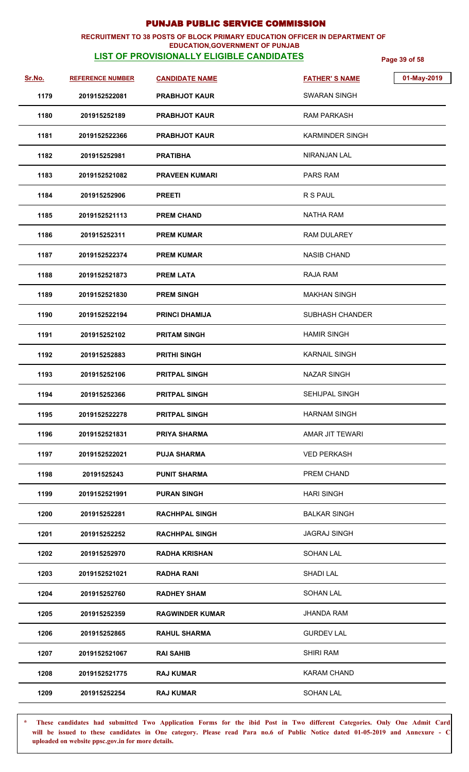### **RECRUITMENT TO 38 POSTS OF BLOCK PRIMARY EDUCATION OFFICER IN DEPARTMENT OF EDUCATION,GOVERNMENT OF PUNJAB**

# **LIST OF PROVISIONALLY ELIGIBLE CANDIDATES Page 39 of 58**

| Sr.No. | <b>REFERENCE NUMBER</b> | <b>CANDIDATE NAME</b>  | 01-May-2019<br><b>FATHER'S NAME</b> |  |
|--------|-------------------------|------------------------|-------------------------------------|--|
| 1179   | 2019152522081           | <b>PRABHJOT KAUR</b>   | <b>SWARAN SINGH</b>                 |  |
| 1180   | 201915252189            | <b>PRABHJOT KAUR</b>   | <b>RAM PARKASH</b>                  |  |
| 1181   | 2019152522366           | <b>PRABHJOT KAUR</b>   | <b>KARMINDER SINGH</b>              |  |
| 1182   | 201915252981            | <b>PRATIBHA</b>        | NIRANJAN LAL                        |  |
| 1183   | 2019152521082           | <b>PRAVEEN KUMARI</b>  | <b>PARS RAM</b>                     |  |
| 1184   | 201915252906            | <b>PREETI</b>          | R S PAUL                            |  |
| 1185   | 2019152521113           | <b>PREM CHAND</b>      | <b>NATHA RAM</b>                    |  |
| 1186   | 201915252311            | <b>PREM KUMAR</b>      | <b>RAM DULAREY</b>                  |  |
| 1187   | 2019152522374           | <b>PREM KUMAR</b>      | <b>NASIB CHAND</b>                  |  |
| 1188   | 2019152521873           | <b>PREM LATA</b>       | RAJA RAM                            |  |
| 1189   | 2019152521830           | <b>PREM SINGH</b>      | <b>MAKHAN SINGH</b>                 |  |
| 1190   | 2019152522194           | <b>PRINCI DHAMIJA</b>  | SUBHASH CHANDER                     |  |
| 1191   | 201915252102            | <b>PRITAM SINGH</b>    | <b>HAMIR SINGH</b>                  |  |
| 1192   | 201915252883            | <b>PRITHI SINGH</b>    | <b>KARNAIL SINGH</b>                |  |
| 1193   | 201915252106            | <b>PRITPAL SINGH</b>   | <b>NAZAR SINGH</b>                  |  |
| 1194   | 201915252366            | <b>PRITPAL SINGH</b>   | SEHIJPAL SINGH                      |  |
| 1195   | 2019152522278           | <b>PRITPAL SINGH</b>   | <b>HARNAM SINGH</b>                 |  |
| 1196   | 2019152521831           | <b>PRIYA SHARMA</b>    | AMAR JIT TEWARI                     |  |
| 1197   | 2019152522021           | <b>PUJA SHARMA</b>     | <b>VED PERKASH</b>                  |  |
| 1198   | 20191525243             | <b>PUNIT SHARMA</b>    | PREM CHAND                          |  |
| 1199   | 2019152521991           | <b>PURAN SINGH</b>     | <b>HARI SINGH</b>                   |  |
| 1200   | 201915252281            | <b>RACHHPAL SINGH</b>  | <b>BALKAR SINGH</b>                 |  |
| 1201   | 201915252252            | <b>RACHHPAL SINGH</b>  | <b>JAGRAJ SINGH</b>                 |  |
| 1202   | 201915252970            | <b>RADHA KRISHAN</b>   | <b>SOHAN LAL</b>                    |  |
| 1203   | 2019152521021           | <b>RADHA RANI</b>      | SHADI LAL                           |  |
| 1204   | 201915252760            | <b>RADHEY SHAM</b>     | <b>SOHAN LAL</b>                    |  |
| 1205   | 201915252359            | <b>RAGWINDER KUMAR</b> | <b>JHANDA RAM</b>                   |  |
| 1206   | 201915252865            | <b>RAHUL SHARMA</b>    | <b>GURDEV LAL</b>                   |  |
| 1207   | 2019152521067           | <b>RAI SAHIB</b>       | <b>SHIRI RAM</b>                    |  |
| 1208   | 2019152521775           | <b>RAJ KUMAR</b>       | <b>KARAM CHAND</b>                  |  |
| 1209   | 201915252254            | <b>RAJ KUMAR</b>       | <b>SOHAN LAL</b>                    |  |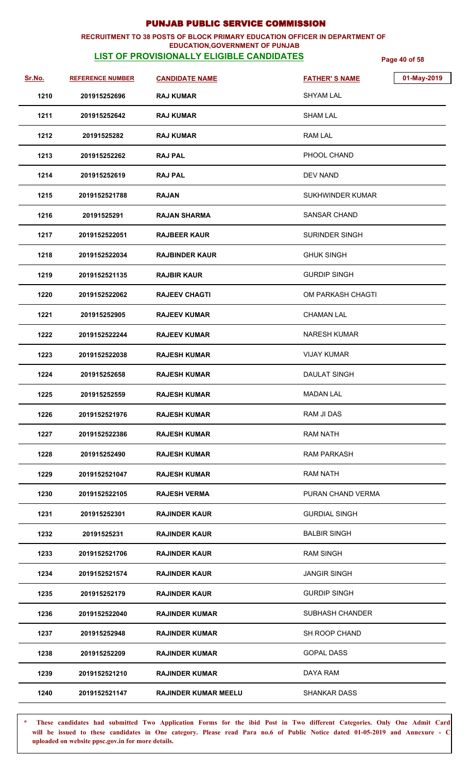### **RECRUITMENT TO 38 POSTS OF BLOCK PRIMARY EDUCATION OFFICER IN DEPARTMENT OF EDUCATION,GOVERNMENT OF PUNJAB**

# **LIST OF PROVISIONALLY ELIGIBLE CANDIDATES Page 40 of 58**

| <u>Sr.No.</u> | <b>REFERENCE NUMBER</b> | <b>CANDIDATE NAME</b>       | <b>FATHER'S NAME</b>  | 01-May-2019 |
|---------------|-------------------------|-----------------------------|-----------------------|-------------|
| 1210          | 201915252696            | <b>RAJ KUMAR</b>            | <b>SHYAM LAL</b>      |             |
| 1211          | 201915252642            | <b>RAJ KUMAR</b>            | <b>SHAM LAL</b>       |             |
| 1212          | 20191525282             | <b>RAJ KUMAR</b>            | <b>RAM LAL</b>        |             |
| 1213          | 201915252262            | <b>RAJ PAL</b>              | PHOOL CHAND           |             |
| 1214          | 201915252619            | <b>RAJ PAL</b>              | <b>DEV NAND</b>       |             |
| 1215          | 2019152521788           | <b>RAJAN</b>                | SUKHWINDER KUMAR      |             |
| 1216          | 20191525291             | <b>RAJAN SHARMA</b>         | <b>SANSAR CHAND</b>   |             |
| 1217          | 2019152522051           | <b>RAJBEER KAUR</b>         | <b>SURINDER SINGH</b> |             |
| 1218          | 2019152522034           | <b>RAJBINDER KAUR</b>       | <b>GHUK SINGH</b>     |             |
| 1219          | 2019152521135           | <b>RAJBIR KAUR</b>          | <b>GURDIP SINGH</b>   |             |
| 1220          | 2019152522062           | <b>RAJEEV CHAGTI</b>        | OM PARKASH CHAGTI     |             |
| 1221          | 201915252905            | <b>RAJEEV KUMAR</b>         | <b>CHAMAN LAL</b>     |             |
| 1222          | 2019152522244           | <b>RAJEEV KUMAR</b>         | <b>NARESH KUMAR</b>   |             |
| 1223          | 2019152522038           | <b>RAJESH KUMAR</b>         | <b>VIJAY KUMAR</b>    |             |
| 1224          | 201915252658            | <b>RAJESH KUMAR</b>         | <b>DAULAT SINGH</b>   |             |
| 1225          | 201915252559            | <b>RAJESH KUMAR</b>         | <b>MADAN LAL</b>      |             |
| 1226          | 2019152521976           | <b>RAJESH KUMAR</b>         | RAM JI DAS            |             |
| 1227          | 2019152522386           | <b>RAJESH KUMAR</b>         | <b>RAM NATH</b>       |             |
| 1228          | 201915252490            | <b>RAJESH KUMAR</b>         | <b>RAM PARKASH</b>    |             |
| 1229          | 2019152521047           | <b>RAJESH KUMAR</b>         | <b>RAM NATH</b>       |             |
| 1230          | 2019152522105           | <b>RAJESH VERMA</b>         | PURAN CHAND VERMA     |             |
| 1231          | 201915252301            | <b>RAJINDER KAUR</b>        | <b>GURDIAL SINGH</b>  |             |
| 1232          | 20191525231             | <b>RAJINDER KAUR</b>        | <b>BALBIR SINGH</b>   |             |
| 1233          | 2019152521706           | <b>RAJINDER KAUR</b>        | <b>RAM SINGH</b>      |             |
| 1234          | 2019152521574           | <b>RAJINDER KAUR</b>        | <b>JANGIR SINGH</b>   |             |
| 1235          | 201915252179            | <b>RAJINDER KAUR</b>        | <b>GURDIP SINGH</b>   |             |
| 1236          | 2019152522040           | <b>RAJINDER KUMAR</b>       | SUBHASH CHANDER       |             |
| 1237          | 201915252948            | <b>RAJINDER KUMAR</b>       | SH ROOP CHAND         |             |
| 1238          | 201915252209            | <b>RAJINDER KUMAR</b>       | <b>GOPAL DASS</b>     |             |
| 1239          | 2019152521210           | <b>RAJINDER KUMAR</b>       | DAYA RAM              |             |
| 1240          | 2019152521147           | <b>RAJINDER KUMAR MEELU</b> | <b>SHANKAR DASS</b>   |             |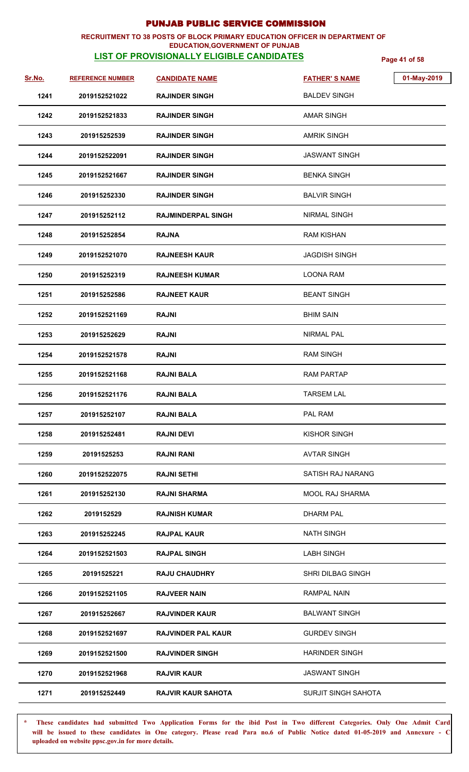### **RECRUITMENT TO 38 POSTS OF BLOCK PRIMARY EDUCATION OFFICER IN DEPARTMENT OF EDUCATION,GOVERNMENT OF PUNJAB**

# **LIST OF PROVISIONALLY ELIGIBLE CANDIDATES Page 41 of 58**

| Sr.No. | <b>REFERENCE NUMBER</b> | <b>CANDIDATE NAME</b>     | 01-May-2019<br><b>FATHER'S NAME</b> |
|--------|-------------------------|---------------------------|-------------------------------------|
| 1241   | 2019152521022           | <b>RAJINDER SINGH</b>     | <b>BALDEV SINGH</b>                 |
| 1242   | 2019152521833           | <b>RAJINDER SINGH</b>     | <b>AMAR SINGH</b>                   |
| 1243   | 201915252539            | <b>RAJINDER SINGH</b>     | <b>AMRIK SINGH</b>                  |
| 1244   | 2019152522091           | <b>RAJINDER SINGH</b>     | <b>JASWANT SINGH</b>                |
| 1245   | 2019152521667           | <b>RAJINDER SINGH</b>     | <b>BENKA SINGH</b>                  |
| 1246   | 201915252330            | <b>RAJINDER SINGH</b>     | <b>BALVIR SINGH</b>                 |
| 1247   | 201915252112            | <b>RAJMINDERPAL SINGH</b> | <b>NIRMAL SINGH</b>                 |
| 1248   | 201915252854            | <b>RAJNA</b>              | <b>RAM KISHAN</b>                   |
| 1249   | 2019152521070           | <b>RAJNEESH KAUR</b>      | <b>JAGDISH SINGH</b>                |
| 1250   | 201915252319            | <b>RAJNEESH KUMAR</b>     | <b>LOONA RAM</b>                    |
| 1251   | 201915252586            | <b>RAJNEET KAUR</b>       | <b>BEANT SINGH</b>                  |
| 1252   | 2019152521169           | <b>RAJNI</b>              | <b>BHIM SAIN</b>                    |
| 1253   | 201915252629            | <b>RAJNI</b>              | <b>NIRMAL PAL</b>                   |
| 1254   | 2019152521578           | <b>RAJNI</b>              | <b>RAM SINGH</b>                    |
| 1255   | 2019152521168           | <b>RAJNI BALA</b>         | <b>RAM PARTAP</b>                   |
| 1256   | 2019152521176           | <b>RAJNI BALA</b>         | <b>TARSEM LAL</b>                   |
| 1257   | 201915252107            | <b>RAJNI BALA</b>         | PAL RAM                             |
| 1258   | 201915252481            | <b>RAJNI DEVI</b>         | KISHOR SINGH                        |
| 1259   | 20191525253             | <b>RAJNI RANI</b>         | <b>AVTAR SINGH</b>                  |
| 1260   | 2019152522075           | <b>RAJNI SETHI</b>        | SATISH RAJ NARANG                   |
| 1261   | 201915252130            | <b>RAJNI SHARMA</b>       | <b>MOOL RAJ SHARMA</b>              |
| 1262   | 2019152529              | <b>RAJNISH KUMAR</b>      | <b>DHARM PAL</b>                    |
| 1263   | 201915252245            | <b>RAJPAL KAUR</b>        | <b>NATH SINGH</b>                   |
| 1264   | 2019152521503           | <b>RAJPAL SINGH</b>       | <b>LABH SINGH</b>                   |
| 1265   | 20191525221             | <b>RAJU CHAUDHRY</b>      | <b>SHRI DILBAG SINGH</b>            |
| 1266   | 2019152521105           | <b>RAJVEER NAIN</b>       | <b>RAMPAL NAIN</b>                  |
| 1267   | 201915252667            | <b>RAJVINDER KAUR</b>     | <b>BALWANT SINGH</b>                |
| 1268   | 2019152521697           | <b>RAJVINDER PAL KAUR</b> | <b>GURDEV SINGH</b>                 |
| 1269   | 2019152521500           | <b>RAJVINDER SINGH</b>    | <b>HARINDER SINGH</b>               |
| 1270   | 2019152521968           | <b>RAJVIR KAUR</b>        | <b>JASWANT SINGH</b>                |
| 1271   | 201915252449            | <b>RAJVIR KAUR SAHOTA</b> | <b>SURJIT SINGH SAHOTA</b>          |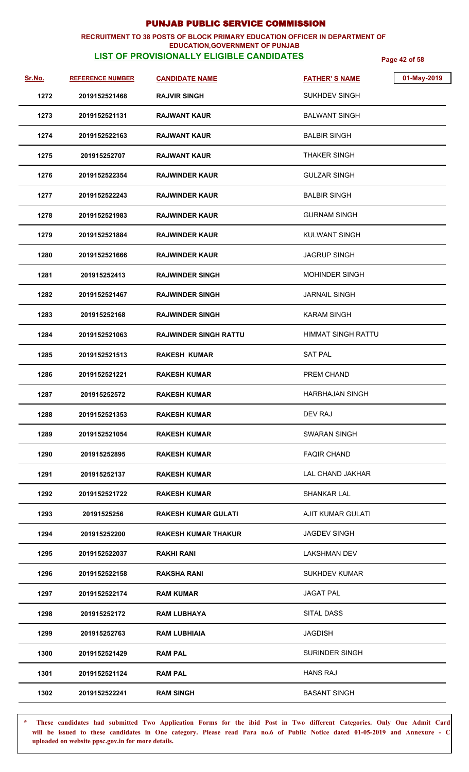### **RECRUITMENT TO 38 POSTS OF BLOCK PRIMARY EDUCATION OFFICER IN DEPARTMENT OF EDUCATION,GOVERNMENT OF PUNJAB**

# **LIST OF PROVISIONALLY ELIGIBLE CANDIDATES Page 42 of 58**

| Sr.No. | <b>REFERENCE NUMBER</b> | <b>CANDIDATE NAME</b>        | <b>FATHER'S NAME</b>      | 01-May-2019 |
|--------|-------------------------|------------------------------|---------------------------|-------------|
| 1272   | 2019152521468           | <b>RAJVIR SINGH</b>          | <b>SUKHDEV SINGH</b>      |             |
| 1273   | 2019152521131           | <b>RAJWANT KAUR</b>          | <b>BALWANT SINGH</b>      |             |
| 1274   | 2019152522163           | <b>RAJWANT KAUR</b>          | <b>BALBIR SINGH</b>       |             |
| 1275   | 201915252707            | <b>RAJWANT KAUR</b>          | THAKER SINGH              |             |
| 1276   | 2019152522354           | <b>RAJWINDER KAUR</b>        | <b>GULZAR SINGH</b>       |             |
| 1277   | 2019152522243           | <b>RAJWINDER KAUR</b>        | <b>BALBIR SINGH</b>       |             |
| 1278   | 2019152521983           | <b>RAJWINDER KAUR</b>        | <b>GURNAM SINGH</b>       |             |
| 1279   | 2019152521884           | <b>RAJWINDER KAUR</b>        | <b>KULWANT SINGH</b>      |             |
| 1280   | 2019152521666           | <b>RAJWINDER KAUR</b>        | <b>JAGRUP SINGH</b>       |             |
| 1281   | 201915252413            | <b>RAJWINDER SINGH</b>       | <b>MOHINDER SINGH</b>     |             |
| 1282   | 2019152521467           | <b>RAJWINDER SINGH</b>       | <b>JARNAIL SINGH</b>      |             |
| 1283   | 201915252168            | <b>RAJWINDER SINGH</b>       | <b>KARAM SINGH</b>        |             |
| 1284   | 2019152521063           | <b>RAJWINDER SINGH RATTU</b> | <b>HIMMAT SINGH RATTU</b> |             |
| 1285   | 2019152521513           | <b>RAKESH KUMAR</b>          | <b>SAT PAL</b>            |             |
| 1286   | 2019152521221           | <b>RAKESH KUMAR</b>          | PREM CHAND                |             |
| 1287   | 201915252572            | <b>RAKESH KUMAR</b>          | <b>HARBHAJAN SINGH</b>    |             |
| 1288   | 2019152521353           | <b>RAKESH KUMAR</b>          | DEV RAJ                   |             |
| 1289   | 2019152521054           | <b>RAKESH KUMAR</b>          | <b>SWARAN SINGH</b>       |             |
| 1290   | 201915252895            | RAKESH KUMAR                 | <b>FAQIR CHAND</b>        |             |
| 1291   | 201915252137            | <b>RAKESH KUMAR</b>          | LAL CHAND JAKHAR          |             |
| 1292   | 2019152521722           | <b>RAKESH KUMAR</b>          | <b>SHANKAR LAL</b>        |             |
| 1293   | 20191525256             | <b>RAKESH KUMAR GULATI</b>   | <b>AJIT KUMAR GULATI</b>  |             |
| 1294   | 201915252200            | <b>RAKESH KUMAR THAKUR</b>   | <b>JAGDEV SINGH</b>       |             |
| 1295   | 2019152522037           | <b>RAKHI RANI</b>            | <b>LAKSHMAN DEV</b>       |             |
| 1296   | 2019152522158           | RAKSHA RANI                  | <b>SUKHDEV KUMAR</b>      |             |
| 1297   | 2019152522174           | <b>RAM KUMAR</b>             | <b>JAGAT PAL</b>          |             |
| 1298   | 201915252172            | <b>RAM LUBHAYA</b>           | SITAL DASS                |             |
| 1299   | 201915252763            | <b>RAM LUBHIAIA</b>          | <b>JAGDISH</b>            |             |
| 1300   | 2019152521429           | <b>RAM PAL</b>               | <b>SURINDER SINGH</b>     |             |
| 1301   | 2019152521124           | <b>RAM PAL</b>               | <b>HANS RAJ</b>           |             |
| 1302   | 2019152522241           | <b>RAM SINGH</b>             | <b>BASANT SINGH</b>       |             |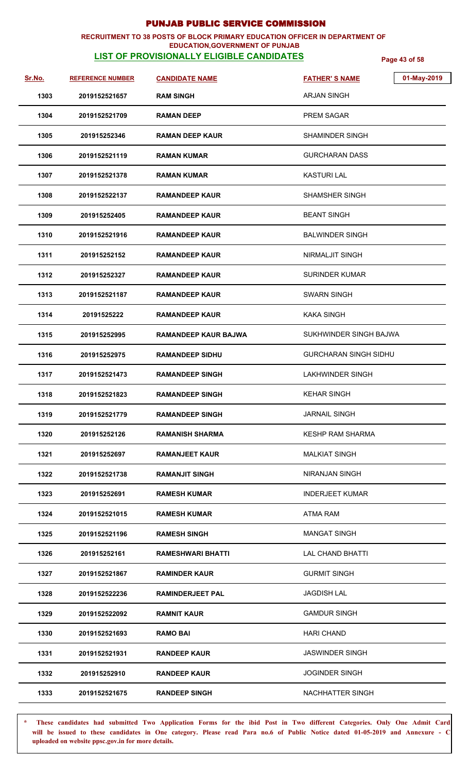### **RECRUITMENT TO 38 POSTS OF BLOCK PRIMARY EDUCATION OFFICER IN DEPARTMENT OF EDUCATION,GOVERNMENT OF PUNJAB**

## **LIST OF PROVISIONALLY ELIGIBLE CANDIDATES Page 43 of 58**

| Sr.No. | <b>REFERENCE NUMBER</b> | <b>CANDIDATE NAME</b>       | 01-May-2019<br><b>FATHER'S NAME</b> |  |
|--------|-------------------------|-----------------------------|-------------------------------------|--|
| 1303   | 2019152521657           | <b>RAM SINGH</b>            | ARJAN SINGH                         |  |
| 1304   | 2019152521709           | <b>RAMAN DEEP</b>           | <b>PREM SAGAR</b>                   |  |
| 1305   | 201915252346            | <b>RAMAN DEEP KAUR</b>      | SHAMINDER SINGH                     |  |
| 1306   | 2019152521119           | <b>RAMAN KUMAR</b>          | GURCHARAN DASS                      |  |
| 1307   | 2019152521378           | <b>RAMAN KUMAR</b>          | <b>KASTURI LAL</b>                  |  |
| 1308   | 2019152522137           | <b>RAMANDEEP KAUR</b>       | SHAMSHER SINGH                      |  |
| 1309   | 201915252405            | <b>RAMANDEEP KAUR</b>       | <b>BEANT SINGH</b>                  |  |
| 1310   | 2019152521916           | <b>RAMANDEEP KAUR</b>       | <b>BALWINDER SINGH</b>              |  |
| 1311   | 201915252152            | <b>RAMANDEEP KAUR</b>       | NIRMALJIT SINGH                     |  |
| 1312   | 201915252327            | <b>RAMANDEEP KAUR</b>       | <b>SURINDER KUMAR</b>               |  |
| 1313   | 2019152521187           | <b>RAMANDEEP KAUR</b>       | <b>SWARN SINGH</b>                  |  |
| 1314   | 20191525222             | <b>RAMANDEEP KAUR</b>       | <b>KAKA SINGH</b>                   |  |
| 1315   | 201915252995            | <b>RAMANDEEP KAUR BAJWA</b> | SUKHWINDER SINGH BAJWA              |  |
| 1316   | 201915252975            | <b>RAMANDEEP SIDHU</b>      | <b>GURCHARAN SINGH SIDHU</b>        |  |
| 1317   | 2019152521473           | <b>RAMANDEEP SINGH</b>      | <b>LAKHWINDER SINGH</b>             |  |
| 1318   | 2019152521823           | <b>RAMANDEEP SINGH</b>      | <b>KEHAR SINGH</b>                  |  |
| 1319   | 2019152521779           | <b>RAMANDEEP SINGH</b>      | <b>JARNAIL SINGH</b>                |  |
| 1320   | 201915252126            | RAMANISH SHARMA             | <b>KESHP RAM SHARMA</b>             |  |
| 1321   | 201915252697            | <b>RAMANJEET KAUR</b>       | <b>MALKIAT SINGH</b>                |  |
| 1322   | 2019152521738           | <b>RAMANJIT SINGH</b>       | <b>NIRANJAN SINGH</b>               |  |
| 1323   | 201915252691            | <b>RAMESH KUMAR</b>         | <b>INDERJEET KUMAR</b>              |  |
| 1324   | 2019152521015           | <b>RAMESH KUMAR</b>         | ATMA RAM                            |  |
| 1325   | 2019152521196           | <b>RAMESH SINGH</b>         | <b>MANGAT SINGH</b>                 |  |
| 1326   | 201915252161            | RAMESHWARI BHATTI           | <b>LAL CHAND BHATTI</b>             |  |
| 1327   | 2019152521867           | <b>RAMINDER KAUR</b>        | <b>GURMIT SINGH</b>                 |  |
| 1328   | 2019152522236           | <b>RAMINDERJEET PAL</b>     | <b>JAGDISH LAL</b>                  |  |
| 1329   | 2019152522092           | <b>RAMNIT KAUR</b>          | <b>GAMDUR SINGH</b>                 |  |
| 1330   | 2019152521693           | <b>RAMO BAI</b>             | <b>HARI CHAND</b>                   |  |
| 1331   | 2019152521931           | <b>RANDEEP KAUR</b>         | <b>JASWINDER SINGH</b>              |  |
| 1332   | 201915252910            | <b>RANDEEP KAUR</b>         | <b>JOGINDER SINGH</b>               |  |
| 1333   | 2019152521675           | <b>RANDEEP SINGH</b>        | NACHHATTER SINGH                    |  |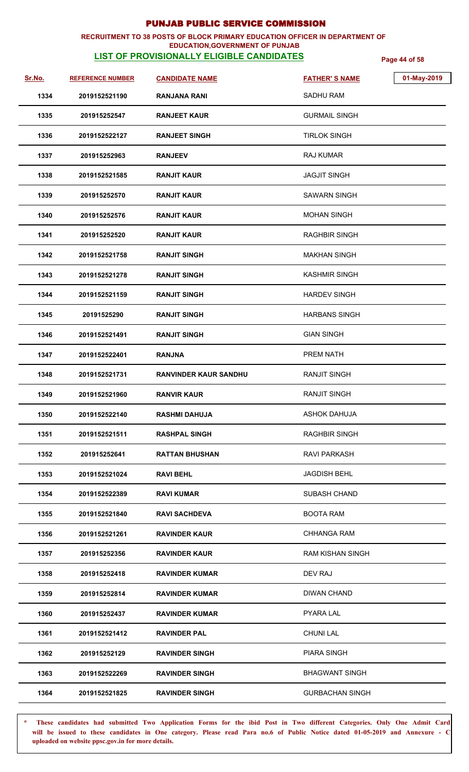### **RECRUITMENT TO 38 POSTS OF BLOCK PRIMARY EDUCATION OFFICER IN DEPARTMENT OF EDUCATION,GOVERNMENT OF PUNJAB**

## **LIST OF PROVISIONALLY ELIGIBLE CANDIDATES Page 44 of 58**

| Sr.No. | <b>REFERENCE NUMBER</b> | <b>CANDIDATE NAME</b>        | <b>FATHER'S NAME</b>    | 01-May-2019 |
|--------|-------------------------|------------------------------|-------------------------|-------------|
| 1334   | 2019152521190           | RANJANA RANI                 | <b>SADHU RAM</b>        |             |
| 1335   | 201915252547            | <b>RANJEET KAUR</b>          | <b>GURMAIL SINGH</b>    |             |
| 1336   | 2019152522127           | <b>RANJEET SINGH</b>         | <b>TIRLOK SINGH</b>     |             |
| 1337   | 201915252963            | <b>RANJEEV</b>               | <b>RAJ KUMAR</b>        |             |
| 1338   | 2019152521585           | <b>RANJIT KAUR</b>           | <b>JAGJIT SINGH</b>     |             |
| 1339   | 201915252570            | RANJIT KAUR                  | <b>SAWARN SINGH</b>     |             |
| 1340   | 201915252576            | <b>RANJIT KAUR</b>           | <b>MOHAN SINGH</b>      |             |
| 1341   | 201915252520            | <b>RANJIT KAUR</b>           | <b>RAGHBIR SINGH</b>    |             |
| 1342   | 2019152521758           | <b>RANJIT SINGH</b>          | <b>MAKHAN SINGH</b>     |             |
| 1343   | 2019152521278           | <b>RANJIT SINGH</b>          | <b>KASHMIR SINGH</b>    |             |
| 1344   | 2019152521159           | <b>RANJIT SINGH</b>          | <b>HARDEV SINGH</b>     |             |
| 1345   | 20191525290             | <b>RANJIT SINGH</b>          | <b>HARBANS SINGH</b>    |             |
| 1346   | 2019152521491           | <b>RANJIT SINGH</b>          | <b>GIAN SINGH</b>       |             |
| 1347   | 2019152522401           | <b>RANJNA</b>                | <b>PREM NATH</b>        |             |
| 1348   | 2019152521731           | <b>RANVINDER KAUR SANDHU</b> | <b>RANJIT SINGH</b>     |             |
| 1349   | 2019152521960           | <b>RANVIR KAUR</b>           | <b>RANJIT SINGH</b>     |             |
| 1350   | 2019152522140           | <b>RASHMI DAHUJA</b>         | ASHOK DAHUJA            |             |
| 1351   | 2019152521511           | <b>RASHPAL SINGH</b>         | <b>RAGHBIR SINGH</b>    |             |
| 1352   | 201915252641            | <b>RATTAN BHUSHAN</b>        | <b>RAVI PARKASH</b>     |             |
| 1353   | 2019152521024           | RAVI BEHL                    | <b>JAGDISH BEHL</b>     |             |
| 1354   | 2019152522389           | RAVI KUMAR                   | <b>SUBASH CHAND</b>     |             |
| 1355   | 2019152521840           | <b>RAVI SACHDEVA</b>         | <b>BOOTA RAM</b>        |             |
| 1356   | 2019152521261           | <b>RAVINDER KAUR</b>         | <b>CHHANGA RAM</b>      |             |
| 1357   | 201915252356            | <b>RAVINDER KAUR</b>         | <b>RAM KISHAN SINGH</b> |             |
| 1358   | 201915252418            | RAVINDER KUMAR               | DEV RAJ                 |             |
| 1359   | 201915252814            | RAVINDER KUMAR               | <b>DIWAN CHAND</b>      |             |
| 1360   | 201915252437            | RAVINDER KUMAR               | <b>PYARA LAL</b>        |             |
| 1361   | 2019152521412           | <b>RAVINDER PAL</b>          | <b>CHUNI LAL</b>        |             |
| 1362   | 201915252129            | <b>RAVINDER SINGH</b>        | <b>PIARA SINGH</b>      |             |
| 1363   | 2019152522269           | <b>RAVINDER SINGH</b>        | <b>BHAGWANT SINGH</b>   |             |
| 1364   | 2019152521825           | <b>RAVINDER SINGH</b>        | <b>GURBACHAN SINGH</b>  |             |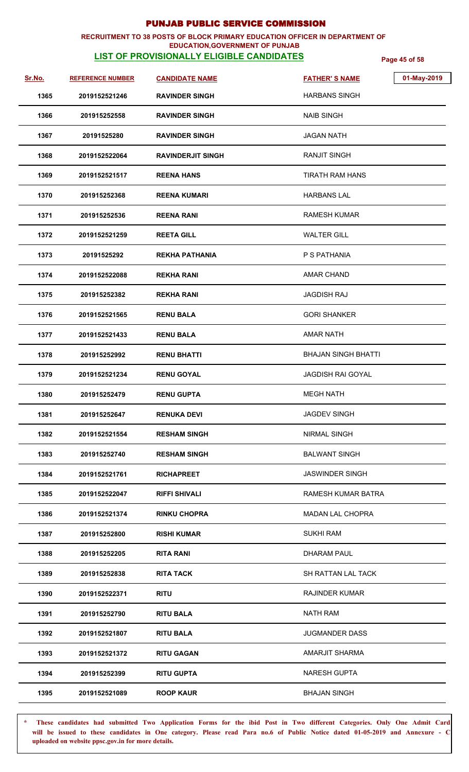### **RECRUITMENT TO 38 POSTS OF BLOCK PRIMARY EDUCATION OFFICER IN DEPARTMENT OF EDUCATION,GOVERNMENT OF PUNJAB**

# **LIST OF PROVISIONALLY ELIGIBLE CANDIDATES Page 45 of 58**

| Sr.No. | <b>REFERENCE NUMBER</b> | <b>CANDIDATE NAME</b>    | 01-May-2019<br><b>FATHER'S NAME</b> |
|--------|-------------------------|--------------------------|-------------------------------------|
| 1365   | 2019152521246           | <b>RAVINDER SINGH</b>    | <b>HARBANS SINGH</b>                |
| 1366   | 201915252558            | <b>RAVINDER SINGH</b>    | <b>NAIB SINGH</b>                   |
| 1367   | 20191525280             | <b>RAVINDER SINGH</b>    | <b>JAGAN NATH</b>                   |
| 1368   | 2019152522064           | <b>RAVINDERJIT SINGH</b> | <b>RANJIT SINGH</b>                 |
| 1369   | 2019152521517           | <b>REENA HANS</b>        | TIRATH RAM HANS                     |
| 1370   | 201915252368            | <b>REENA KUMARI</b>      | <b>HARBANS LAL</b>                  |
| 1371   | 201915252536            | <b>REENA RANI</b>        | <b>RAMESH KUMAR</b>                 |
| 1372   | 2019152521259           | <b>REETA GILL</b>        | <b>WALTER GILL</b>                  |
| 1373   | 20191525292             | <b>REKHA PATHANIA</b>    | P S PATHANIA                        |
| 1374   | 2019152522088           | <b>REKHA RANI</b>        | <b>AMAR CHAND</b>                   |
| 1375   | 201915252382            | <b>REKHA RANI</b>        | <b>JAGDISH RAJ</b>                  |
| 1376   | 2019152521565           | <b>RENU BALA</b>         | <b>GORI SHANKER</b>                 |
| 1377   | 2019152521433           | <b>RENU BALA</b>         | <b>AMAR NATH</b>                    |
| 1378   | 201915252992            | <b>RENU BHATTI</b>       | <b>BHAJAN SINGH BHATTI</b>          |
| 1379   | 2019152521234           | <b>RENU GOYAL</b>        | <b>JAGDISH RAI GOYAL</b>            |
| 1380   | 201915252479            | <b>RENU GUPTA</b>        | <b>MEGH NATH</b>                    |
| 1381   | 201915252647            | <b>RENUKA DEVI</b>       | <b>JAGDEV SINGH</b>                 |
| 1382   | 2019152521554           | <b>RESHAM SINGH</b>      | <b>NIRMAL SINGH</b>                 |
| 1383   | 201915252740            | <b>RESHAM SINGH</b>      | <b>BALWANT SINGH</b>                |
| 1384   | 2019152521761           | <b>RICHAPREET</b>        | <b>JASWINDER SINGH</b>              |
| 1385   | 2019152522047           | <b>RIFFI SHIVALI</b>     | RAMESH KUMAR BATRA                  |
| 1386   | 2019152521374           | <b>RINKU CHOPRA</b>      | <b>MADAN LAL CHOPRA</b>             |
| 1387   | 201915252800            | <b>RISHI KUMAR</b>       | <b>SUKHI RAM</b>                    |
| 1388   | 201915252205            | <b>RITA RANI</b>         | <b>DHARAM PAUL</b>                  |
| 1389   | 201915252838            | <b>RITA TACK</b>         | SH RATTAN LAL TACK                  |
| 1390   | 2019152522371           | <b>RITU</b>              | <b>RAJINDER KUMAR</b>               |
| 1391   | 201915252790            | <b>RITU BALA</b>         | <b>NATH RAM</b>                     |
| 1392   | 2019152521807           | <b>RITU BALA</b>         | <b>JUGMANDER DASS</b>               |
| 1393   | 2019152521372           | <b>RITU GAGAN</b>        | AMARJIT SHARMA                      |
| 1394   | 201915252399            | <b>RITU GUPTA</b>        | <b>NARESH GUPTA</b>                 |
| 1395   | 2019152521089           | <b>ROOP KAUR</b>         | <b>BHAJAN SINGH</b>                 |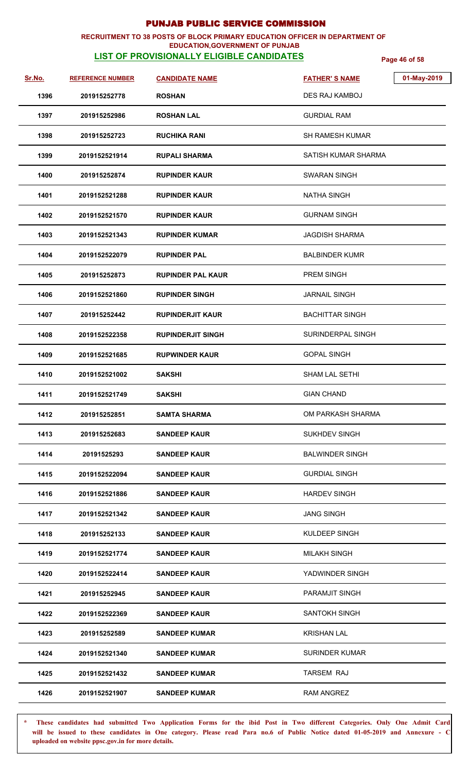### **RECRUITMENT TO 38 POSTS OF BLOCK PRIMARY EDUCATION OFFICER IN DEPARTMENT OF EDUCATION,GOVERNMENT OF PUNJAB**

# **LIST OF PROVISIONALLY ELIGIBLE CANDIDATES Page 46 of 58**

| Sr.No. | <b>REFERENCE NUMBER</b> | <b>CANDIDATE NAME</b>    | 01-May-2019<br><b>FATHER'S NAME</b> |  |
|--------|-------------------------|--------------------------|-------------------------------------|--|
| 1396   | 201915252778            | <b>ROSHAN</b>            | DES RAJ KAMBOJ                      |  |
| 1397   | 201915252986            | <b>ROSHAN LAL</b>        | <b>GURDIAL RAM</b>                  |  |
| 1398   | 201915252723            | <b>RUCHIKA RANI</b>      | <b>SH RAMESH KUMAR</b>              |  |
| 1399   | 2019152521914           | <b>RUPALI SHARMA</b>     | SATISH KUMAR SHARMA                 |  |
| 1400   | 201915252874            | <b>RUPINDER KAUR</b>     | <b>SWARAN SINGH</b>                 |  |
| 1401   | 2019152521288           | <b>RUPINDER KAUR</b>     | <b>NATHA SINGH</b>                  |  |
| 1402   | 2019152521570           | <b>RUPINDER KAUR</b>     | <b>GURNAM SINGH</b>                 |  |
| 1403   | 2019152521343           | <b>RUPINDER KUMAR</b>    | <b>JAGDISH SHARMA</b>               |  |
| 1404   | 2019152522079           | <b>RUPINDER PAL</b>      | <b>BALBINDER KUMR</b>               |  |
| 1405   | 201915252873            | <b>RUPINDER PAL KAUR</b> | <b>PREM SINGH</b>                   |  |
| 1406   | 2019152521860           | <b>RUPINDER SINGH</b>    | <b>JARNAIL SINGH</b>                |  |
| 1407   | 201915252442            | <b>RUPINDERJIT KAUR</b>  | <b>BACHITTAR SINGH</b>              |  |
| 1408   | 2019152522358           | <b>RUPINDERJIT SINGH</b> | SURINDERPAL SINGH                   |  |
| 1409   | 2019152521685           | <b>RUPWINDER KAUR</b>    | <b>GOPAL SINGH</b>                  |  |
| 1410   | 2019152521002           | <b>SAKSHI</b>            | <b>SHAM LAL SETHI</b>               |  |
| 1411   | 2019152521749           | <b>SAKSHI</b>            | <b>GIAN CHAND</b>                   |  |
| 1412   | 201915252851            | <b>SAMTA SHARMA</b>      | OM PARKASH SHARMA                   |  |
| 1413   | 201915252683            | <b>SANDEEP KAUR</b>      | <b>SUKHDEV SINGH</b>                |  |
| 1414   | 20191525293             | <b>SANDEEP KAUR</b>      | <b>BALWINDER SINGH</b>              |  |
| 1415   | 2019152522094           | <b>SANDEEP KAUR</b>      | <b>GURDIAL SINGH</b>                |  |
| 1416   | 2019152521886           | <b>SANDEEP KAUR</b>      | <b>HARDEV SINGH</b>                 |  |
| 1417   | 2019152521342           | <b>SANDEEP KAUR</b>      | <b>JANG SINGH</b>                   |  |
| 1418   | 201915252133            | <b>SANDEEP KAUR</b>      | KULDEEP SINGH                       |  |
| 1419   | 2019152521774           | <b>SANDEEP KAUR</b>      | <b>MILAKH SINGH</b>                 |  |
| 1420   | 2019152522414           | <b>SANDEEP KAUR</b>      | YADWINDER SINGH                     |  |
| 1421   | 201915252945            | <b>SANDEEP KAUR</b>      | PARAMJIT SINGH                      |  |
| 1422   | 2019152522369           | <b>SANDEEP KAUR</b>      | SANTOKH SINGH                       |  |
| 1423   | 201915252589            | <b>SANDEEP KUMAR</b>     | <b>KRISHAN LAL</b>                  |  |
| 1424   | 2019152521340           | <b>SANDEEP KUMAR</b>     | <b>SURINDER KUMAR</b>               |  |
| 1425   | 2019152521432           | <b>SANDEEP KUMAR</b>     | TARSEM RAJ                          |  |
| 1426   | 2019152521907           | <b>SANDEEP KUMAR</b>     | RAM ANGREZ                          |  |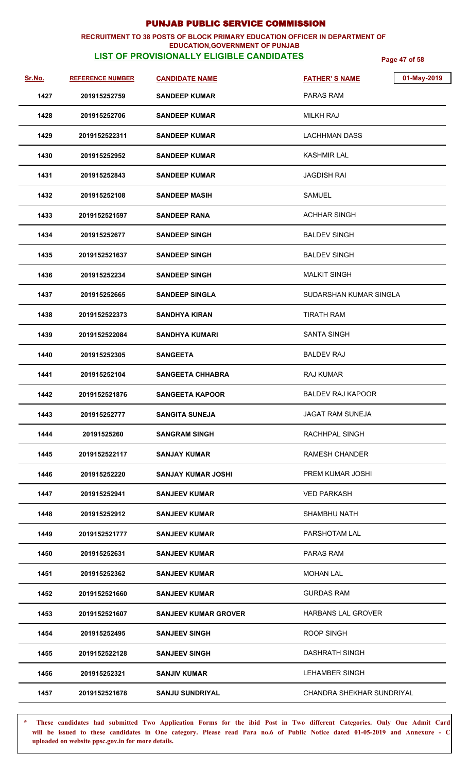### **RECRUITMENT TO 38 POSTS OF BLOCK PRIMARY EDUCATION OFFICER IN DEPARTMENT OF EDUCATION,GOVERNMENT OF PUNJAB**

# **LIST OF PROVISIONALLY ELIGIBLE CANDIDATES Page 47 of 58**

| Sr.No. | <b>REFERENCE NUMBER</b> | <b>CANDIDATE NAME</b>       | 01-May-2019<br><b>FATHER'S NAME</b> |
|--------|-------------------------|-----------------------------|-------------------------------------|
| 1427   | 201915252759            | <b>SANDEEP KUMAR</b>        | <b>PARAS RAM</b>                    |
| 1428   | 201915252706            | <b>SANDEEP KUMAR</b>        | MILKH RAJ                           |
| 1429   | 2019152522311           | <b>SANDEEP KUMAR</b>        | <b>LACHHMAN DASS</b>                |
| 1430   | 201915252952            | <b>SANDEEP KUMAR</b>        | <b>KASHMIR LAL</b>                  |
| 1431   | 201915252843            | <b>SANDEEP KUMAR</b>        | <b>JAGDISH RAI</b>                  |
| 1432   | 201915252108            | <b>SANDEEP MASIH</b>        | <b>SAMUEL</b>                       |
| 1433   | 2019152521597           | <b>SANDEEP RANA</b>         | <b>ACHHAR SINGH</b>                 |
| 1434   | 201915252677            | <b>SANDEEP SINGH</b>        | <b>BALDEV SINGH</b>                 |
| 1435   | 2019152521637           | <b>SANDEEP SINGH</b>        | <b>BALDEV SINGH</b>                 |
| 1436   | 201915252234            | <b>SANDEEP SINGH</b>        | <b>MALKIT SINGH</b>                 |
| 1437   | 201915252665            | <b>SANDEEP SINGLA</b>       | SUDARSHAN KUMAR SINGLA              |
| 1438   | 2019152522373           | <b>SANDHYA KIRAN</b>        | <b>TIRATH RAM</b>                   |
| 1439   | 2019152522084           | <b>SANDHYA KUMARI</b>       | <b>SANTA SINGH</b>                  |
| 1440   | 201915252305            | <b>SANGEETA</b>             | <b>BALDEV RAJ</b>                   |
| 1441   | 201915252104            | <b>SANGEETA CHHABRA</b>     | <b>RAJ KUMAR</b>                    |
| 1442   | 2019152521876           | <b>SANGEETA KAPOOR</b>      | <b>BALDEV RAJ KAPOOR</b>            |
| 1443   | 201915252777            | <b>SANGITA SUNEJA</b>       | JAGAT RAM SUNEJA                    |
| 1444   | 20191525260             | <b>SANGRAM SINGH</b>        | RACHHPAL SINGH                      |
| 1445   | 2019152522117           | <b>SANJAY KUMAR</b>         | <b>RAMESH CHANDER</b>               |
| 1446   | 201915252220            | <b>SANJAY KUMAR JOSHI</b>   | PREM KUMAR JOSHI                    |
| 1447   | 201915252941            | <b>SANJEEV KUMAR</b>        | <b>VED PARKASH</b>                  |
| 1448   | 201915252912            | <b>SANJEEV KUMAR</b>        | <b>SHAMBHU NATH</b>                 |
| 1449   | 2019152521777           | <b>SANJEEV KUMAR</b>        | PARSHOTAM LAL                       |
| 1450   | 201915252631            | <b>SANJEEV KUMAR</b>        | <b>PARAS RAM</b>                    |
| 1451   | 201915252362            | <b>SANJEEV KUMAR</b>        | MOHAN LAL                           |
| 1452   | 2019152521660           | <b>SANJEEV KUMAR</b>        | <b>GURDAS RAM</b>                   |
| 1453   | 2019152521607           | <b>SANJEEV KUMAR GROVER</b> | <b>HARBANS LAL GROVER</b>           |
| 1454   | 201915252495            | <b>SANJEEV SINGH</b>        | <b>ROOP SINGH</b>                   |
| 1455   | 2019152522128           | <b>SANJEEV SINGH</b>        | <b>DASHRATH SINGH</b>               |
| 1456   | 201915252321            | <b>SANJIV KUMAR</b>         | <b>LEHAMBER SINGH</b>               |
| 1457   | 2019152521678           | <b>SANJU SUNDRIYAL</b>      | CHANDRA SHEKHAR SUNDRIYAL           |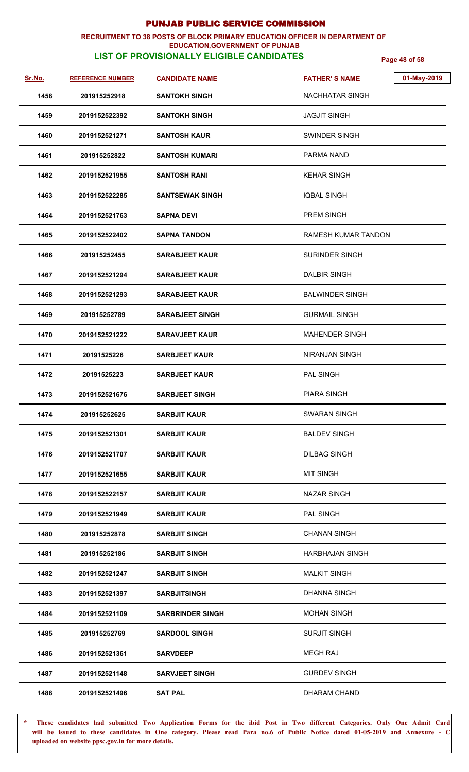### **RECRUITMENT TO 38 POSTS OF BLOCK PRIMARY EDUCATION OFFICER IN DEPARTMENT OF EDUCATION,GOVERNMENT OF PUNJAB**

# **LIST OF PROVISIONALLY ELIGIBLE CANDIDATES Page 48 of 58**

| Sr.No. | <b>REFERENCE NUMBER</b> | <b>CANDIDATE NAME</b>   | 01-May-2019<br><b>FATHER'S NAME</b> |
|--------|-------------------------|-------------------------|-------------------------------------|
| 1458   | 201915252918            | <b>SANTOKH SINGH</b>    | NACHHATAR SINGH                     |
| 1459   | 2019152522392           | <b>SANTOKH SINGH</b>    | <b>JAGJIT SINGH</b>                 |
| 1460   | 2019152521271           | <b>SANTOSH KAUR</b>     | <b>SWINDER SINGH</b>                |
| 1461   | 201915252822            | <b>SANTOSH KUMARI</b>   | <b>PARMA NAND</b>                   |
| 1462   | 2019152521955           | <b>SANTOSH RANI</b>     | <b>KEHAR SINGH</b>                  |
| 1463   | 2019152522285           | <b>SANTSEWAK SINGH</b>  | <b>IQBAL SINGH</b>                  |
| 1464   | 2019152521763           | <b>SAPNA DEVI</b>       | <b>PREM SINGH</b>                   |
| 1465   | 2019152522402           | <b>SAPNA TANDON</b>     | RAMESH KUMAR TANDON                 |
| 1466   | 201915252455            | <b>SARABJEET KAUR</b>   | <b>SURINDER SINGH</b>               |
| 1467   | 2019152521294           | <b>SARABJEET KAUR</b>   | <b>DALBIR SINGH</b>                 |
| 1468   | 2019152521293           | <b>SARABJEET KAUR</b>   | <b>BALWINDER SINGH</b>              |
| 1469   | 201915252789            | <b>SARABJEET SINGH</b>  | <b>GURMAIL SINGH</b>                |
| 1470   | 2019152521222           | <b>SARAVJEET KAUR</b>   | <b>MAHENDER SINGH</b>               |
| 1471   | 20191525226             | <b>SARBJEET KAUR</b>    | <b>NIRANJAN SINGH</b>               |
| 1472   | 20191525223             | <b>SARBJEET KAUR</b>    | PAL SINGH                           |
| 1473   | 2019152521676           | <b>SARBJEET SINGH</b>   | <b>PIARA SINGH</b>                  |
| 1474   | 201915252625            | <b>SARBJIT KAUR</b>     | SWARAN SINGH                        |
| 1475   | 2019152521301           | <b>SARBJIT KAUR</b>     | <b>BALDEV SINGH</b>                 |
| 1476   | 2019152521707           | <b>SARBJIT KAUR</b>     | <b>DILBAG SINGH</b>                 |
| 1477   | 2019152521655           | <b>SARBJIT KAUR</b>     | <b>MIT SINGH</b>                    |
| 1478   | 2019152522157           | <b>SARBJIT KAUR</b>     | <b>NAZAR SINGH</b>                  |
| 1479   | 2019152521949           | <b>SARBJIT KAUR</b>     | PAL SINGH                           |
| 1480   | 201915252878            | <b>SARBJIT SINGH</b>    | <b>CHANAN SINGH</b>                 |
| 1481   | 201915252186            | <b>SARBJIT SINGH</b>    | <b>HARBHAJAN SINGH</b>              |
| 1482   | 2019152521247           | <b>SARBJIT SINGH</b>    | <b>MALKIT SINGH</b>                 |
| 1483   | 2019152521397           | <b>SARBJITSINGH</b>     | <b>DHANNA SINGH</b>                 |
| 1484   | 2019152521109           | <b>SARBRINDER SINGH</b> | <b>MOHAN SINGH</b>                  |
| 1485   | 201915252769            | <b>SARDOOL SINGH</b>    | <b>SURJIT SINGH</b>                 |
| 1486   | 2019152521361           | <b>SARVDEEP</b>         | <b>MEGH RAJ</b>                     |
| 1487   | 2019152521148           | <b>SARVJEET SINGH</b>   | <b>GURDEV SINGH</b>                 |
| 1488   | 2019152521496           | <b>SAT PAL</b>          | DHARAM CHAND                        |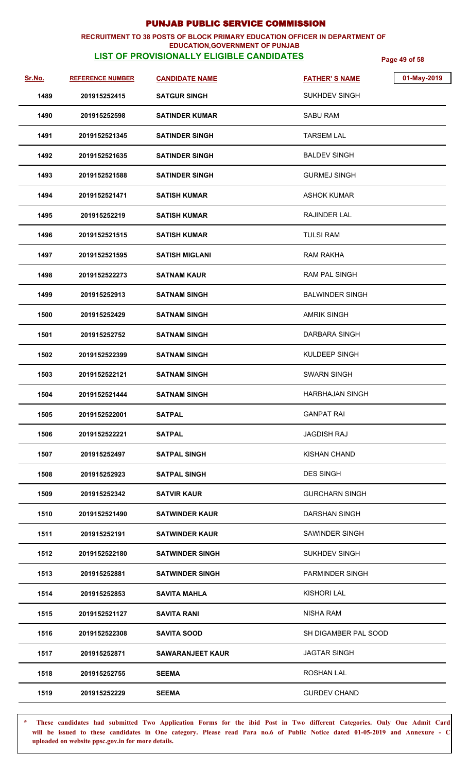### **RECRUITMENT TO 38 POSTS OF BLOCK PRIMARY EDUCATION OFFICER IN DEPARTMENT OF EDUCATION,GOVERNMENT OF PUNJAB**

# **LIST OF PROVISIONALLY ELIGIBLE CANDIDATES Page 49 of 58**

| Sr.No. | <b>REFERENCE NUMBER</b> | <b>CANDIDATE NAME</b>   | <b>FATHER'S NAME</b>   | 01-May-2019 |
|--------|-------------------------|-------------------------|------------------------|-------------|
| 1489   | 201915252415            | <b>SATGUR SINGH</b>     | <b>SUKHDEV SINGH</b>   |             |
| 1490   | 201915252598            | <b>SATINDER KUMAR</b>   | <b>SABU RAM</b>        |             |
| 1491   | 2019152521345           | <b>SATINDER SINGH</b>   | <b>TARSEM LAL</b>      |             |
| 1492   | 2019152521635           | <b>SATINDER SINGH</b>   | <b>BALDEV SINGH</b>    |             |
| 1493   | 2019152521588           | <b>SATINDER SINGH</b>   | <b>GURMEJ SINGH</b>    |             |
| 1494   | 2019152521471           | <b>SATISH KUMAR</b>     | ASHOK KUMAR            |             |
| 1495   | 201915252219            | <b>SATISH KUMAR</b>     | RAJINDER LAL           |             |
| 1496   | 2019152521515           | <b>SATISH KUMAR</b>     | <b>TULSI RAM</b>       |             |
| 1497   | 2019152521595           | <b>SATISH MIGLANI</b>   | <b>RAM RAKHA</b>       |             |
| 1498   | 2019152522273           | <b>SATNAM KAUR</b>      | <b>RAM PAL SINGH</b>   |             |
| 1499   | 201915252913            | <b>SATNAM SINGH</b>     | <b>BALWINDER SINGH</b> |             |
| 1500   | 201915252429            | <b>SATNAM SINGH</b>     | <b>AMRIK SINGH</b>     |             |
| 1501   | 201915252752            | <b>SATNAM SINGH</b>     | <b>DARBARA SINGH</b>   |             |
| 1502   | 2019152522399           | <b>SATNAM SINGH</b>     | KULDEEP SINGH          |             |
| 1503   | 2019152522121           | <b>SATNAM SINGH</b>     | <b>SWARN SINGH</b>     |             |
| 1504   | 2019152521444           | <b>SATNAM SINGH</b>     | <b>HARBHAJAN SINGH</b> |             |
| 1505   | 2019152522001           | <b>SATPAL</b>           | <b>GANPAT RAI</b>      |             |
| 1506   | 2019152522221           | <b>SATPAL</b>           | <b>JAGDISH RAJ</b>     |             |
| 1507   | 201915252497            | <b>SATPAL SINGH</b>     | <b>KISHAN CHAND</b>    |             |
| 1508   | 201915252923            | <b>SATPAL SINGH</b>     | <b>DES SINGH</b>       |             |
| 1509   | 201915252342            | <b>SATVIR KAUR</b>      | <b>GURCHARN SINGH</b>  |             |
| 1510   | 2019152521490           | <b>SATWINDER KAUR</b>   | <b>DARSHAN SINGH</b>   |             |
| 1511   | 201915252191            | <b>SATWINDER KAUR</b>   | SAWINDER SINGH         |             |
| 1512   | 2019152522180           | <b>SATWINDER SINGH</b>  | <b>SUKHDEV SINGH</b>   |             |
| 1513   | 201915252881            | <b>SATWINDER SINGH</b>  | <b>PARMINDER SINGH</b> |             |
| 1514   | 201915252853            | <b>SAVITA MAHLA</b>     | <b>KISHORI LAL</b>     |             |
| 1515   | 2019152521127           | <b>SAVITA RANI</b>      | <b>NISHA RAM</b>       |             |
| 1516   | 2019152522308           | <b>SAVITA SOOD</b>      | SH DIGAMBER PAL SOOD   |             |
| 1517   | 201915252871            | <b>SAWARANJEET KAUR</b> | <b>JAGTAR SINGH</b>    |             |
| 1518   | 201915252755            | <b>SEEMA</b>            | <b>ROSHAN LAL</b>      |             |
| 1519   | 201915252229            | <b>SEEMA</b>            | <b>GURDEV CHAND</b>    |             |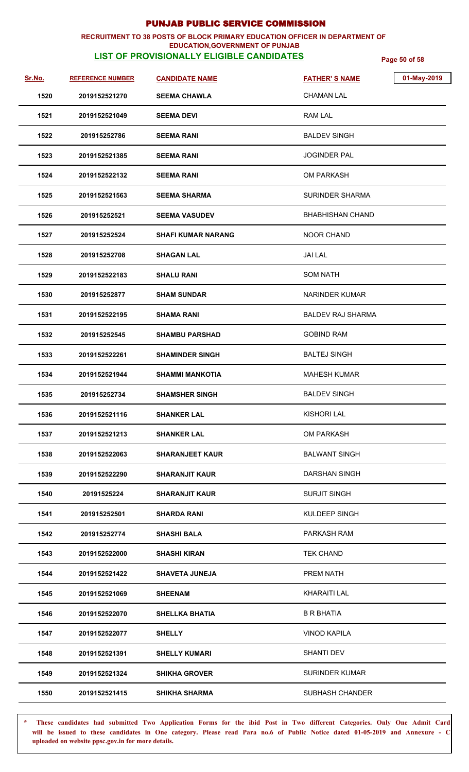### **RECRUITMENT TO 38 POSTS OF BLOCK PRIMARY EDUCATION OFFICER IN DEPARTMENT OF EDUCATION,GOVERNMENT OF PUNJAB**

# **LIST OF PROVISIONALLY ELIGIBLE CANDIDATES Page 50 of 58**

| Sr.No. | <b>REFERENCE NUMBER</b> | <b>CANDIDATE NAME</b>     | 01-May-2019<br><b>FATHER'S NAME</b> |
|--------|-------------------------|---------------------------|-------------------------------------|
| 1520   | 2019152521270           | <b>SEEMA CHAWLA</b>       | <b>CHAMAN LAL</b>                   |
| 1521   | 2019152521049           | <b>SEEMA DEVI</b>         | RAM LAL                             |
| 1522   | 201915252786            | <b>SEEMA RANI</b>         | <b>BALDEV SINGH</b>                 |
| 1523   | 2019152521385           | <b>SEEMA RANI</b>         | <b>JOGINDER PAL</b>                 |
| 1524   | 2019152522132           | <b>SEEMA RANI</b>         | OM PARKASH                          |
| 1525   | 2019152521563           | <b>SEEMA SHARMA</b>       | <b>SURINDER SHARMA</b>              |
| 1526   | 201915252521            | <b>SEEMA VASUDEV</b>      | <b>BHABHISHAN CHAND</b>             |
| 1527   | 201915252524            | <b>SHAFI KUMAR NARANG</b> | <b>NOOR CHAND</b>                   |
| 1528   | 201915252708            | <b>SHAGAN LAL</b>         | <b>JAI LAL</b>                      |
| 1529   | 2019152522183           | <b>SHALU RANI</b>         | <b>SOM NATH</b>                     |
| 1530   | 201915252877            | <b>SHAM SUNDAR</b>        | <b>NARINDER KUMAR</b>               |
| 1531   | 2019152522195           | <b>SHAMA RANI</b>         | <b>BALDEV RAJ SHARMA</b>            |
| 1532   | 201915252545            | <b>SHAMBU PARSHAD</b>     | <b>GOBIND RAM</b>                   |
| 1533   | 2019152522261           | <b>SHAMINDER SINGH</b>    | <b>BALTEJ SINGH</b>                 |
| 1534   | 2019152521944           | <b>SHAMMI MANKOTIA</b>    | <b>MAHESH KUMAR</b>                 |
| 1535   | 201915252734            | <b>SHAMSHER SINGH</b>     | <b>BALDEV SINGH</b>                 |
| 1536   | 2019152521116           | <b>SHANKER LAL</b>        | <b>KISHORI LAL</b>                  |
| 1537   | 2019152521213           | <b>SHANKER LAL</b>        | <b>OM PARKASH</b>                   |
| 1538   | 2019152522063           | <b>SHARANJEET KAUR</b>    | <b>BALWANT SINGH</b>                |
| 1539   | 2019152522290           | <b>SHARANJIT KAUR</b>     | DARSHAN SINGH                       |
| 1540   | 20191525224             | <b>SHARANJIT KAUR</b>     | <b>SURJIT SINGH</b>                 |
| 1541   | 201915252501            | <b>SHARDA RANI</b>        | KULDEEP SINGH                       |
| 1542   | 201915252774            | <b>SHASHI BALA</b>        | PARKASH RAM                         |
| 1543   | 2019152522000           | SHASHI KIRAN              | <b>TEK CHAND</b>                    |
| 1544   | 2019152521422           | <b>SHAVETA JUNEJA</b>     | PREM NATH                           |
| 1545   | 2019152521069           | <b>SHEENAM</b>            | <b>KHARAITI LAL</b>                 |
| 1546   | 2019152522070           | <b>SHELLKA BHATIA</b>     | <b>B R BHATIA</b>                   |
| 1547   | 2019152522077           | <b>SHELLY</b>             | <b>VINOD KAPILA</b>                 |
| 1548   | 2019152521391           | <b>SHELLY KUMARI</b>      | SHANTI DEV                          |
| 1549   | 2019152521324           | SHIKHA GROVER             | <b>SURINDER KUMAR</b>               |
| 1550   | 2019152521415           | <b>SHIKHA SHARMA</b>      | <b>SUBHASH CHANDER</b>              |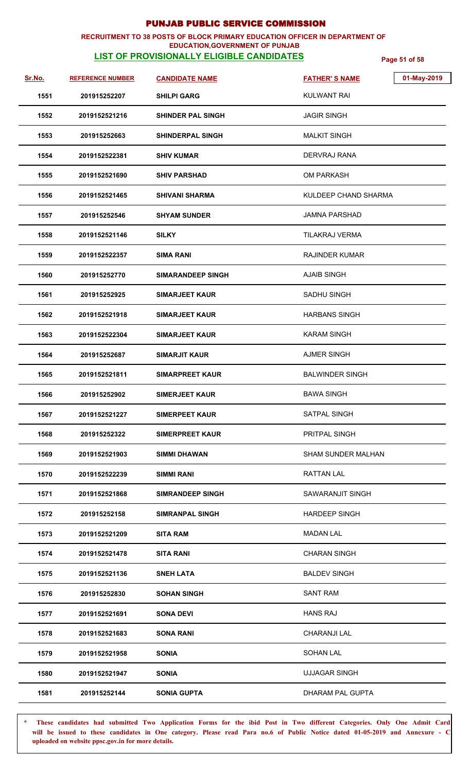### **RECRUITMENT TO 38 POSTS OF BLOCK PRIMARY EDUCATION OFFICER IN DEPARTMENT OF EDUCATION,GOVERNMENT OF PUNJAB**

## **LIST OF PROVISIONALLY ELIGIBLE CANDIDATES Page 51 of 58**

| Sr.No. | <b>REFERENCE NUMBER</b> | <b>CANDIDATE NAME</b>    | 01-May-2019<br><b>FATHER'S NAME</b> |
|--------|-------------------------|--------------------------|-------------------------------------|
| 1551   | 201915252207            | <b>SHILPI GARG</b>       | <b>KULWANT RAI</b>                  |
| 1552   | 2019152521216           | <b>SHINDER PAL SINGH</b> | <b>JAGIR SINGH</b>                  |
| 1553   | 201915252663            | <b>SHINDERPAL SINGH</b>  | <b>MALKIT SINGH</b>                 |
| 1554   | 2019152522381           | <b>SHIV KUMAR</b>        | DERVRAJ RANA                        |
| 1555   | 2019152521690           | <b>SHIV PARSHAD</b>      | <b>OM PARKASH</b>                   |
| 1556   | 2019152521465           | <b>SHIVANI SHARMA</b>    | KULDEEP CHAND SHARMA                |
| 1557   | 201915252546            | <b>SHYAM SUNDER</b>      | JAMNA PARSHAD                       |
| 1558   | 2019152521146           | <b>SILKY</b>             | TILAKRAJ VERMA                      |
| 1559   | 2019152522357           | <b>SIMA RANI</b>         | <b>RAJINDER KUMAR</b>               |
| 1560   | 201915252770            | <b>SIMARANDEEP SINGH</b> | <b>AJAIB SINGH</b>                  |
| 1561   | 201915252925            | <b>SIMARJEET KAUR</b>    | <b>SADHU SINGH</b>                  |
| 1562   | 2019152521918           | <b>SIMARJEET KAUR</b>    | <b>HARBANS SINGH</b>                |
| 1563   | 2019152522304           | <b>SIMARJEET KAUR</b>    | <b>KARAM SINGH</b>                  |
| 1564   | 201915252687            | <b>SIMARJIT KAUR</b>     | <b>AJMER SINGH</b>                  |
| 1565   | 2019152521811           | <b>SIMARPREET KAUR</b>   | <b>BALWINDER SINGH</b>              |
| 1566   | 201915252902            | <b>SIMERJEET KAUR</b>    | <b>BAWA SINGH</b>                   |
| 1567   | 2019152521227           | <b>SIMERPEET KAUR</b>    | SATPAL SINGH                        |
| 1568   | 201915252322            | <b>SIMERPREET KAUR</b>   | PRITPAL SINGH                       |
| 1569   | 2019152521903           | <b>SIMMI DHAWAN</b>      | <b>SHAM SUNDER MALHAN</b>           |
| 1570   | 2019152522239           | SIMMI RANI               | RATTAN LAL                          |
| 1571   | 2019152521868           | <b>SIMRANDEEP SINGH</b>  | SAWARANJIT SINGH                    |
| 1572   | 201915252158            | <b>SIMRANPAL SINGH</b>   | <b>HARDEEP SINGH</b>                |
| 1573   | 2019152521209           | <b>SITA RAM</b>          | <b>MADAN LAL</b>                    |
| 1574   | 2019152521478           | <b>SITA RANI</b>         | <b>CHARAN SINGH</b>                 |
| 1575   | 2019152521136           | <b>SNEH LATA</b>         | <b>BALDEV SINGH</b>                 |
| 1576   | 201915252830            | <b>SOHAN SINGH</b>       | <b>SANT RAM</b>                     |
| 1577   | 2019152521691           | <b>SONA DEVI</b>         | <b>HANS RAJ</b>                     |
| 1578   | 2019152521683           | <b>SONA RANI</b>         | <b>CHARANJI LAL</b>                 |
| 1579   | 2019152521958           | <b>SONIA</b>             | SOHAN LAL                           |
| 1580   | 2019152521947           | <b>SONIA</b>             | <b>UJJAGAR SINGH</b>                |
| 1581   | 201915252144            | <b>SONIA GUPTA</b>       | DHARAM PAL GUPTA                    |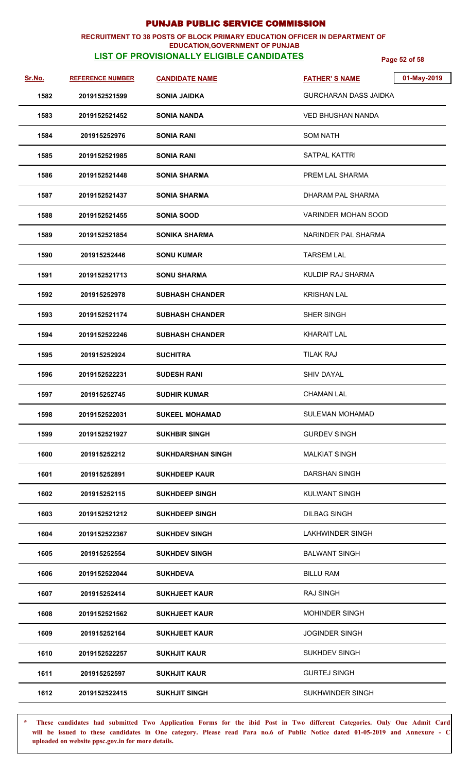### **RECRUITMENT TO 38 POSTS OF BLOCK PRIMARY EDUCATION OFFICER IN DEPARTMENT OF EDUCATION,GOVERNMENT OF PUNJAB**

## **LIST OF PROVISIONALLY ELIGIBLE CANDIDATES Page 52 of 58**

| <u>Sr.No.</u> | <b>REFERENCE NUMBER</b> | <b>CANDIDATE NAME</b>    | 01-May-2019<br><b>FATHER'S NAME</b> |
|---------------|-------------------------|--------------------------|-------------------------------------|
| 1582          | 2019152521599           | <b>SONIA JAIDKA</b>      | <b>GURCHARAN DASS JAIDKA</b>        |
| 1583          | 2019152521452           | <b>SONIA NANDA</b>       | <b>VED BHUSHAN NANDA</b>            |
| 1584          | 201915252976            | <b>SONIA RANI</b>        | SOM NATH                            |
| 1585          | 2019152521985           | <b>SONIA RANI</b>        | SATPAL KATTRI                       |
| 1586          | 2019152521448           | SONIA SHARMA             | PREM LAL SHARMA                     |
| 1587          | 2019152521437           | SONIA SHARMA             | DHARAM PAL SHARMA                   |
| 1588          | 2019152521455           | <b>SONIA SOOD</b>        | <b>VARINDER MOHAN SOOD</b>          |
| 1589          | 2019152521854           | SONIKA SHARMA            | NARINDER PAL SHARMA                 |
| 1590          | 201915252446            | <b>SONU KUMAR</b>        | <b>TARSEM LAL</b>                   |
| 1591          | 2019152521713           | <b>SONU SHARMA</b>       | <b>KULDIP RAJ SHARMA</b>            |
| 1592          | 201915252978            | <b>SUBHASH CHANDER</b>   | <b>KRISHAN LAL</b>                  |
| 1593          | 2019152521174           | <b>SUBHASH CHANDER</b>   | SHER SINGH                          |
| 1594          | 2019152522246           | <b>SUBHASH CHANDER</b>   | <b>KHARAIT LAL</b>                  |
| 1595          | 201915252924            | <b>SUCHITRA</b>          | <b>TILAK RAJ</b>                    |
| 1596          | 2019152522231           | <b>SUDESH RANI</b>       | <b>SHIV DAYAL</b>                   |
| 1597          | 201915252745            | <b>SUDHIR KUMAR</b>      | <b>CHAMAN LAL</b>                   |
| 1598          | 2019152522031           | <b>SUKEEL MOHAMAD</b>    | SULEMAN MOHAMAD                     |
| 1599          | 2019152521927           | <b>SUKHBIR SINGH</b>     | <b>GURDEV SINGH</b>                 |
| 1600          | 201915252212            | <b>SUKHDARSHAN SINGH</b> | <b>MALKIAT SINGH</b>                |
| 1601          | 201915252891            | <b>SUKHDEEP KAUR</b>     | <b>DARSHAN SINGH</b>                |
| 1602          | 201915252115            | <b>SUKHDEEP SINGH</b>    | <b>KULWANT SINGH</b>                |
| 1603          | 2019152521212           | <b>SUKHDEEP SINGH</b>    | <b>DILBAG SINGH</b>                 |
| 1604          | 2019152522367           | <b>SUKHDEV SINGH</b>     | LAKHWINDER SINGH                    |
| 1605          | 201915252554            | <b>SUKHDEV SINGH</b>     | <b>BALWANT SINGH</b>                |
| 1606          | 2019152522044           | <b>SUKHDEVA</b>          | <b>BILLU RAM</b>                    |
| 1607          | 201915252414            | <b>SUKHJEET KAUR</b>     | <b>RAJ SINGH</b>                    |
| 1608          | 2019152521562           | <b>SUKHJEET KAUR</b>     | <b>MOHINDER SINGH</b>               |
| 1609          | 201915252164            | <b>SUKHJEET KAUR</b>     | <b>JOGINDER SINGH</b>               |
| 1610          | 2019152522257           | <b>SUKHJIT KAUR</b>      | <b>SUKHDEV SINGH</b>                |
| 1611          | 201915252597            | <b>SUKHJIT KAUR</b>      | <b>GURTEJ SINGH</b>                 |
| 1612          | 2019152522415           | <b>SUKHJIT SINGH</b>     | SUKHWINDER SINGH                    |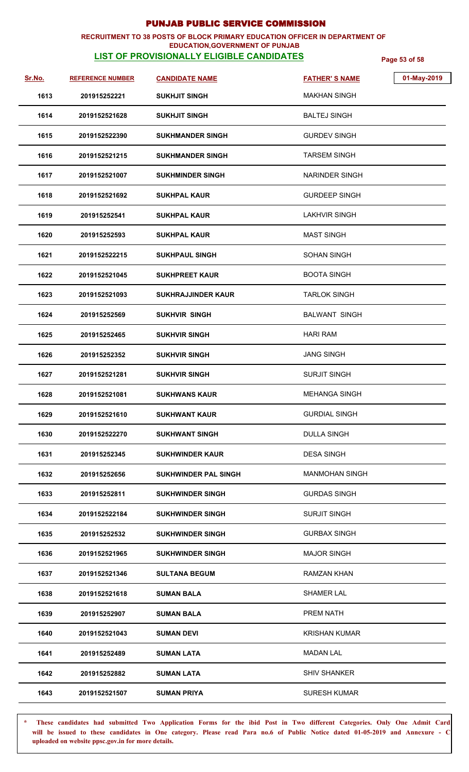### **RECRUITMENT TO 38 POSTS OF BLOCK PRIMARY EDUCATION OFFICER IN DEPARTMENT OF EDUCATION,GOVERNMENT OF PUNJAB**

# **LIST OF PROVISIONALLY ELIGIBLE CANDIDATES Page 53 of 58**

| <u>Sr.No.</u> | <b>REFERENCE NUMBER</b> | <b>CANDIDATE NAME</b>       | <b>FATHER'S NAME</b>  | 01-May-2019 |
|---------------|-------------------------|-----------------------------|-----------------------|-------------|
| 1613          | 201915252221            | <b>SUKHJIT SINGH</b>        | <b>MAKHAN SINGH</b>   |             |
| 1614          | 2019152521628           | <b>SUKHJIT SINGH</b>        | <b>BALTEJ SINGH</b>   |             |
| 1615          | 2019152522390           | <b>SUKHMANDER SINGH</b>     | <b>GURDEV SINGH</b>   |             |
| 1616          | 2019152521215           | <b>SUKHMANDER SINGH</b>     | <b>TARSEM SINGH</b>   |             |
| 1617          | 2019152521007           | <b>SUKHMINDER SINGH</b>     | <b>NARINDER SINGH</b> |             |
| 1618          | 2019152521692           | <b>SUKHPAL KAUR</b>         | <b>GURDEEP SINGH</b>  |             |
| 1619          | 201915252541            | <b>SUKHPAL KAUR</b>         | <b>LAKHVIR SINGH</b>  |             |
| 1620          | 201915252593            | <b>SUKHPAL KAUR</b>         | <b>MAST SINGH</b>     |             |
| 1621          | 2019152522215           | <b>SUKHPAUL SINGH</b>       | SOHAN SINGH           |             |
| 1622          | 2019152521045           | <b>SUKHPREET KAUR</b>       | <b>BOOTA SINGH</b>    |             |
| 1623          | 2019152521093           | <b>SUKHRAJJINDER KAUR</b>   | <b>TARLOK SINGH</b>   |             |
| 1624          | 201915252569            | <b>SUKHVIR SINGH</b>        | <b>BALWANT SINGH</b>  |             |
| 1625          | 201915252465            | <b>SUKHVIR SINGH</b>        | <b>HARI RAM</b>       |             |
| 1626          | 201915252352            | <b>SUKHVIR SINGH</b>        | <b>JANG SINGH</b>     |             |
| 1627          | 2019152521281           | <b>SUKHVIR SINGH</b>        | <b>SURJIT SINGH</b>   |             |
| 1628          | 2019152521081           | <b>SUKHWANS KAUR</b>        | <b>MEHANGA SINGH</b>  |             |
| 1629          | 2019152521610           | <b>SUKHWANT KAUR</b>        | <b>GURDIAL SINGH</b>  |             |
| 1630          | 2019152522270           | <b>SUKHWANT SINGH</b>       | <b>DULLA SINGH</b>    |             |
| 1631          | 201915252345            | SUKHWINDER KAUR             | <b>DESA SINGH</b>     |             |
| 1632          | 201915252656            | <b>SUKHWINDER PAL SINGH</b> | <b>MANMOHAN SINGH</b> |             |
| 1633          | 201915252811            | <b>SUKHWINDER SINGH</b>     | <b>GURDAS SINGH</b>   |             |
| 1634          | 2019152522184           | <b>SUKHWINDER SINGH</b>     | <b>SURJIT SINGH</b>   |             |
| 1635          | 201915252532            | <b>SUKHWINDER SINGH</b>     | <b>GURBAX SINGH</b>   |             |
| 1636          | 2019152521965           | <b>SUKHWINDER SINGH</b>     | <b>MAJOR SINGH</b>    |             |
| 1637          | 2019152521346           | <b>SULTANA BEGUM</b>        | <b>RAMZAN KHAN</b>    |             |
| 1638          | 2019152521618           | <b>SUMAN BALA</b>           | <b>SHAMER LAL</b>     |             |
| 1639          | 201915252907            | <b>SUMAN BALA</b>           | PREM NATH             |             |
| 1640          | 2019152521043           | <b>SUMAN DEVI</b>           | <b>KRISHAN KUMAR</b>  |             |
| 1641          | 201915252489            | <b>SUMAN LATA</b>           | <b>MADAN LAL</b>      |             |
| 1642          | 201915252882            | <b>SUMAN LATA</b>           | <b>SHIV SHANKER</b>   |             |
| 1643          | 2019152521507           | <b>SUMAN PRIYA</b>          | <b>SURESH KUMAR</b>   |             |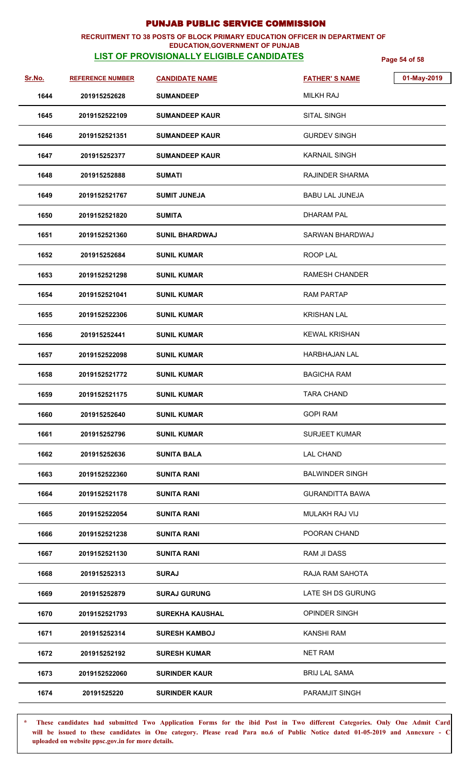### **RECRUITMENT TO 38 POSTS OF BLOCK PRIMARY EDUCATION OFFICER IN DEPARTMENT OF EDUCATION,GOVERNMENT OF PUNJAB**

# **LIST OF PROVISIONALLY ELIGIBLE CANDIDATES Page 54 of 58**

| Sr.No. | <b>REFERENCE NUMBER</b> | <b>CANDIDATE NAME</b>  | 01-May-2019<br><b>FATHER'S NAME</b> |
|--------|-------------------------|------------------------|-------------------------------------|
| 1644   | 201915252628            | <b>SUMANDEEP</b>       | <b>MILKH RAJ</b>                    |
| 1645   | 2019152522109           | <b>SUMANDEEP KAUR</b>  | SITAL SINGH                         |
| 1646   | 2019152521351           | <b>SUMANDEEP KAUR</b>  | <b>GURDEV SINGH</b>                 |
| 1647   | 201915252377            | <b>SUMANDEEP KAUR</b>  | <b>KARNAIL SINGH</b>                |
| 1648   | 201915252888            | <b>SUMATI</b>          | RAJINDER SHARMA                     |
| 1649   | 2019152521767           | <b>SUMIT JUNEJA</b>    | <b>BABU LAL JUNEJA</b>              |
| 1650   | 2019152521820           | <b>SUMITA</b>          | <b>DHARAM PAL</b>                   |
| 1651   | 2019152521360           | <b>SUNIL BHARDWAJ</b>  | SARWAN BHARDWAJ                     |
| 1652   | 201915252684            | <b>SUNIL KUMAR</b>     | ROOP LAL                            |
| 1653   | 2019152521298           | <b>SUNIL KUMAR</b>     | <b>RAMESH CHANDER</b>               |
| 1654   | 2019152521041           | <b>SUNIL KUMAR</b>     | <b>RAM PARTAP</b>                   |
| 1655   | 2019152522306           | <b>SUNIL KUMAR</b>     | <b>KRISHAN LAL</b>                  |
| 1656   | 201915252441            | <b>SUNIL KUMAR</b>     | <b>KEWAL KRISHAN</b>                |
| 1657   | 2019152522098           | <b>SUNIL KUMAR</b>     | <b>HARBHAJAN LAL</b>                |
| 1658   | 2019152521772           | <b>SUNIL KUMAR</b>     | <b>BAGICHA RAM</b>                  |
| 1659   | 2019152521175           | <b>SUNIL KUMAR</b>     | <b>TARA CHAND</b>                   |
| 1660   | 201915252640            | <b>SUNIL KUMAR</b>     | <b>GOPI RAM</b>                     |
| 1661   | 201915252796            | <b>SUNIL KUMAR</b>     | <b>SURJEET KUMAR</b>                |
| 1662   | 201915252636            | <b>SUNITA BALA</b>     | <b>LAL CHAND</b>                    |
| 1663   | 2019152522360           | SUNITA RANI            | <b>BALWINDER SINGH</b>              |
| 1664   | 2019152521178           | <b>SUNITA RANI</b>     | <b>GURANDITTA BAWA</b>              |
| 1665   | 2019152522054           | <b>SUNITA RANI</b>     | MULAKH RAJ VIJ                      |
| 1666   | 2019152521238           | <b>SUNITA RANI</b>     | POORAN CHAND                        |
| 1667   | 2019152521130           | <b>SUNITA RANI</b>     | RAM JI DASS                         |
| 1668   | 201915252313            | <b>SURAJ</b>           | RAJA RAM SAHOTA                     |
| 1669   | 201915252879            | <b>SURAJ GURUNG</b>    | LATE SH DS GURUNG                   |
| 1670   | 2019152521793           | <b>SUREKHA KAUSHAL</b> | OPINDER SINGH                       |
| 1671   | 201915252314            | <b>SURESH KAMBOJ</b>   | <b>KANSHI RAM</b>                   |
| 1672   | 201915252192            | <b>SURESH KUMAR</b>    | <b>NET RAM</b>                      |
| 1673   | 2019152522060           | <b>SURINDER KAUR</b>   | <b>BRIJ LAL SAMA</b>                |
| 1674   | 20191525220             | <b>SURINDER KAUR</b>   | PARAMJIT SINGH                      |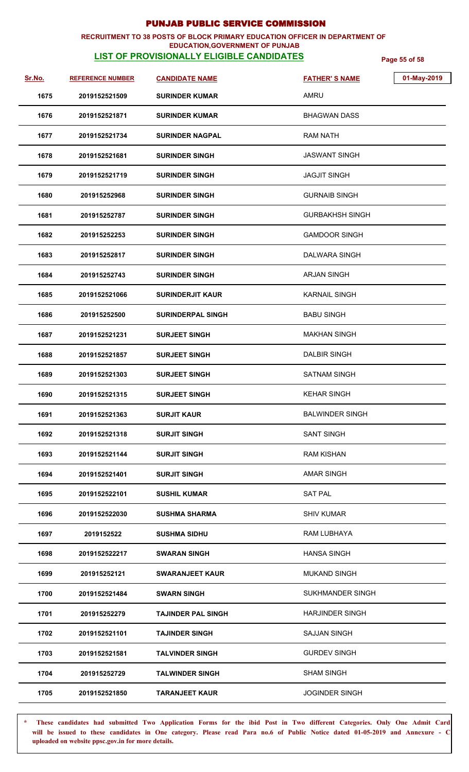## **RECRUITMENT TO 38 POSTS OF BLOCK PRIMARY EDUCATION OFFICER IN DEPARTMENT OF**

## **LIST OF PROVISIONALLY ELIGIBLE CANDIDATES Page 55 of 58 EDUCATION,GOVERNMENT OF PUNJAB**

| <u>Sr.No.</u> | <b>REFERENCE NUMBER</b> | <b>CANDIDATE NAME</b>     | <b>FATHER'S NAME</b>    | 01-May-2019 |
|---------------|-------------------------|---------------------------|-------------------------|-------------|
| 1675          | 2019152521509           | <b>SURINDER KUMAR</b>     | AMRU                    |             |
| 1676          | 2019152521871           | <b>SURINDER KUMAR</b>     | <b>BHAGWAN DASS</b>     |             |
| 1677          | 2019152521734           | <b>SURINDER NAGPAL</b>    | RAM NATH                |             |
| 1678          | 2019152521681           | <b>SURINDER SINGH</b>     | <b>JASWANT SINGH</b>    |             |
| 1679          | 2019152521719           | <b>SURINDER SINGH</b>     | <b>JAGJIT SINGH</b>     |             |
| 1680          | 201915252968            | <b>SURINDER SINGH</b>     | <b>GURNAIB SINGH</b>    |             |
| 1681          | 201915252787            | <b>SURINDER SINGH</b>     | <b>GURBAKHSH SINGH</b>  |             |
| 1682          | 201915252253            | <b>SURINDER SINGH</b>     | <b>GAMDOOR SINGH</b>    |             |
| 1683          | 201915252817            | <b>SURINDER SINGH</b>     | DALWARA SINGH           |             |
| 1684          | 201915252743            | <b>SURINDER SINGH</b>     | <b>ARJAN SINGH</b>      |             |
| 1685          | 2019152521066           | <b>SURINDERJIT KAUR</b>   | <b>KARNAIL SINGH</b>    |             |
| 1686          | 201915252500            | <b>SURINDERPAL SINGH</b>  | <b>BABU SINGH</b>       |             |
| 1687          | 2019152521231           | <b>SURJEET SINGH</b>      | <b>MAKHAN SINGH</b>     |             |
| 1688          | 2019152521857           | <b>SURJEET SINGH</b>      | <b>DALBIR SINGH</b>     |             |
| 1689          | 2019152521303           | <b>SURJEET SINGH</b>      | <b>SATNAM SINGH</b>     |             |
| 1690          | 2019152521315           | <b>SURJEET SINGH</b>      | <b>KEHAR SINGH</b>      |             |
| 1691          | 2019152521363           | <b>SURJIT KAUR</b>        | <b>BALWINDER SINGH</b>  |             |
| 1692          | 2019152521318           | <b>SURJIT SINGH</b>       | <b>SANT SINGH</b>       |             |
| 1693          | 2019152521144           | <b>SURJIT SINGH</b>       | <b>RAM KISHAN</b>       |             |
| 1694          | 2019152521401           | <b>SURJIT SINGH</b>       | <b>AMAR SINGH</b>       |             |
| 1695          | 2019152522101           | <b>SUSHIL KUMAR</b>       | <b>SAT PAL</b>          |             |
| 1696          | 2019152522030           | <b>SUSHMA SHARMA</b>      | <b>SHIV KUMAR</b>       |             |
| 1697          | 2019152522              | <b>SUSHMA SIDHU</b>       | RAM LUBHAYA             |             |
| 1698          | 2019152522217           | <b>SWARAN SINGH</b>       | <b>HANSA SINGH</b>      |             |
| 1699          | 201915252121            | <b>SWARANJEET KAUR</b>    | <b>MUKAND SINGH</b>     |             |
| 1700          | 2019152521484           | <b>SWARN SINGH</b>        | <b>SUKHMANDER SINGH</b> |             |
| 1701          | 201915252279            | <b>TAJINDER PAL SINGH</b> | <b>HARJINDER SINGH</b>  |             |
| 1702          | 2019152521101           | <b>TAJINDER SINGH</b>     | <b>SAJJAN SINGH</b>     |             |
| 1703          | 2019152521581           | <b>TALVINDER SINGH</b>    | <b>GURDEV SINGH</b>     |             |
| 1704          | 201915252729            | <b>TALWINDER SINGH</b>    | <b>SHAM SINGH</b>       |             |
| 1705          | 2019152521850           | <b>TARANJEET KAUR</b>     | <b>JOGINDER SINGH</b>   |             |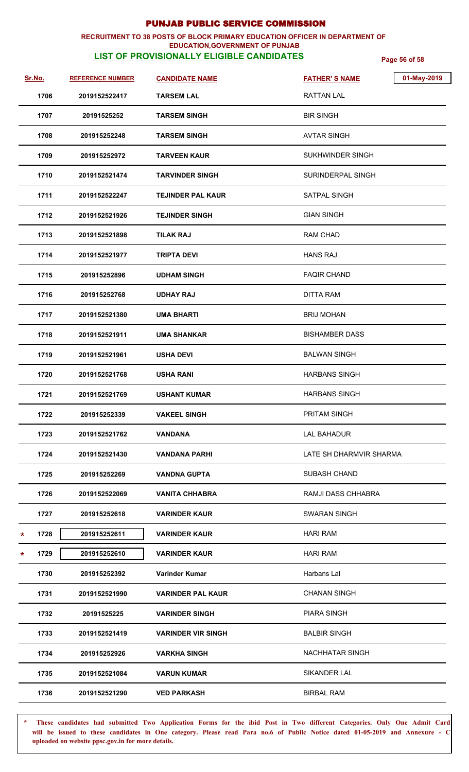### **RECRUITMENT TO 38 POSTS OF BLOCK PRIMARY EDUCATION OFFICER IN DEPARTMENT OF EDUCATION,GOVERNMENT OF PUNJAB**

# **LIST OF PROVISIONALLY ELIGIBLE CANDIDATES Page 56 of 58**

| Sr.No. |      | <b>REFERENCE NUMBER</b> | <b>CANDIDATE NAME</b>     | <b>FATHER'S NAME</b>    | 01-May-2019 |
|--------|------|-------------------------|---------------------------|-------------------------|-------------|
|        | 1706 | 2019152522417           | <b>TARSEM LAL</b>         | <b>RATTAN LAL</b>       |             |
|        | 1707 | 20191525252             | <b>TARSEM SINGH</b>       | <b>BIR SINGH</b>        |             |
|        | 1708 | 201915252248            | <b>TARSEM SINGH</b>       | <b>AVTAR SINGH</b>      |             |
|        | 1709 | 201915252972            | <b>TARVEEN KAUR</b>       | SUKHWINDER SINGH        |             |
|        | 1710 | 2019152521474           | <b>TARVINDER SINGH</b>    | SURINDERPAL SINGH       |             |
|        | 1711 | 2019152522247           | <b>TEJINDER PAL KAUR</b>  | SATPAL SINGH            |             |
|        | 1712 | 2019152521926           | <b>TEJINDER SINGH</b>     | <b>GIAN SINGH</b>       |             |
|        | 1713 | 2019152521898           | <b>TILAK RAJ</b>          | <b>RAM CHAD</b>         |             |
|        | 1714 | 2019152521977           | <b>TRIPTA DEVI</b>        | <b>HANS RAJ</b>         |             |
|        | 1715 | 201915252896            | <b>UDHAM SINGH</b>        | <b>FAQIR CHAND</b>      |             |
|        | 1716 | 201915252768            | <b>UDHAY RAJ</b>          | <b>DITTA RAM</b>        |             |
|        | 1717 | 2019152521380           | <b>UMA BHARTI</b>         | <b>BRIJ MOHAN</b>       |             |
|        | 1718 | 2019152521911           | <b>UMA SHANKAR</b>        | <b>BISHAMBER DASS</b>   |             |
|        | 1719 | 2019152521961           | <b>USHA DEVI</b>          | <b>BALWAN SINGH</b>     |             |
|        | 1720 | 2019152521768           | <b>USHA RANI</b>          | <b>HARBANS SINGH</b>    |             |
|        | 1721 | 2019152521769           | <b>USHANT KUMAR</b>       | <b>HARBANS SINGH</b>    |             |
|        | 1722 | 201915252339            | <b>VAKEEL SINGH</b>       | PRITAM SINGH            |             |
|        | 1723 | 2019152521762           | <b>VANDANA</b>            | <b>LAL BAHADUR</b>      |             |
|        | 1724 | 2019152521430           | <b>VANDANA PARHI</b>      | LATE SH DHARMVIR SHARMA |             |
|        | 1725 | 201915252269            | VANDNA GUPTA              | <b>SUBASH CHAND</b>     |             |
|        | 1726 | 2019152522069           | <b>VANITA CHHABRA</b>     | RAMJI DASS CHHABRA      |             |
|        | 1727 | 201915252618            | <b>VARINDER KAUR</b>      | <b>SWARAN SINGH</b>     |             |
| *      | 1728 | 201915252611            | <b>VARINDER KAUR</b>      | <b>HARI RAM</b>         |             |
| *      | 1729 | 201915252610            | <b>VARINDER KAUR</b>      | <b>HARI RAM</b>         |             |
|        | 1730 | 201915252392            | Varinder Kumar            | Harbans Lal             |             |
|        | 1731 | 2019152521990           | <b>VARINDER PAL KAUR</b>  | <b>CHANAN SINGH</b>     |             |
|        | 1732 | 20191525225             | <b>VARINDER SINGH</b>     | <b>PIARA SINGH</b>      |             |
|        | 1733 | 2019152521419           | <b>VARINDER VIR SINGH</b> | <b>BALBIR SINGH</b>     |             |
|        | 1734 | 201915252926            | <b>VARKHA SINGH</b>       | NACHHATAR SINGH         |             |
|        | 1735 | 2019152521084           | <b>VARUN KUMAR</b>        | SIKANDER LAL            |             |
|        | 1736 | 2019152521290           | <b>VED PARKASH</b>        | <b>BIRBAL RAM</b>       |             |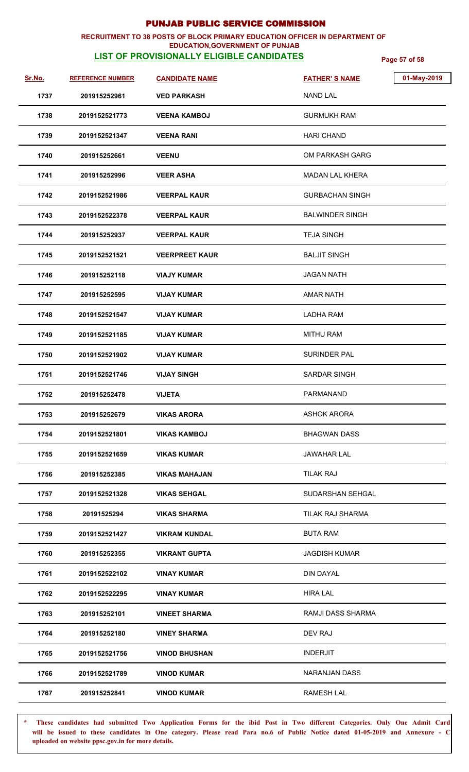### **RECRUITMENT TO 38 POSTS OF BLOCK PRIMARY EDUCATION OFFICER IN DEPARTMENT OF EDUCATION,GOVERNMENT OF PUNJAB**

## **LIST OF PROVISIONALLY ELIGIBLE CANDIDATES Page 57 of 58**

| Sr.No. | <b>REFERENCE NUMBER</b> | <b>CANDIDATE NAME</b> | 01-May-2019<br><b>FATHER'S NAME</b> |
|--------|-------------------------|-----------------------|-------------------------------------|
| 1737   | 201915252961            | <b>VED PARKASH</b>    | <b>NAND LAL</b>                     |
| 1738   | 2019152521773           | <b>VEENA KAMBOJ</b>   | <b>GURMUKH RAM</b>                  |
| 1739   | 2019152521347           | <b>VEENA RANI</b>     | <b>HARI CHAND</b>                   |
| 1740   | 201915252661            | <b>VEENU</b>          | OM PARKASH GARG                     |
| 1741   | 201915252996            | <b>VEER ASHA</b>      | <b>MADAN LAL KHERA</b>              |
| 1742   | 2019152521986           | <b>VEERPAL KAUR</b>   | <b>GURBACHAN SINGH</b>              |
| 1743   | 2019152522378           | <b>VEERPAL KAUR</b>   | <b>BALWINDER SINGH</b>              |
| 1744   | 201915252937            | <b>VEERPAL KAUR</b>   | <b>TEJA SINGH</b>                   |
| 1745   | 2019152521521           | <b>VEERPREET KAUR</b> | <b>BALJIT SINGH</b>                 |
| 1746   | 201915252118            | <b>VIAJY KUMAR</b>    | <b>JAGAN NATH</b>                   |
| 1747   | 201915252595            | <b>VIJAY KUMAR</b>    | <b>AMAR NATH</b>                    |
| 1748   | 2019152521547           | <b>VIJAY KUMAR</b>    | <b>LADHA RAM</b>                    |
| 1749   | 2019152521185           | <b>VIJAY KUMAR</b>    | <b>MITHU RAM</b>                    |
| 1750   | 2019152521902           | <b>VIJAY KUMAR</b>    | <b>SURINDER PAL</b>                 |
| 1751   | 2019152521746           | <b>VIJAY SINGH</b>    | <b>SARDAR SINGH</b>                 |
| 1752   | 201915252478            | <b>VIJETA</b>         | PARMANAND                           |
| 1753   | 201915252679            | <b>VIKAS ARORA</b>    | <b>ASHOK ARORA</b>                  |
| 1754   | 2019152521801           | <b>VIKAS KAMBOJ</b>   | <b>BHAGWAN DASS</b>                 |
| 1755   | 2019152521659           | <b>VIKAS KUMAR</b>    | <b>JAWAHAR LAL</b>                  |
| 1756   | 201915252385            | <b>VIKAS MAHAJAN</b>  | <b>TILAK RAJ</b>                    |
| 1757   | 2019152521328           | <b>VIKAS SEHGAL</b>   | SUDARSHAN SEHGAL                    |
| 1758   | 20191525294             | <b>VIKAS SHARMA</b>   | TILAK RAJ SHARMA                    |
| 1759   | 2019152521427           | <b>VIKRAM KUNDAL</b>  | <b>BUTA RAM</b>                     |
| 1760   | 201915252355            | <b>VIKRANT GUPTA</b>  | <b>JAGDISH KUMAR</b>                |
| 1761   | 2019152522102           | <b>VINAY KUMAR</b>    | <b>DIN DAYAL</b>                    |
| 1762   | 2019152522295           | <b>VINAY KUMAR</b>    | <b>HIRA LAL</b>                     |
| 1763   | 201915252101            | <b>VINEET SHARMA</b>  | RAMJI DASS SHARMA                   |
| 1764   | 201915252180            | <b>VINEY SHARMA</b>   | DEV RAJ                             |
| 1765   | 2019152521756           | <b>VINOD BHUSHAN</b>  | <b>INDERJIT</b>                     |
| 1766   | 2019152521789           | <b>VINOD KUMAR</b>    | NARANJAN DASS                       |
| 1767   | 201915252841            | <b>VINOD KUMAR</b>    | <b>RAMESH LAL</b>                   |